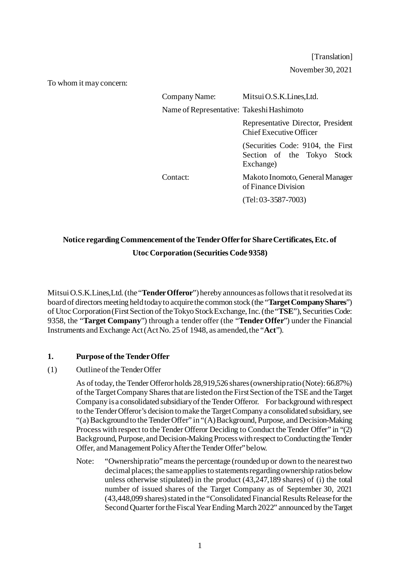[Translation] November 30, 2021

To whom it may concern:

| Company Name:                             | Mitsui O.S.K. Lines, Ltd.                                                    |
|-------------------------------------------|------------------------------------------------------------------------------|
| Name of Representative: Takeshi Hashimoto |                                                                              |
|                                           | Representative Director, President<br><b>Chief Executive Officer</b>         |
|                                           | (Securities Code: 9104, the First<br>Section of the Tokyo Stock<br>Exchange) |
| Contact:                                  | Makoto Inomoto, General Manager<br>of Finance Division                       |
|                                           | $(Tel: 03-3587-7003)$                                                        |

# **Notice regarding Commencement of the Tender Offer for Share Certificates, Etc. of Utoc Corporation (Securities Code 9358)**

Mitsui O.S.K.Lines,Ltd. (the "**Tender Offeror**") hereby announces as follows that it resolved at its board of directors meeting held today to acquire the common stock (the "**Target Company Shares**") of Utoc Corporation(First Section of the Tokyo Stock Exchange, Inc. (the "**TSE**"), Securities Code: 9358, the "**Target Company**") through a tender offer (the "**Tender Offer**") under the Financial Instruments and Exchange Act (Act No. 25 of 1948, as amended, the "**Act**").

## **1. Purpose of the Tender Offer**

## (1) Outline of the Tender Offer

As of today, the Tender Offeror holds 28,919,526 shares (ownership ratio (Note): 66.87%) of the Target Company Shares that are listed on the First Section of the TSE and the Target Company is a consolidated subsidiary of the Tender Offeror. For background with respect to the Tender Offeror's decision to make the Target Company a consolidated subsidiary, see "(a) Background to the Tender Offer" in "(A) Background, Purpose, and Decision-Making Process with respect to the Tender Offeror Deciding to Conduct the Tender Offer" in "(2) Background, Purpose, and Decision-Making Process with respect to Conducting the Tender Offer, and Management Policy After the Tender Offer" below.

Note: "Ownership ratio" means the percentage (rounded up or down to the nearest two decimal places; the same applies to statements regarding ownership ratios below unless otherwise stipulated) in the product (43,247,189 shares) of (i) the total number of issued shares of the Target Company as of September 30, 2021 (43,448,099 shares) stated in the "Consolidated Financial Results Releasefor the Second Quarter for the Fiscal Year Ending March 2022" announced by the Target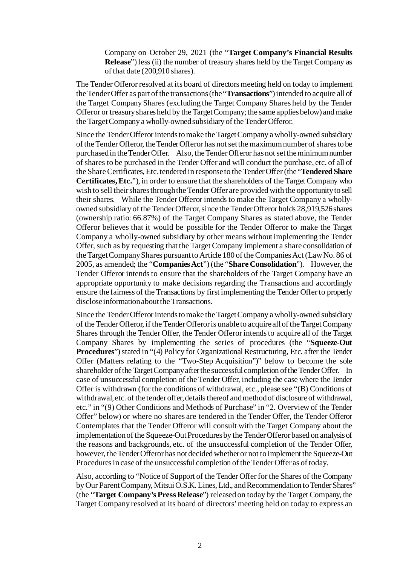Company on October 29, 2021 (the "**Target Company's Financial Results Release**") less (ii) the number of treasury shares held by the Target Company as of that date (200,910 shares).

The Tender Offeror resolved at its board of directors meeting held on today to implement the Tender Offer as part of the transactions (the "**Transactions**") intended to acquire all of the Target Company Shares (excluding the Target Company Shares held by the Tender Offeror or treasury shares held by the Target Company; the same applies below) and make the Target Company a wholly-owned subsidiary of the Tender Offeror.

Since the Tender Offeror intends to make the Target Company a wholly-owned subsidiary of the Tender Offeror, the Tender Offeror has not set the maximum number of shares to be purchased in the Tender Offer. Also, the Tender Offeror has not set the minimum number of shares to be purchased in the Tender Offer and will conduct the purchase, etc. of all of the Share Certificates, Etc. tendered in response to the Tender Offer (the "**Tendered Share Certificates, Etc.**"), in order to ensure that the shareholders of the Target Company who wish to sell their shares through the Tender Offer are provided with the opportunity to sell their shares. While the Tender Offeror intends to make the Target Company a whollyowned subsidiary of the Tender Offeror, since the Tender Offeror holds 28,919,526 shares (ownership ratio: 66.87%) of the Target Company Shares as stated above, the Tender Offeror believes that it would be possible for the Tender Offeror to make the Target Company a wholly-owned subsidiary by other means without implementing the Tender Offer, such as by requesting that the Target Company implement a share consolidation of the Target Company Shares pursuant to Article 180 of the Companies Act (Law No. 86 of 2005, as amended; the "**Companies Act**") (the "**Share Consolidation**"). However, the Tender Offeror intends to ensure that the shareholders of the Target Company have an appropriate opportunity to make decisions regarding the Transactions and accordingly ensure the fairness of the Transactions by first implementing the Tender Offer to properly disclose information about the Transactions.

Since the Tender Offeror intends to make the Target Company a wholly-owned subsidiary of the Tender Offeror, if the Tender Offeror is unable to acquire all of the Target Company Shares through the Tender Offer, the Tender Offeror intends to acquire all of the Target Company Shares by implementing the series of procedures (the "**Squeeze-Out Procedures**") stated in "(4) Policy for Organizational Restructuring, Etc. after the Tender Offer (Matters relating to the "Two-Step Acquisition")" below to become the sole shareholder of the Target Company after the successful completion of the Tender Offer. In case of unsuccessful completion of the Tender Offer, including the case where the Tender Offer is withdrawn (for the conditions of withdrawal, etc., please see "(B) Conditions of withdrawal, etc. of the tender offer, details thereof and method of disclosure of withdrawal, etc." in "(9) Other Conditions and Methods of Purchase" in "2. Overview of the Tender Offer" below) or where no shares are tendered in the Tender Offer, the Tender Offeror Contemplates that the Tender Offeror will consult with the Target Company about the implementation of the Squeeze-Out Procedures by the Tender Offeror based on analysis of the reasons and backgrounds, etc. of the unsuccessful completion of the Tender Offer, however, the Tender Offeror has not decided whether or not to implement the Squeeze-Out Procedures in case of the unsuccessful completion of the Tender Offer as of today.

Also, according to "Notice of Support of the Tender Offer for the Shares of the Company by Our Parent Company, Mitsui O.S.K. Lines, Ltd., and Recommendation to Tender Shares" (the "**Target Company's Press Release**") released on today by the Target Company, the Target Company resolved at its board of directors' meeting held on today to express an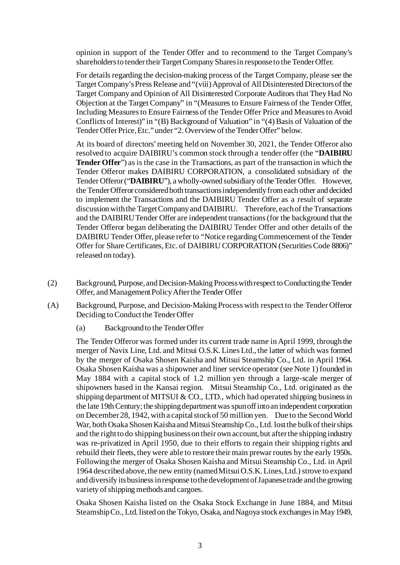opinion in support of the Tender Offer and to recommend to the Target Company's shareholders to tender their Target Company Shares in response to the Tender Offer.

For details regarding the decision-making process of the Target Company, please see the Target Company's Press Release and "(viii) Approval of All Disinterested Directors of the Target Company and Opinion of All Disinterested Corporate Auditors that They Had No Objection at the Target Company" in "(Measures to Ensure Fairness of the Tender Offer, Including Measures to Ensure Fairness of the Tender Offer Price and Measures to Avoid Conflicts of Interest)" in "(B) Background of Valuation" in "(4) Basis of Valuation of the Tender Offer Price, Etc." under "2. Overview of the Tender Offer" below.

At its board of directors' meeting held on November 30, 2021, the Tender Offeror also resolved to acquire DAIBIRU's common stock through a tender offer (the "**DAIBIRU Tender Offer**") as is the case in the Transactions, as part of the transaction in which the Tender Offeror makes DAIBIRU CORPORATION, a consolidated subsidiary of the Tender Offeror("**DAIBIRU**"), a wholly-owned subsidiary of the Tender Offer. However, the Tender Offeror considered both transactions independently from each other and decided to implement the Transactions and the DAIBIRU Tender Offer as a result of separate discussion with the Target Company and DAIBIRU. Therefore, each of the Transactions and the DAIBIRU Tender Offer are independent transactions (for the background that the Tender Offeror began deliberating the DAIBIRU Tender Offer and other details of the DAIBIRU Tender Offer, please refer to "Notice regarding Commencement of the Tender Offer for Share Certificates, Etc. of DAIBIRU CORPORATION (Securities Code 8806)" released on today).

- (2) Background, Purpose, and Decision-Making Process with respect to Conducting the Tender Offer, and Management Policy After the Tender Offer
- (A) Background, Purpose, and Decision-Making Process with respect to the Tender Offeror Deciding to Conduct the Tender Offer
	- (a) Background to the Tender Offer

The Tender Offeror was formed under its current trade name in April 1999, through the merger of Navix Line, Ltd. and Mitsui O.S.K. Lines Ltd., the latter of which was formed by the merger of Osaka Shosen Kaisha and Mitsui Steamship Co., Ltd. in April 1964. Osaka Shosen Kaisha was a shipowner and liner service operator (see Note 1) founded in May 1884 with a capital stock of 1.2 million yen through a large-scale merger of shipowners based in the Kansai region. Mitsui Steamship Co., Ltd. originated as the shipping department of MITSUI & CO., LTD., which had operated shipping business in the late 19th Century; the shipping department was spun off into an independent corporation on December 28, 1942, with a capital stock of 50 million yen. Due to the Second World War, both Osaka Shosen Kaisha and Mitsui Steamship Co., Ltd. lost the bulk of their ships and the right to do shipping business on their own account, but after the shipping industry was re-privatized in April 1950, due to their efforts to regain their shipping rights and rebuild their fleets, they were able to restore their main prewar routes by the early 1950s. Following the merger of Osaka Shosen Kaisha and Mitsui Steamship Co., Ltd. in April 1964 described above, the new entity (named Mitsui O.S.K. Lines, Ltd.) strove to expand and diversify its business in response to the development of Japanese trade and the growing variety of shipping methods and cargoes.

Osaka Shosen Kaisha listed on the Osaka Stock Exchange in June 1884, and Mitsui Steamship Co., Ltd. listed on the Tokyo, Osaka, and Nagoya stock exchanges in May 1949,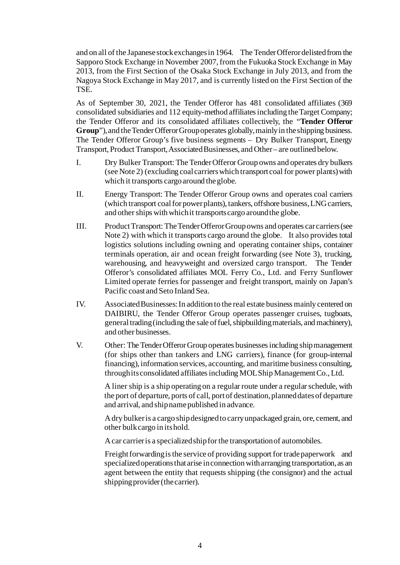and on all of the Japanese stock exchanges in 1964. The Tender Offeror delisted from the Sapporo Stock Exchange in November 2007, from the Fukuoka Stock Exchange in May 2013, from the First Section of the Osaka Stock Exchange in July 2013, and from the Nagoya Stock Exchange in May 2017, and is currently listed on the First Section of the TSE.

As of September 30, 2021, the Tender Offeror has 481 consolidated affiliates (369 consolidated subsidiaries and 112 equity-method affiliates including the Target Company; the Tender Offeror and its consolidated affiliates collectively, the "**Tender Offeror Group**"), and the Tender Offeror Group operates globally, mainly in the shipping business. The Tender Offeror Group's five business segments – Dry Bulker Transport, Energy Transport, Product Transport, Associated Businesses, and Other – are outlined below.

- I. Dry Bulker Transport: The Tender Offeror Group owns and operates dry bulkers (see Note 2) (excluding coal carriers which transport coal for power plants) with which it transports cargo around the globe.
- II. Energy Transport: The Tender Offeror Group owns and operates coal carriers (which transport coal for power plants), tankers, offshore business, LNG carriers, and other ships with which it transports cargo around the globe.
- III. Product Transport: The Tender Offeror Group owns and operates car carriers (see Note 2) with which it transports cargo around the globe. It also provides total logistics solutions including owning and operating container ships, container terminals operation, air and ocean freight forwarding (see Note 3), trucking, warehousing, and heavyweight and oversized cargo transport. The Tender Offeror's consolidated affiliates MOL Ferry Co., Ltd. and Ferry Sunflower Limited operate ferries for passenger and freight transport, mainly on Japan's Pacific coast and Seto Inland Sea.
- IV. Associated Businesses: In addition to the real estate business mainly centered on DAIBIRU, the Tender Offeror Group operates passenger cruises, tugboats, general trading (including the sale of fuel, shipbuildingmaterials, and machinery), and other businesses.
- V. Other: The Tender Offeror Group operates businesses including ship management (for ships other than tankers and LNG carriers), finance (for group-internal financing), information services, accounting, and maritime business consulting, through its consolidated affiliates including MOL Ship Management Co., Ltd.

A liner ship is a ship operating on a regular route under a regular schedule, with the port of departure, ports of call, port of destination, planned dates of departure and arrival, and ship name published in advance.

A dry bulker is a cargo ship designed to carry unpackaged grain, ore, cement, and other bulk cargo in its hold.

A car carrier is a specialized ship for the transportation of automobiles.

Freight forwarding is the service of providing support for trade paperwork and specialized operations that arise in connection with arranging transportation, as an agent between the entity that requests shipping (the consignor) and the actual shipping provider (the carrier).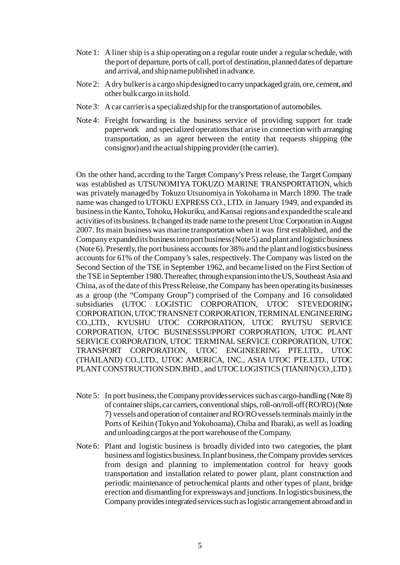- Note 1: A liner ship is a ship operating on a regular route under a regular schedule, with the port of departure, ports of call, port of destination, planned dates of departure and arrival, and ship name published in advance.
- Note 2: A dry bulker is a cargo ship designed to carry unpackaged grain, ore, cement, and other bulk cargo in its hold.
- Note 3: A car carrier is a specialized ship for the transportation of automobiles.
- Note 4: Freight forwarding is the business service of providing support for trade paperwork and specialized operations that arise in connection with arranging transportation, as an agent between the entity that requests shipping (the consignor) and the actual shipping provider (the carrier).

On the other hand, accrding to the Target Company's Press release, the Target Company was established as UTSUNOMIYA TOKUZO MARINE TRANSPORTATION, which was privately managed by Tokuzo Utsunomiya in Yokohama in March 1890. The trade name was changed to UTOKU EXPRESS CO., LTD. in January 1949, and expanded its business in the Kanto, Tohoku, Hokuriku, and Kansai regions and expanded the scale and activities of its business. It changed its trade name to the present Utoc Corporation in August 2007. Its main business was marine transportation when it was first established, and the Company expanded its business into port business (Note 5) and plant and logistic business (Note 6). Presently, the port business accounts for 38% and the plant and logistics business accounts for 61% of the Company's sales, respectively. The Company was listed on the Second Section of the TSE in September 1962, and became listed on the First Section of the TSE in September 1980. Thereafter, through expansion into the US, Southeast Asia and China, as of the date of this Press Release, the Company has been operating its businesses as a group (the "Company Group") comprised of the Company and 16 consolidated subsidiaries (UTOC LOGISTIC CORPORATION, UTOC STEVEDORING CORPORATION, UTOC TRANSNET CORPORATION, TERMINAL ENGINEERING CO.,LTD., KYUSHU UTOC CORPORATION, UTOC RYUTSU SERVICE CORPORATION, UTOC BUSINESSSUPPORT CORPORATION, UTOC PLANT SERVICE CORPORATION, UTOC TERMINAL SERVICE CORPORATION, UTOC TRANSPORT CORPORATION, UTOC ENGINEERING PTE.LTD., UTOC (THAILAND) CO.,LTD., UTOC AMERICA, INC., ASIA UTOC PTE.LTD., UTOC PLANT CONSTRUCTION SDN.BHD., and UTOC LOGISTICS (TIANJIN) CO.,LTD ).

- Note 5: In port business, the Company provides services such as cargo-handling (Note 8) of container ships, car carriers, conventional ships, roll-on/roll-off (RO/RO) (Note 7) vessels and operation of container and RO/RO vessels terminals mainly in the Ports of Keihin (Tokyo and Yokohoama), Chiba and Ibaraki, as well as loading and unloading cargos at the port warehouse of the Company.
- Note 6: Plant and logistic business is broadly divided into two categories, the plant business and logistics business. In plant business, the Company provides services from design and planning to implementation control for heavy goods transportation and installation related to power plant, plant construction and periodic maintenance of petrochemical plants and other types of plant, bridge erection and dismantling for expressways and junctions. In logistics business, the Company provides integrated services such as logistic arrangement abroad and in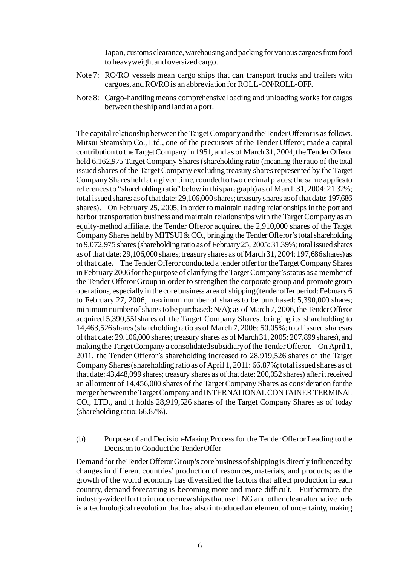Japan, customs clearance, warehousing and packing for various cargoes from food to heavyweight and oversized cargo.

- Note 7: RO/RO vessels mean cargo ships that can transport trucks and trailers with cargoes, and RO/RO is an abbreviation for ROLL-ON/ROLL-OFF.
- Note 8: Cargo-handling means comprehensive loading and unloading works for cargos between the ship and land at a port.

The capital relationship between the Target Company and the Tender Offeror is as follows. Mitsui Steamship Co., Ltd., one of the precursors of the Tender Offeror, made a capital contribution to the Target Company in 1951, and as of March 31, 2004, the Tender Offeror held 6,162,975 Target Company Shares (shareholding ratio (meaning the ratio of the total issued shares of the Target Company excluding treasury shares represented by the Target Company Shares held at a given time, rounded to two decimal places; the same applies to references to "shareholding ratio" below in this paragraph) as of March 31, 2004: 21.32%; total issued shares as of that date: 29,106,000 shares; treasury shares as of that date: 197,686 shares). On February 25, 2005, in order to maintain trading relationships in the port and harbor transportation business and maintain relationships with the Target Company as an equity-method affiliate, the Tender Offeror acquired the 2,910,000 shares of the Target Company Shares held by MITSUI & CO., bringing the Tender Offeror's total shareholding to 9,072,975 shares (shareholding ratio as of February 25, 2005:31.39%; total issued shares as of that date:29,106,000 shares; treasury shares as of March 31, 2004:197,686 shares) as of that date. The Tender Offeror conducted a tender offer for the Target Company Shares in February 2006 for the purpose of clarifying the Target Company's status as a member of the Tender Offeror Group in order to strengthen the corporate group and promote group operations, especially in the core business area of shipping (tender offer period: February 6 to February 27, 2006; maximum number of shares to be purchased: 5,390,000 shares; minimum number of shares to be purchased: N/A); as of March 7, 2006, the Tender Offeror acquired 5,390,551shares of the Target Company Shares, bringing its shareholding to 14,463,526 shares (shareholding ratio as of March 7, 2006: 50.05%;total issued sharesas of that date: 29,106,000 shares; treasury shares as of March 31, 2005:207,899shares), and making the Target Company a consolidated subsidiary of the Tender Offeror. On April 1, 2011, the Tender Offeror's shareholding increased to 28,919,526 shares of the Target Company Shares (shareholding ratio as of April 1, 2011: 66.87%;total issued shares as of that date:43,448,099 shares; treasury shares as of that date: 200,052 shares) after it received an allotment of 14,456,000 shares of the Target Company Shares as consideration for the merger between the Target Company and INTERNATIONAL CONTAINER TERMINAL CO., LTD., and it holds 28,919,526 shares of the Target Company Shares as of today (shareholding ratio: 66.87%).

(b) Purpose of and Decision-Making Process for the Tender Offeror Leading to the Decision to Conduct the Tender Offer

Demand for the Tender Offeror Group's core business of shipping is directly influenced by changes in different countries' production of resources, materials, and products; as the growth of the world economy has diversified the factors that affect production in each country, demand forecasting is becoming more and more difficult. Furthermore, the industry-wide effort to introduce new ships that use LNG and other clean alternative fuels is a technological revolution that has also introduced an element of uncertainty, making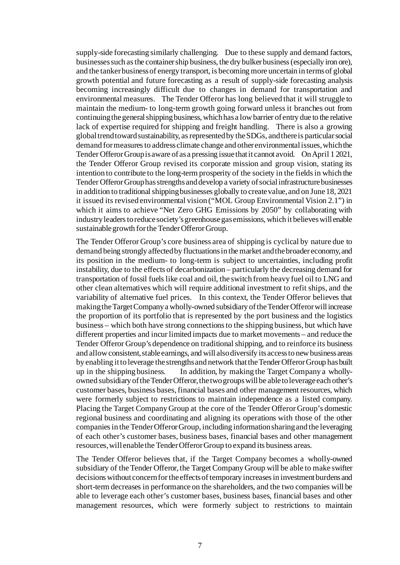supply-side forecasting similarly challenging. Due to these supply and demand factors, businesses such as the container ship business, the dry bulker business (especially iron ore), and the tanker business of energy transport, is becoming more uncertain in terms of global growth potential and future forecasting as a result of supply-side forecasting analysis becoming increasingly difficult due to changes in demand for transportation and environmental measures. The Tender Offeror has long believed that it will struggle to maintain the medium- to long-term growth going forward unless it branches out from continuing the general shipping business, which has a low barrier of entry due to the relative lack of expertise required for shipping and freight handling. There is also a growing global trend toward sustainability, as represented by the SDGs, and there is particular social demand for measures to address climate change and other environmental issues, which the Tender Offeror Group is aware of as a pressing issue that it cannot avoid. On April 1 2021, the Tender Offeror Group revised its corporate mission and group vision, stating its intention to contribute to the long-term prosperity of the society in the fields in which the Tender Offeror Group has strengths and develop a variety of social infrastructure businesses in addition to traditional shipping businesses globally to create value, and on June 18, 2021 it issued its revised environmental vision ("MOL Group Environmental Vision 2.1") in which it aims to achieve "Net Zero GHG Emissions by 2050" by collaborating with industry leaders toreduce society's greenhouse gas emissions, which it believes will enable sustainable growth for the Tender Offeror Group.

The Tender Offeror Group's core business area of shipping is cyclical by nature due to demand being strongly affected by fluctuationsin the market and the broader economy, and its position in the medium- to long-term is subject to uncertainties, including profit instability, due to the effects of decarbonization – particularly the decreasing demand for transportation of fossil fuels like coal and oil, the switch from heavy fuel oil to LNG and other clean alternatives which will require additional investment to refit ships, and the variability of alternative fuel prices. In this context, the Tender Offeror believes that making the Target Company a wholly-owned subsidiary of the Tender Offeror will increase the proportion of its portfolio that is represented by the port business and the logistics business – which both have strong connections to the shipping business, but which have different properties and incur limited impacts due to market movements – and reduce the Tender Offeror Group's dependence on traditional shipping, and to reinforce its business and allow consistent, stable earnings, and will also diversify its access to new business areas by enabling it to leverage the strengths and network that the Tender Offeror Group has built up in the shipping business. In addition, by making the Target Company a whollyowned subsidiary of the Tender Offeror, the two groups will be able to leverage each other's customer bases, business bases, financial bases and other management resources, which were formerly subject to restrictions to maintain independence as a listed company. Placing the Target Company Group at the core of the Tender Offeror Group's domestic regional business and coordinating and aligning its operations with those of the other companies in the Tender Offeror Group, including information sharing and the leveraging of each other's customer bases, business bases, financial bases and other management resources, will enable the Tender Offeror Group to expand its business areas.

The Tender Offeror believes that, if the Target Company becomes a wholly-owned subsidiary of the Tender Offeror, the Target Company Group will be able to make swifter decisions without concern for the effects of temporary increases in investment burdens and short-term decreases in performance on the shareholders, and the two companies will be able to leverage each other's customer bases, business bases, financial bases and other management resources, which were formerly subject to restrictions to maintain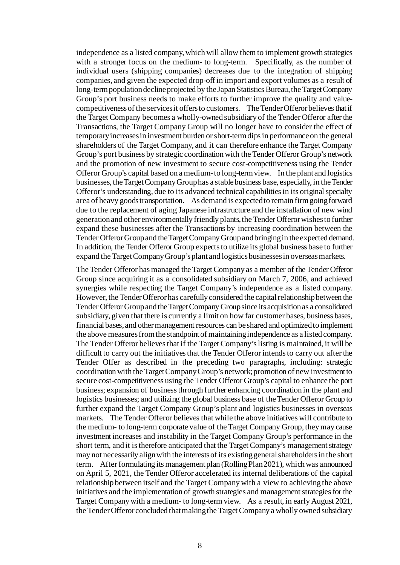independence as a listed company, which will allow them to implement growth strategies with a stronger focus on the medium- to long-term. Specifically, as the number of individual users (shipping companies) decreases due to the integration of shipping companies, and given the expected drop-off in import and export volumes as a result of long-term population decline projected by the Japan Statistics Bureau, the Target Company Group's port business needs to make efforts to further improve the quality and valuecompetitiveness of the services it offers to customers. The Tender Offeror believes that if the Target Company becomes a wholly-owned subsidiary of the Tender Offeror after the Transactions, the Target Company Group will no longer have to consider the effect of temporary increases in investment burden or short-term dips in performance on the general shareholders of the Target Company, and it can therefore enhance the Target Company Group's port business by strategic coordination with the Tender Offeror Group's network and the promotion of new investment to secure cost-competitiveness using the Tender Offeror Group's capital based on a medium-to long-term view. In the plant and logistics businesses, the Target Company Grouphas a stable business base, especially, in the Tender Offeror's understanding, due to its advanced technical capabilities in its original specialty area of heavy goods transportation. As demand is expected to remain firm going forward due to the replacement of aging Japanese infrastructure and the installation of new wind generation and other environmentally friendly plants, the Tender Offeror wishes to further expand these businesses after the Transactions by increasing coordination between the Tender Offeror Group and the Target Company Groupand bringing in the expected demand. In addition, the Tender Offeror Group expects to utilize its global business base to further expand the Target Company Group's plant and logistics businesses in overseas markets.

The Tender Offeror has managed the Target Company as a member of the Tender Offeror Group since acquiring it as a consolidated subsidiary on March 7, 2006, and achieved synergies while respecting the Target Company's independence as a listed company. However, the Tender Offeror has carefully considered the capital relationship between the Tender Offeror Group and the Target Company Group since its acquisition as a consolidated subsidiary, given that there is currently a limit on how far customer bases, business bases, financial bases, and other management resources can be shared and optimized to implement the above measures from the standpoint of maintaining independence as a listed company. The Tender Offeror believes that if the Target Company's listing is maintained, it will be difficult to carry out the initiatives that the Tender Offeror intends to carry out after the Tender Offer as described in the preceding two paragraphs, including: strategic coordination with the Target Company Group's network; promotion of new investment to secure cost-competitiveness using the Tender Offeror Group's capital to enhance the port business; expansion of business through further enhancing coordination in the plant and logistics businesses; and utilizing the global business base of the Tender Offeror Group to further expand the Target Company Group's plant and logistics businesses in overseas markets. The Tender Offeror believes that while the above initiatives will contribute to the medium- to long-term corporate value of the Target Company Group, they may cause investment increases and instability in the Target Company Group's performance in the short term, and it is therefore anticipated that the Target Company's management strategy may not necessarily align with the interests of its existing general shareholders in the short term. After formulating its management plan (Rolling Plan 2021), which was announced on April 5, 2021, the Tender Offeror accelerated its internal deliberations of the capital relationship between itself and the Target Company with a view to achieving the above initiatives and the implementation of growth strategies and management strategies for the Target Company with a medium- to long-term view. As a result, in early August 2021, the Tender Offeror concluded that making the Target Company a wholly owned subsidiary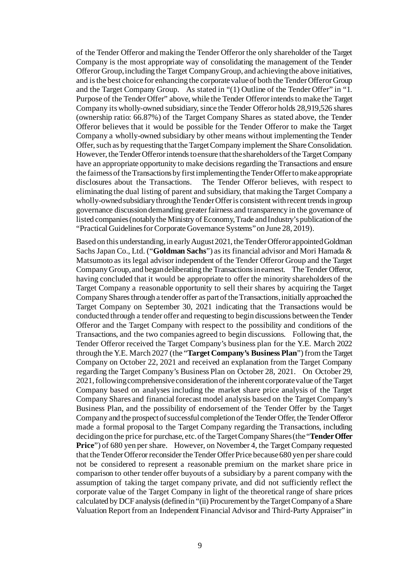of the Tender Offeror and making the Tender Offeror the only shareholder of the Target Company is the most appropriate way of consolidating the management of the Tender Offeror Group, including the Target Company Group, and achieving the above initiatives, and is the best choice for enhancing the corporate value of both the Tender Offeror Group and the Target Company Group. As stated in "(1) Outline of the Tender Offer" in "1. Purpose of the Tender Offer" above, while the Tender Offeror intends to make the Target Company its wholly-owned subsidiary, since the Tender Offeror holds 28,919,526 shares (ownership ratio: 66.87%) of the Target Company Shares as stated above, the Tender Offeror believes that it would be possible for the Tender Offeror to make the Target Company a wholly-owned subsidiary by other means without implementing the Tender Offer, such as by requesting that the Target Company implement the Share Consolidation. However, the Tender Offeror intends to ensure that the shareholders of the Target Company have an appropriate opportunity to make decisions regarding the Transactions and ensure the fairness of the Transactions by first implementing the Tender Offer to make appropriate disclosures about the Transactions. The Tender Offeror believes, with respect to eliminating the dual listing of parent and subsidiary, that making the Target Company a wholly-owned subsidiary through the Tender Offeris consistent with recent trends in group governance discussion demanding greater fairness and transparency in the governance of listed companies (notably the Ministry of Economy, Trade and Industry's publication of the "Practical Guidelines for Corporate Governance Systems" on June 28, 2019).

Based on this understanding, in early August 2021, the Tender Offeror appointed Goldman Sachs Japan Co., Ltd. ("**Goldman Sachs**") as its financial advisor and Mori Hamada & Matsumoto as its legal advisor independent of the Tender Offeror Group and the Target Company Group, and began deliberating the Transactions in earnest. The Tender Offeror, having concluded that it would be appropriate to offer the minority shareholders of the Target Company a reasonable opportunity to sell their shares by acquiring the Target Company Shares through a tender offer as part of the Transactions, initially approached the Target Company on September 30, 2021 indicating that the Transactions would be conducted through a tender offer and requesting to begin discussions between the Tender Offeror and the Target Company with respect to the possibility and conditions of the Transactions, and the two companies agreed to begin discussions. Following that, the Tender Offeror received the Target Company's business plan for the Y.E. March 2022 through the Y.E. March 2027 (the "**Target Company's Business Plan**") from the Target Company on October 22, 2021 and received an explanation from the Target Company regarding the Target Company's Business Plan on October 28, 2021. On October 29, 2021, following comprehensive consideration of the inherent corporate value of the Target Company based on analyses including the market share price analysis of the Target Company Shares and financial forecast model analysis based on the Target Company's Business Plan, and the possibility of endorsement of the Tender Offer by the Target Company and the prospect of successful completion of the Tender Offer, the Tender Offeror made a formal proposal to the Target Company regarding the Transactions, including deciding on the price for purchase, etc. of the Target Company Shares (the "**Tender Offer Price**") of 680 yen per share. However, on November 4, the Target Company requested that the Tender Offeror reconsider the Tender Offer Price because 680 yen per share could not be considered to represent a reasonable premium on the market share price in comparison to other tender offer buyouts of a subsidiary by a parent company with the assumption of taking the target company private, and did not sufficiently reflect the corporate value of the Target Company in light of the theoretical range of share prices calculated by DCF analysis (defined in "(ii) Procurement by the Target Company of a Share Valuation Report from an Independent Financial Advisor and Third-Party Appraiser" in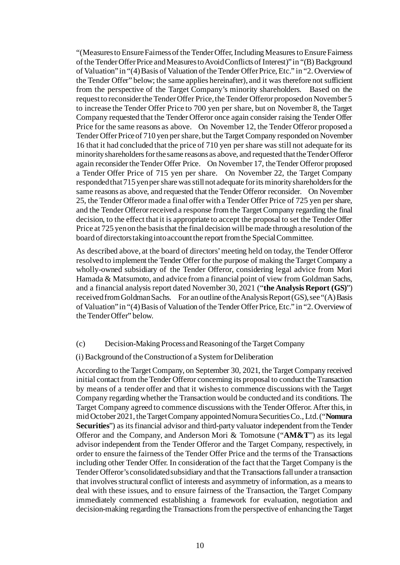"(Measures to Ensure Fairness of the Tender Offer, Including Measures to Ensure Fairness of the Tender Offer Price and Measures to Avoid Conflicts of Interest)" in "(B) Background of Valuation" in "(4) Basis of Valuation of the Tender Offer Price, Etc." in "2. Overviewof the Tender Offer" below; the same applies hereinafter), and it was therefore not sufficient from the perspective of the Target Company's minority shareholders. Based on the request to reconsider the Tender Offer Price, the Tender Offeror proposed on November5 to increase the Tender Offer Price to 700 yen per share, but on November 8, the Target Company requested that the Tender Offeror once again consider raising the Tender Offer Price for the same reasons as above. On November 12, the Tender Offeror proposed a Tender Offer Price of 710 yen per share, but the Target Company responded on November 16 that it had concluded that the price of 710 yen per share was still not adequate for its minority shareholders for the same reasons as above, and requested that the Tender Offeror again reconsider the Tender Offer Price. On November 17, the Tender Offeror proposed a Tender Offer Price of 715 yen per share. On November 22, the Target Company responded that 715 yen per share was still not adequate for its minority shareholders for the same reasons as above, and requested that the Tender Offeror reconsider. On November 25, the Tender Offeror made a final offer with a Tender Offer Price of 725 yen per share, and the Tender Offeror received a response from the Target Company regarding the final decision, to the effect that it is appropriate to accept the proposal to set the Tender Offer Price at 725 yen on the basis that the final decision will be made through a resolution of the board of directors taking into account the report from the Special Committee.

As described above, at the board of directors' meeting held on today, the Tender Offeror resolved to implement the Tender Offer for the purpose of making the Target Company a wholly-owned subsidiary of the Tender Offeror, considering legal advice from Mori Hamada & Matsumoto, and advice from a financial point of view from Goldman Sachs, and a financial analysis report dated November 30, 2021 ("**the Analysis Report (GS)**") received from Goldman Sachs. For an outline of the Analysis Report (GS), see "(A) Basis of Valuation" in "(4) Basis of Valuation of the Tender Offer Price, Etc." in "2. Overview of the Tender Offer" below.

#### (c) Decision-Making Process and Reasoning of the Target Company

#### (i) Background of the Construction of a System for Deliberation

According to the Target Company, on September 30, 2021, the Target Company received initial contact from the Tender Offeror concerning its proposal to conduct the Transaction by means of a tender offer and that it wishes to commence discussions with the Target Company regarding whether the Transaction would be conducted and its conditions. The Target Company agreed to commence discussions with the Tender Offeror. After this, in mid October 2021, the Target Company appointed Nomura Securities Co., Ltd. ("**Nomura Securities**") as its financial advisor and third-party valuator independent from the Tender Offeror and the Company, and Anderson Mori & Tomotsune ("**AM&T**") as its legal advisor independent from the Tender Offeror and the Target Company, respectively, in order to ensure the fairness of the Tender Offer Price and the terms of the Transactions including other Tender Offer. In consideration of the fact that the Target Company is the Tender Offeror's consolidated subsidiary and that the Transactions fall under a transaction that involves structural conflict of interests and asymmetry of information, as a means to deal with these issues, and to ensure fairness of the Transaction, the Target Company immediately commenced establishing a framework for evaluation, negotiation and decision-making regarding the Transactions from the perspective of enhancing the Target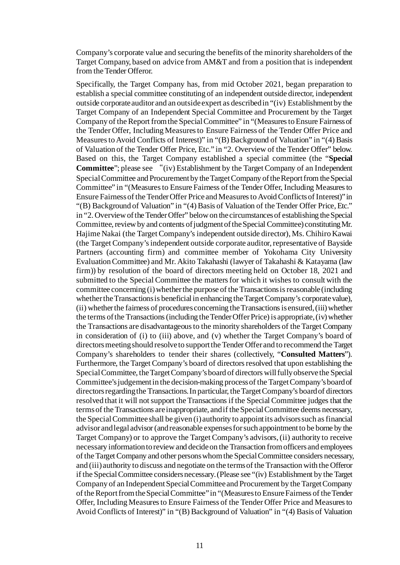Company's corporate value and securing the benefits of the minority shareholders of the Target Company, based on advice from AM&T and from a position that is independent from the Tender Offeror.

Specifically, the Target Company has, from mid October 2021, began preparation to establish a special committee constituting of an independent outside director, independent outside corporate auditor and an outside expert as described in "(iv) Establishment by the Target Company of an Independent Special Committee and Procurement by the Target Company of the Report from the Special Committee" in "(Measures to Ensure Fairness of the Tender Offer, Including Measures to Ensure Fairness of the Tender Offer Price and Measures to Avoid Conflicts of Interest)" in "(B) Background of Valuation" in "(4) Basis of Valuation of the Tender Offer Price, Etc." in "2. Overview of the Tender Offer" below. Based on this, the Target Company established a special committee (the "**Special Committee**"; please see "(iv) Establishment by the Target Company of an Independent Special Committee and Procurement by the Target Company of the Report from the Special Committee" in "(Measures to Ensure Fairness of the Tender Offer, Including Measures to Ensure Fairness of the Tender Offer Price and Measures to Avoid Conflicts of Interest)" in "(B) Background of Valuation" in "(4) Basis of Valuation of the Tender Offer Price, Etc." in "2. Overview of the Tender Offer" below on the circumstances of establishing the Special Committee, review by and contents of judgment of the Special Committee) constituting Mr. Hajime Nakai (the Target Company's independent outside director), Ms. Chihiro Kawai (the Target Company's independent outside corporate auditor, representative of Bayside Partners (accounting firm) and committee member of Yokohama City University Evaluation Committee) and Mr. Akito Takahashi (lawyer of Takahashi & Katayama (law firm)) by resolution of the board of directors meeting held on October 18, 2021 and submitted to the Special Committee the matters for which it wishes to consult with the committee concerning (i) whether the purpose of the Transactions is reasonable (including whether the Transactions is beneficial in enhancing the Target Company's corporate value), (ii) whether the fairness of procedures concerning the Transactions is ensured, (iii) whether the terms of the Transactions (including the Tender Offer Price) is appropriate, (iv) whether the Transactions are disadvantageous to the minority shareholders of the Target Company in consideration of (i) to (iii) above, and (v) whether the Target Company's board of directors meeting should resolve to support the Tender Offer and to recommend the Target Company's shareholders to tender their shares (collectively, "**Consulted Matters**"). Furthermore, the Target Company's board of directors resolved that upon establishing the Special Committee, the Target Company's board of directors will fully observe the Special Committee's judgement in the decision-making process of the Target Company's board of directors regarding the Transactions. In particular, the Target Company's board of directors resolved that it will not support the Transactions if the Special Committee judges that the terms of the Transactions are inappropriate, and if the Special Committee deems necessary, the Special Committee shall be given (i) authority to appoint its advisors such as financial advisor and legal advisor (and reasonable expenses for such appointment to be borne by the Target Company) or to approve the Target Company's advisors, (ii) authority to receive necessary information to review and decide on the Transaction from officers and employees of the Target Company and other persons whom the Special Committee considers necessary, and (iii) authority to discuss and negotiate on the terms of the Transaction with the Offeror if the Special Committee considers necessary. (Please see "(iv) Establishment by the Target Company of an Independent Special Committee and Procurement by the Target Company of the Report from the Special Committee" in "(Measures to Ensure Fairness of the Tender Offer, Including Measures to Ensure Fairness of the Tender Offer Price and Measures to Avoid Conflicts of Interest)" in "(B) Background of Valuation" in "(4) Basis of Valuation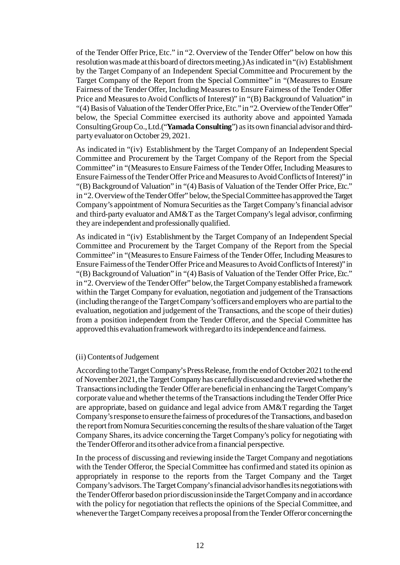of the Tender Offer Price, Etc." in "2. Overview of the Tender Offer" below on how this resolution was made at this board of directors meeting.) As indicated in "(iv) Establishment by the Target Company of an Independent Special Committee and Procurement by the Target Company of the Report from the Special Committee" in "(Measures to Ensure Fairness of the Tender Offer, Including Measures to Ensure Fairness of the Tender Offer Price and Measures to Avoid Conflicts of Interest)" in "(B) Background of Valuation" in "(4) Basis of Valuation of the Tender Offer Price, Etc." in "2. Overview of the Tender Offer" below, the Special Committee exercised its authority above and appointed Yamada Consulting Group Co., Ltd.("**Yamada Consulting**") as its own financial advisor and thirdparty evaluator on October 29, 2021.

As indicated in "(iv) Establishment by the Target Company of an Independent Special Committee and Procurement by the Target Company of the Report from the Special Committee" in "(Measures to Ensure Fairness of the Tender Offer, Including Measures to Ensure Fairness of the Tender Offer Price and Measures to Avoid Conflicts of Interest)" in "(B) Background of Valuation" in "(4) Basis of Valuation of the Tender Offer Price, Etc." in "2. Overview of the Tender Offer" below, the Special Committee has approved the Target Company's appointment of Nomura Securities as the Target Company's financial advisor and third-party evaluator and AM&T as the Target Company's legal advisor, confirming they are independent and professionally qualified.

As indicated in "(iv) Establishment by the Target Company of an Independent Special Committee and Procurement by the Target Company of the Report from the Special Committee" in "(Measures to Ensure Fairness of the Tender Offer, Including Measures to Ensure Fairness of the Tender Offer Price and Measures to Avoid Conflicts of Interest)" in "(B) Background of Valuation" in "(4) Basis of Valuation of the Tender Offer Price, Etc." in "2. Overview of the Tender Offer" below, the Target Company established a framework within the Target Company for evaluation, negotiation and judgement of the Transactions (including the range of the TargetCompany's officers and employers who are partial to the evaluation, negotiation and judgement of the Transactions, and the scope of their duties) from a position independent from the Tender Offeror, and the Special Committee has approved this evaluation framework with regard to its independence and fairness.

## (ii) Contents of Judgement

According to the Target Company's Press Release, from the end of October 2021 to the end of November 2021, the Target Company has carefully discussed and reviewed whether the Transactions including the Tender Offer are beneficial in enhancing the Target Company's corporate value and whether the terms of the Transactions including the Tender Offer Price are appropriate, based on guidance and legal advice from AM&T regarding the Target Company's response to ensure the fairness of procedures of the Transactions, and based on the report from Nomura Securities concerning the results of the share valuation of the Target Company Shares, its advice concerning the Target Company's policy for negotiating with the Tender Offeror and its other advice from a financial perspective.

In the process of discussing and reviewing inside the Target Company and negotiations with the Tender Offeror, the Special Committee has confirmed and stated its opinion as appropriately in response to the reports from the Target Company and the Target Company's advisors. The Target Company's financial advisor handles its negotiations with the Tender Offeror based on prior discussion inside theTargetCompany and in accordance with the policy for negotiation that reflects the opinions of the Special Committee, and whenever the Target Company receives a proposal from the Tender Offeror concerning the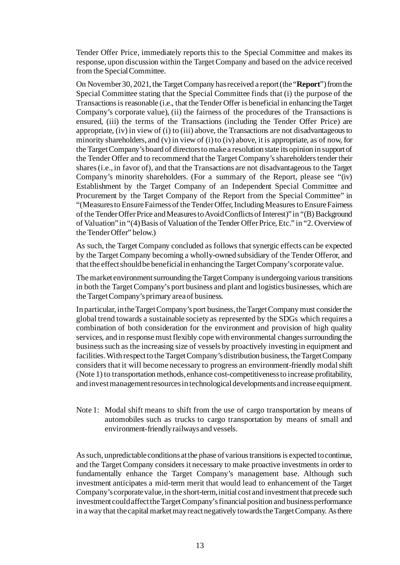Tender Offer Price, immediately reports this to the Special Committee and makes its response, upon discussion within the Target Company and based on the advice received from the Special Committee.

On November 30, 2021, the Target Company has received a report (the "**Report**") from the Special Committee stating that the Special Committee finds that (i) the purpose of the Transactions is reasonable (i.e., that the Tender Offer is beneficial in enhancing the Target Company's corporate value), (ii) the fairness of the procedures of the Transactions is ensured, (iii) the terms of the Transactions (including the Tender Offer Price) are appropriate, (iv) in view of (i) to (iii) above, the Transactions are not disadvantageous to minority shareholders, and (v) in view of (i) to (iv) above, it is appropriate, as of now, for the Target Company's board of directors to make a resolution state its opinion in support of the Tender Offer and to recommend that the Target Company's shareholders tender their shares (i.e., in favor of), and that the Transactions are not disadvantageous to the Target Company's minority shareholders. (For a summary of the Report, please see "(iv) Establishment by the Target Company of an Independent Special Committee and Procurement by the Target Company of the Report from the Special Committee" in "(Measures to Ensure Fairness of the Tender Offer, Including Measures to Ensure Fairness of the Tender Offer Price and Measures to Avoid Conflicts of Interest)" in "(B) Background of Valuation" in "(4) Basis of Valuation of the Tender Offer Price, Etc." in "2. Overview of the Tender Offer" below.)

As such, the Target Company concluded as follows that synergic effects can be expected by the Target Company becoming a wholly-owned subsidiary of the Tender Offeror, and that the effect should be beneficial in enhancing the Target Company's corporate value.

The market environment surrounding the Target Company is undergoing various transitions in both the Target Company's port business and plant and logistics businesses, which are the Target Company's primary area of business.

In particular, in the Target Company's port business, the Target Company must consider the global trend towards a sustainable society as represented by the SDGs which requires a combination of both consideration for the environment and provision of high quality services, and in response must flexibly cope with environmental changes surrounding the business such as the increasing size of vessels by proactively investing in equipment and facilities. With respect to the Target Company's distribution business, the Target Company considers that it will become necessary to progress an environment-friendly modal shift (Note 1) to transportation methods, enhance cost-competitiveness to increase profitability, and invest management resources in technological developments and increase equipment.

Note 1: Modal shift means to shift from the use of cargo transportation by means of automobiles such as trucks to cargo transportation by means of small and environment-friendly railways and vessels.

As such, unpredictable conditions at the phase of various transitions is expected to continue, and the Target Company considers it necessary to make proactive investments in order to fundamentally enhance the Target Company's management base. Although such investment anticipates a mid-term merit that would lead to enhancement of the Target Company's corporate value, in the short-term, initial cost and investment that precede such investment could affect the Target Company's financial position and business performance in a way that the capital market may react negatively towards the Target Company. As there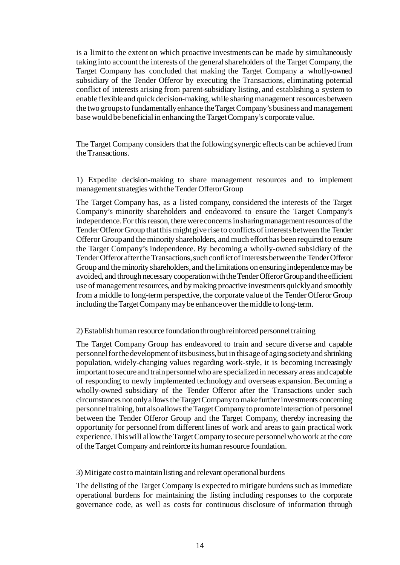is a limit to the extent on which proactive investments can be made by simultaneously taking into account the interests of the general shareholders of the Target Company, the Target Company has concluded that making the Target Company a wholly-owned subsidiary of the Tender Offeror by executing the Transactions, eliminating potential conflict of interests arising from parent-subsidiary listing, and establishing a system to enable flexible and quick decision-making, while sharing management resources between the two groups to fundamentally enhance the Target Company's business and management base would be beneficial in enhancing the Target Company's corporate value.

The Target Company considers that the following synergic effects can be achieved from the Transactions.

1) Expedite decision-making to share management resources and to implement management strategies with the Tender Offeror Group

The Target Company has, as a listed company, considered the interests of the Target Company's minority shareholders and endeavored to ensure the Target Company's independence. For this reason, there were concerns in sharing management resources of the Tender Offeror Group that this might give rise to conflicts of interests between the Tender Offeror Group and the minority shareholders, and much effort has been required to ensure the Target Company's independence. By becoming a wholly-owned subsidiary of the Tender Offeror after the Transactions, such conflict of interests between the Tender Offeror Group and the minority shareholders, and the limitations on ensuring independence may be avoided, and through necessary cooperation with the Tender Offeror Group and the efficient use of management resources, and by making proactive investments quickly and smoothly from a middle to long-term perspective, the corporate value of the Tender Offeror Group including the Target Company may be enhance over the middle to long-term.

## 2) Establish human resource foundation through reinforced personnel training

The Target Company Group has endeavored to train and secure diverse and capable personnel for the development of its business, but in this age of aging society and shrinking population, widely-changing values regarding work-style, it is becoming increasingly important to secure and train personnel who are specialized in necessary areas and capable of responding to newly implemented technology and overseas expansion. Becoming a wholly-owned subsidiary of the Tender Offeror after the Transactions under such circumstances not only allows the Target Company to make further investments concerning personnel training, but also allows theTargetCompany to promote interaction of personnel between the Tender Offeror Group and the Target Company, thereby increasing the opportunity for personnel from different lines of work and areas to gain practical work experience. This will allow the Target Company to secure personnel who work at the core of the Target Company and reinforce its human resource foundation.

#### 3) Mitigate cost to maintain listing and relevant operational burdens

The delisting of the Target Company is expected to mitigate burdens such as immediate operational burdens for maintaining the listing including responses to the corporate governance code, as well as costs for continuous disclosure of information through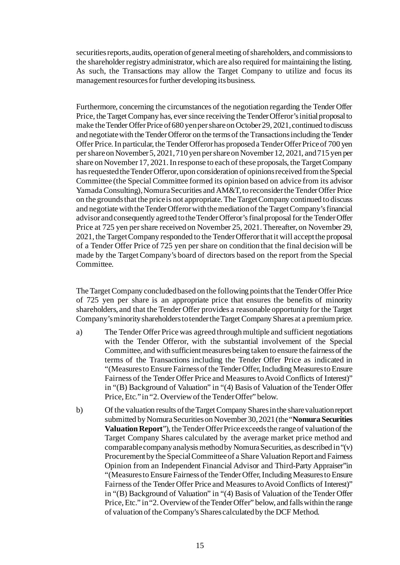securities reports, audits, operation of general meeting of shareholders, and commissions to the shareholder registry administrator, which are also required for maintaining the listing. As such, the Transactions may allow the Target Company to utilize and focus its management resources for further developing its business.

Furthermore, concerning the circumstances of the negotiation regarding the Tender Offer Price, the Target Company has, ever since receiving the Tender Offeror's initial proposal to make the Tender Offer Price of 680 yen per share on October 29, 2021, continued to discuss and negotiate with the Tender Offeror on the terms of the Transactions including the Tender Offer Price. In particular, the Tender Offeror has proposed a Tender Offer Price of 700 yen per share on November 5, 2021, 710 yen per share on November 12, 2021, and 715 yen per share on November 17, 2021. In response to each of these proposals, the Target Company has requested the Tender Offeror, upon consideration of opinions received from the Special Committee (the Special Committee formed its opinion based on advice from its advisor Yamada Consulting), Nomura Securities and AM&T, to reconsider the Tender Offer Price on the grounds that the price is not appropriate. The Target Company continued to discuss and negotiate with the Tender Offeror with the mediation of the Target Company's financial advisor and consequently agreed to the Tender Offeror's final proposal for the Tender Offer Price at 725 yen per share received on November 25, 2021. Thereafter, on November 29, 2021, the Target Company responded to the Tender Offeror that it will accept the proposal of a Tender Offer Price of 725 yen per share on condition that the final decision will be made by the Target Company's board of directors based on the report from the Special Committee.

The Target Company concluded based on the following points that the Tender Offer Price of 725 yen per share is an appropriate price that ensures the benefits of minority shareholders, and that the Tender Offer provides a reasonable opportunity for the Target Company's minority shareholders to tender the Target Company Shares at a premium price.

- a) The Tender Offer Price was agreed through multiple and sufficient negotiations with the Tender Offeror, with the substantial involvement of the Special Committee, and with sufficient measures being taken to ensure the fairnessof the terms of the Transactions including the Tender Offer Price as indicated in "(Measures to Ensure Fairness of the Tender Offer, Including Measures to Ensure Fairness of the Tender Offer Price and Measures to Avoid Conflicts of Interest)" in "(B) Background of Valuation" in "(4) Basis of Valuation of the Tender Offer Price, Etc." in "2. Overview of the Tender Offer" below.
- b) Of the valuation results of the Target Company Shares in the share valuation report submitted by Nomura Securities on November 30, 2021 (the "**Nomura Securities Valuation Report**"), the Tender Offer Price exceeds the range of valuation of the Target Company Shares calculated by the average market price method and comparable company analysis method by Nomura Securities, as described in "(v) Procurement by the Special Committee of a Share Valuation Report and Fairness Opinion from an Independent Financial Advisor and Third-Party Appraiser"in "(Measures to Ensure Fairness of the Tender Offer, Including Measures to Ensure Fairness of the Tender Offer Price and Measures to Avoid Conflicts of Interest)" in "(B) Background of Valuation" in "(4) Basis of Valuation of the Tender Offer Price, Etc." in "2. Overview of the Tender Offer" below, and falls within the range of valuation of the Company's Shares calculated by the DCF Method.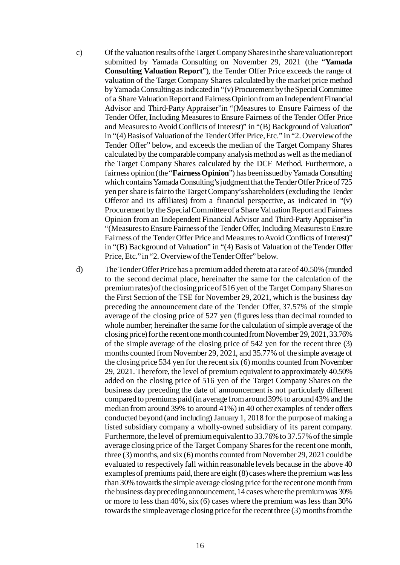c) Of the valuation results of the Target Company Shares in the share valuation report submitted by Yamada Consulting on November 29, 2021 (the "**Yamada Consulting Valuation Report**"), the Tender Offer Price exceeds the range of valuation of the Target Company Shares calculated by the market price method by Yamada Consulting as indicated in "(v) Procurement by the Special Committee of a Share Valuation Report and Fairness Opinion from an Independent Financial Advisor and Third-Party Appraiser"in "(Measures to Ensure Fairness of the Tender Offer, Including Measures to Ensure Fairness of the Tender Offer Price and Measures to Avoid Conflicts of Interest)" in "(B) Background of Valuation" in "(4) Basis of Valuation of the Tender Offer Price, Etc." in "2. Overview of the Tender Offer" below, and exceeds the median of the Target Company Shares calculated by the comparable company analysis method as well as the median of the Target Company Shares calculated by the DCF Method. Furthermore, a fairness opinion (the "**Fairness Opinion**") has been issued by Yamada Consulting which contains Yamada Consulting's judgment that the Tender Offer Price of 725 yen per share is fair to the Target Company's shareholders (excluding the Tender Offeror and its affiliates) from a financial perspective, as indicated in "(v) Procurement by the Special Committee of a Share Valuation Report and Fairness Opinion from an Independent Financial Advisor and Third-Party Appraiser"in "(Measures to Ensure Fairness of the Tender Offer, Including Measures to Ensure Fairness of the Tender Offer Price and Measures to Avoid Conflicts of Interest)" in "(B) Background of Valuation" in "(4) Basis of Valuation of the Tender Offer Price, Etc." in "2. Overview of the Tender Offer" below.

d) The Tender Offer Price has a premium added thereto at a rate of 40.50% (rounded to the second decimal place, hereinafter the same for the calculation of the premium rates) of the closing price of 516 yen of the Target Company Shares on the First Section of the TSE for November 29, 2021, which is the business day preceding the announcement date of the Tender Offer, 37.57% of the simple average of the closing price of 527 yen (figures less than decimal rounded to whole number; hereinafter the same for the calculation of simple average of the closing price) for the recent one month counted from November 29, 2021, 33.76% of the simple average of the closing price of 542 yen for the recent three (3) months counted from November 29, 2021, and 35.77% of the simple average of the closing price 534 yen for the recent six (6) months counted from November 29, 2021. Therefore, the level of premium equivalent to approximately 40.50% added on the closing price of 516 yen of the Target Company Shares on the business day preceding the date of announcement is not particularly different compared to premiums paid (in average from around 39% to around 43% and the median from around 39% to around 41%) in 40 other examples of tender offers conducted beyond (and including) January 1, 2018 for the purpose of making a listed subsidiary company a wholly-owned subsidiary of its parent company. Furthermore, the level of premium equivalent to 33.76% to 37.57% of the simple average closing price of the Target Company Shares for the recent one month, three (3) months, and six (6) months counted from November 29, 2021 could be evaluated to respectively fall within reasonable levels because in the above 40 examples of premiums paid, there are eight (8) cases where the premium was less than 30% towards the simple average closing price for the recent one month from the business day preceding announcement, 14 cases where the premium was 30% or more to less than 40%, six (6) cases where the premium was less than 30% towards the simple average closing price for the recent three (3) months from the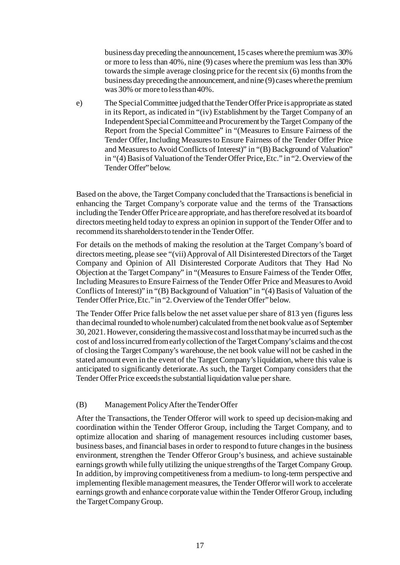business day preceding the announcement, 15 cases where the premium was 30% or more to less than 40%, nine (9) cases where the premium was less than 30% towards the simple average closing price for the recent six (6) months from the business day preceding the announcement, and nine (9) cases where the premium was 30% or more to less than 40%.

e) The Special Committee judged that the Tender Offer Price is appropriate as stated in its Report, as indicated in "(iv) Establishment by the Target Company of an Independent Special Committee and Procurement by the Target Company of the Report from the Special Committee" in "(Measures to Ensure Fairness of the Tender Offer, Including Measures to Ensure Fairness of the Tender Offer Price and Measures to Avoid Conflicts of Interest)" in "(B) Background of Valuation" in "(4) Basis of Valuation of the Tender Offer Price, Etc." in "2. Overview of the Tender Offer" below.

Based on the above, the Target Company concluded that the Transactions is beneficial in enhancing the Target Company's corporate value and the terms of the Transactions including the Tender Offer Price are appropriate, and has therefore resolved at its board of directors meeting held today to express an opinion in support of the Tender Offer and to recommend its shareholders to tender in the Tender Offer.

For details on the methods of making the resolution at the Target Company's board of directors meeting, please see "(vii)Approval of All Disinterested Directors of the Target Company and Opinion of All Disinterested Corporate Auditors that They Had No Objection at the Target Company" in "(Measures to Ensure Fairness of the Tender Offer, Including Measures to Ensure Fairness of the Tender Offer Price and Measures to Avoid Conflicts of Interest)" in "(B) Background of Valuation" in "(4) Basis of Valuation of the Tender Offer Price, Etc." in "2. Overview of the Tender Offer" below.

The Tender Offer Price falls below the net asset value per share of 813 yen (figures less than decimal rounded to whole number) calculated from the net book value as of September 30, 2021. However, considering the massive cost and loss that may be incurred such as the cost of and loss incurred from early collection of the Target Company's claims and the cost of closing the Target Company's warehouse, the net book value will not be cashed in the stated amount even in the event of the Target Company's liquidation, where this value is anticipated to significantly deteriorate. As such, the Target Company considers that the Tender Offer Price exceeds the substantial liquidation value per share.

## (B) Management Policy After the Tender Offer

After the Transactions, the Tender Offeror will work to speed up decision-making and coordination within the Tender Offeror Group, including the Target Company, and to optimize allocation and sharing of management resources including customer bases, business bases, and financial bases in order to respond to future changes in the business environment, strengthen the Tender Offeror Group's business, and achieve sustainable earnings growth while fully utilizing the unique strengths of the Target Company Group. In addition, by improving competitiveness from a medium- to long-term perspective and implementing flexible management measures, the Tender Offeror will work to accelerate earnings growth and enhance corporate value within the Tender Offeror Group, including the Target Company Group.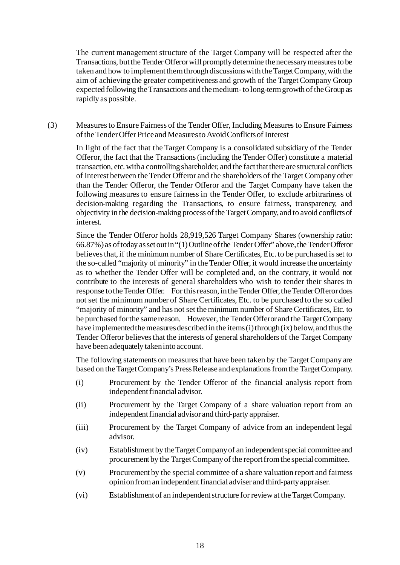The current management structure of the Target Company will be respected after the Transactions, but the Tender Offeror will promptly determine the necessary measures to be taken and how to implement them through discussions with the Target Company, with the aim of achieving the greater competitiveness and growth of the Target Company Group expected following the Transactions and the medium-to long-term growth of the Group as rapidly as possible.

(3) Measures to Ensure Fairness of the Tender Offer, Including Measures to Ensure Fairness of the Tender Offer Price and Measures to Avoid Conflicts of Interest

In light of the fact that the Target Company is a consolidated subsidiary of the Tender Offeror, the fact that the Transactions (including the Tender Offer) constitute a material transaction, etc. with a controlling shareholder, and the fact that there are structural conflicts of interest between the Tender Offeror and the shareholders of the Target Company other than the Tender Offeror, the Tender Offeror and the Target Company have taken the following measures to ensure fairness in the Tender Offer, to exclude arbitrariness of decision-making regarding the Transactions, to ensure fairness, transparency, and objectivity in the decision-making process of the Target Company, and to avoid conflicts of interest.

Since the Tender Offeror holds 28,919,526 Target Company Shares (ownership ratio: 66.87%) as of today as set out in "(1) Outline of the Tender Offer" above, the Tender Offeror believes that, if the minimum number of Share Certificates, Etc. to be purchased is set to the so-called "majority of minority" in the Tender Offer, it would increase the uncertainty as to whether the Tender Offer will be completed and, on the contrary, it would not contribute to the interests of general shareholders who wish to tender their shares in response to the Tender Offer. For this reason, in the Tender Offer, the Tender Offeror does not set the minimum number of Share Certificates, Etc. to be purchased to the so called "majority of minority" and has not set the minimum number of Share Certificates, Etc. to be purchased for the same reason. However, the Tender Offeror and the Target Company have implemented the measures described in the items (i) through (ix) below, and thus the Tender Offeror believes that the interests of general shareholders of the Target Company have been adequately taken into account.

The following statements on measures that have been taken by the Target Company are based on the Target Company's Press Release and explanations from the Target Company.

- (i) Procurement by the Tender Offeror of the financial analysis report from independent financial advisor.
- (ii) Procurement by the Target Company of a share valuation report from an independent financial advisor and third-party appraiser.
- (iii) Procurement by the Target Company of advice from an independent legal advisor.
- (iv) Establishment by the Target Company of an independent special committee and procurementby the Target Company of the report from the special committee.
- (v) Procurement by the special committee of a share valuation report and fairness opinion from an independent financial adviser and third-party appraiser.
- (vi) Establishment of an independent structure for review at the Target Company.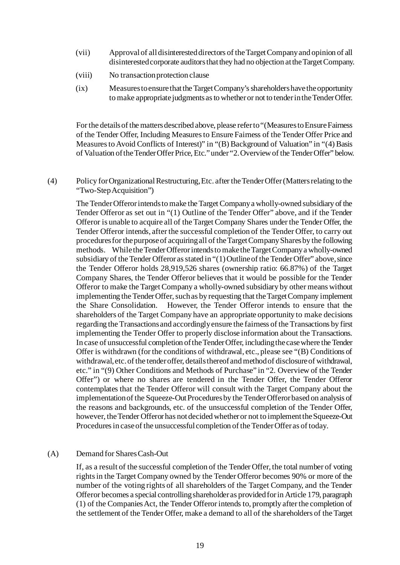- (vii) Approval of all disinterested directors of the Target Company and opinion of all disinterested corporate auditors that they had no objection at the Target Company.
- (viii) No transaction protection clause
- (ix) Measures to ensure that the Target Company's shareholders have the opportunity to make appropriate judgments as to whether or not to tender in the Tender Offer.

For the details of the matters described above, please refer to "(Measures to EnsureFairness of the Tender Offer, Including Measures to Ensure Fairness of the Tender Offer Price and Measures to Avoid Conflicts of Interest)" in "(B) Background of Valuation" in "(4) Basis of Valuation of the Tender Offer Price, Etc."under "2.Overviewof the Tender Offer" below.

(4) Policy for Organizational Restructuring, Etc. after the Tender Offer (Matters relating to the "Two-Step Acquisition")

The Tender Offeror intends to make the Target Company a wholly-owned subsidiary of the Tender Offeror as set out in "(1) Outline of the Tender Offer" above, and if the Tender Offeror is unable to acquire all of the Target Company Shares under the Tender Offer, the Tender Offeror intends, after the successful completion of the Tender Offer, to carry out procedures for the purpose of acquiring all of the Target Company Shares by the following methods. While the Tender Offeror intends to make the Target Company a wholly-owned subsidiary of the Tender Offeror as stated in "(1) Outline of the Tender Offer" above, since the Tender Offeror holds 28,919,526 shares (ownership ratio: 66.87%) of the Target Company Shares, the Tender Offeror believes that it would be possible for the Tender Offeror to make the Target Company a wholly-owned subsidiary by other means without implementing the Tender Offer, such as by requesting that the Target Company implement the Share Consolidation. However, the Tender Offeror intends to ensure that the shareholders of the Target Company have an appropriate opportunity to make decisions regarding the Transactions and accordingly ensure the fairness of the Transactions by first implementing the Tender Offer to properly disclose information about the Transactions. In case of unsuccessful completion of the Tender Offer, including the case where the Tender Offer is withdrawn (for the conditions of withdrawal, etc., please see "(B) Conditions of withdrawal, etc. of the tender offer, details thereof and method of disclosure of withdrawal, etc." in "(9) Other Conditions and Methods of Purchase" in "2. Overview of the Tender Offer") or where no shares are tendered in the Tender Offer, the Tender Offeror contemplates that the Tender Offeror will consult with the Target Company about the implementation of the Squeeze-Out Procedures by the Tender Offeror based on analysis of the reasons and backgrounds, etc. of the unsuccessful completion of the Tender Offer, however, the Tender Offeror has not decided whether or not to implement the Squeeze-Out Procedures in case of the unsuccessful completion of the Tender Offer as of today.

#### (A) Demand for Shares Cash-Out

If, as a result of the successful completion of the Tender Offer, the total number of voting rights in the Target Company owned by the Tender Offeror becomes 90% or more of the number of the voting rights of all shareholders of the Target Company, and the Tender Offeror becomes a special controlling shareholder as provided for in Article 179, paragraph (1) of the Companies Act, the Tender Offeror intends to, promptly after the completion of the settlement of the Tender Offer, make a demand to all of the shareholders of the Target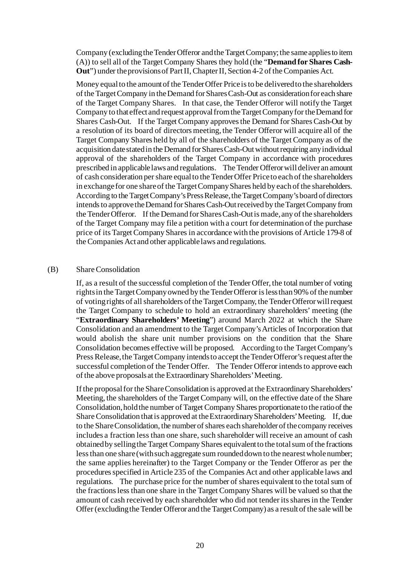Company (excluding the Tender Offeror and the Target Company; the same applies to item (A)) to sell all of the Target Company Shares they hold (the "**Demand for Shares Cash-Out**") under the provisions of Part II, Chapter II, Section 4-2 of the Companies Act.

Money equal to the amount of the Tender Offer Price is to be delivered to the shareholders of the Target Company in the Demand for Shares Cash-Out as consideration for each share of the Target Company Shares. In that case, the Tender Offeror will notify the Target Company to that effect and request approval from the Target Company for the Demand for Shares Cash-Out. If the Target Company approves the Demand for Shares Cash-Out by a resolution of its board of directors meeting, the Tender Offeror will acquire all of the Target Company Shares held by all of the shareholders of the Target Company as of the acquisition date stated in the Demand for Shares Cash-Out without requiring any individual approval of the shareholders of the Target Company in accordance with procedures prescribed in applicable laws and regulations. The Tender Offeror will deliver an amount of cash consideration per share equal to the Tender Offer Price to each of the shareholders in exchange for one share of the Target Company Shares held by each of the shareholders. According to the Target Company's Press Release, the Target Company's board of directors intends to approve the Demand for Shares Cash-Out received by the Target Company from the Tender Offeror. If the Demand for Shares Cash-Out is made, any of the shareholders of the Target Company may file a petition with a court for determination of the purchase price of its Target Company Shares in accordance with the provisions of Article 179-8 of the Companies Act and other applicable laws and regulations.

#### (B) Share Consolidation

If, as a result of the successful completion of the Tender Offer, the total number of voting rights in the Target Company owned by the Tender Offeror is less than 90% of the number of voting rights of all shareholders of the Target Company, the Tender Offeror will request the Target Company to schedule to hold an extraordinary shareholders' meeting (the "**Extraordinary Shareholders' Meeting**") around March 2022 at which the Share Consolidation and an amendment to the Target Company's Articles of Incorporation that would abolish the share unit number provisions on the condition that the Share Consolidation becomes effective will be proposed. According to the Target Company's Press Release, the Target Company intends to accept the Tender Offeror's request after the successful completion of the Tender Offer. The Tender Offeror intends to approve each of the above proposals at the Extraordinary Shareholders' Meeting.

If the proposal for the Share Consolidation is approved at the Extraordinary Shareholders' Meeting, the shareholders of the Target Company will, on the effective date of the Share Consolidation, hold the number of Target Company Shares proportionate to the ratio of the Share Consolidation that is approved at the Extraordinary Shareholders' Meeting. If, due to the Share Consolidation, the number of shares each shareholder of the company receives includes a fraction less than one share, such shareholder will receive an amount of cash obtained by selling the Target Company Shares equivalent to the total sum of the fractions less than one share (with such aggregate sum rounded down to the nearest whole number; the same applies hereinafter) to the Target Company or the Tender Offeror as per the procedures specified in Article 235 of the Companies Act and other applicable laws and regulations. The purchase price for the number of shares equivalent to the total sum of the fractions less than one share in the Target Company Shares will be valued so that the amount of cash received by each shareholder who did not tender its shares in the Tender Offer (excluding the Tender Offeror and the Target Company) as a result of the sale will be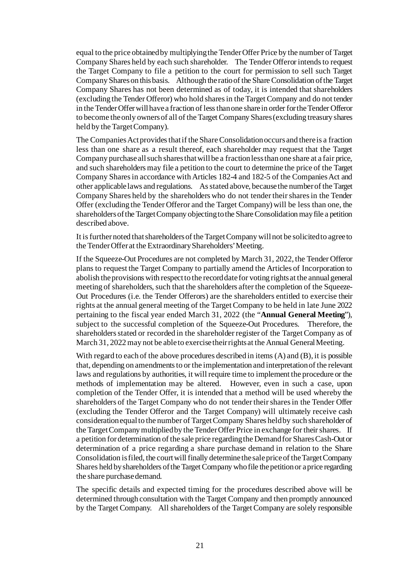equal to the price obtained by multiplying the Tender Offer Price by the number of Target Company Shares held by each such shareholder. The Tender Offeror intends to request the Target Company to file a petition to the court for permission to sell such Target Company Shares on this basis. Although the ratio of the Share Consolidation of the Target Company Shares has not been determined as of today, it is intended that shareholders (excluding the Tender Offeror) who hold shares in the Target Company and do not tender in the Tender Offer will have a fraction of less than one share in order for the Tender Offeror to become the only owners of all of the Target Company Shares (excluding treasury shares held by the Target Company).

The Companies Act provides thatif the Share Consolidation occurs and there is a fraction less than one share as a result thereof, each shareholder may request that the Target Company purchase all such shares that will be a fraction less than one share at a fair price, and such shareholders may file a petition to the court to determine the price of the Target Company Shares in accordance with Articles 182-4 and 182-5 of the Companies Act and other applicable laws and regulations. As stated above, because the number of the Target Company Shares held by the shareholders who do not tender their shares in the Tender Offer (excluding the Tender Offeror and the Target Company) will be less than one, the shareholders of the Target Company objecting to the Share Consolidation may file a petition described above.

It is further noted that shareholders of the Target Company will not be solicited to agree to the Tender Offer at the Extraordinary Shareholders' Meeting.

If the Squeeze-Out Procedures are not completed by March 31, 2022, the Tender Offeror plans to request the Target Company to partially amend the Articles of Incorporation to abolish the provisions with respect to the record date for voting rights at the annual general meeting of shareholders, such that the shareholders after the completion of the Squeeze-Out Procedures (i.e. the Tender Offerors) are the shareholders entitled to exercise their rights at the annual general meeting of the Target Company to be held in late June 2022 pertaining to the fiscal year ended March 31, 2022 (the "**Annual General Meeting**"), subject to the successful completion of the Squeeze-Out Procedures. Therefore, the shareholders stated or recorded in the shareholder register of the Target Company as of March 31, 2022 may not be able to exercise their rights at the Annual General Meeting.

With regard to each of the above procedures described in items (A) and (B), it is possible that, depending on amendments to or the implementation and interpretation of the relevant laws and regulations by authorities, it will require time to implement the procedure or the methods of implementation may be altered. However, even in such a case, upon completion of the Tender Offer, it is intended that a method will be used whereby the shareholders of the Target Company who do not tender their shares in the Tender Offer (excluding the Tender Offeror and the Target Company) will ultimately receive cash consideration equal to the number of Target Company Shares held by such shareholder of the Target Company multiplied by the Tender Offer Price in exchange for their shares. If a petition for determination of the sale price regarding the Demand for Shares Cash-Out or determination of a price regarding a share purchase demand in relation to the Share Consolidation is filed, the court will finally determine the sale price of the Target Company Shares held by shareholders of the Target Company who file the petition or a price regarding the share purchase demand.

The specific details and expected timing for the procedures described above will be determined through consultation with the Target Company and then promptly announced by the Target Company. All shareholders of the Target Company are solely responsible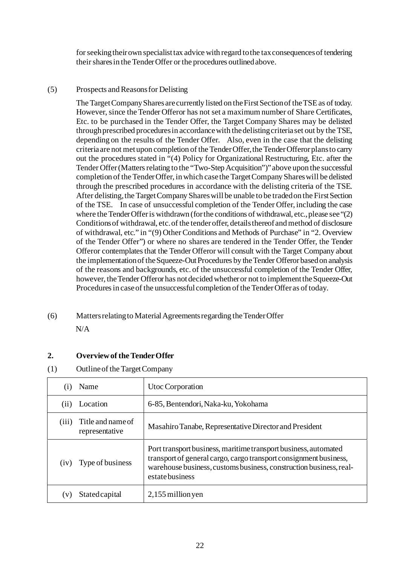for seeking their own specialist tax advice with regard to the tax consequences of tendering their shares in the Tender Offer or the procedures outlined above.

# (5) Prospects and Reasons for Delisting

The Target Company Shares are currently listed on the First Section of the TSE as of today. However, since the Tender Offeror has not set a maximum number of Share Certificates, Etc. to be purchased in the Tender Offer, the Target Company Shares may be delisted through prescribed procedures in accordance with the delisting criteria set out by the TSE, depending on the results of the Tender Offer. Also, even in the case that the delisting criteria are not met upon completion of the Tender Offer, the Tender Offeror plans to carry out the procedures stated in "(4) Policy for Organizational Restructuring, Etc. after the Tender Offer (Matters relating to the "Two-Step Acquisition")" above upon the successful completion of the Tender Offer, in which case the Target Company Shares will be delisted through the prescribed procedures in accordance with the delisting criteria of the TSE. After delisting, the Target Company Shares will be unable to be traded on the First Section of the TSE. In case of unsuccessful completion of the Tender Offer, including the case where the Tender Offer is withdrawn (for the conditions of withdrawal, etc., please see "(2) Conditions of withdrawal, etc. of the tender offer, details thereof and method of disclosure of withdrawal, etc." in "(9) Other Conditions and Methods of Purchase" in "2. Overview of the Tender Offer") or where no shares are tendered in the Tender Offer, the Tender Offeror contemplates that the Tender Offeror will consult with the Target Company about the implementation of the Squeeze-Out Procedures by the Tender Offeror based on analysis of the reasons and backgrounds, etc. of the unsuccessful completion of the Tender Offer, however, the Tender Offeror has not decided whether or not to implement the Squeeze-Out Procedures in case of the unsuccessful completion of the Tender Offer as of today.

# (6) Matters relating to Material Agreements regarding the Tender Offer

N/A

# **2. Overview of the Tender Offer**

(1) Outline of the Target Company

| (1)          | Name                                | Utoc Corporation                                                                                                                                                                                                              |
|--------------|-------------------------------------|-------------------------------------------------------------------------------------------------------------------------------------------------------------------------------------------------------------------------------|
| (11)         | Location                            | 6-85, Bentendori, Naka-ku, Yokohama                                                                                                                                                                                           |
| (iii)        | Title and name of<br>representative | Masahiro Tanabe, Representative Director and President                                                                                                                                                                        |
| (1V)         | Type of business                    | Port transport business, maritime transport business, automated<br>transport of general cargo, cargo transport consignment business,<br>warehouse business, customs business, construction business, real-<br>estate business |
| $\mathbf{V}$ | Stated capital                      | $2,155$ million yen                                                                                                                                                                                                           |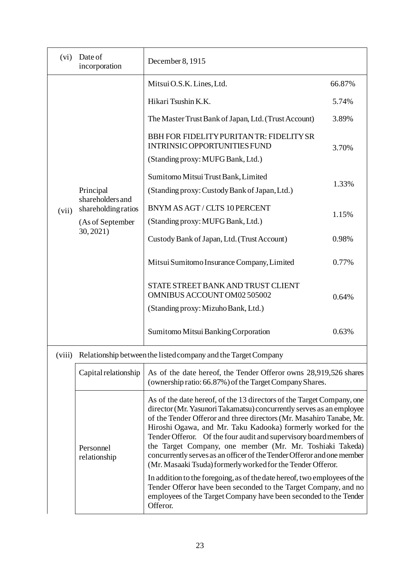| (vi)   | Date of<br>incorporation                                                                                                                                                                                                                                                                                                                                                                                                                                                                                                                                                                     | December 8, 1915                                                                                                                                                                                                             |        |  |
|--------|----------------------------------------------------------------------------------------------------------------------------------------------------------------------------------------------------------------------------------------------------------------------------------------------------------------------------------------------------------------------------------------------------------------------------------------------------------------------------------------------------------------------------------------------------------------------------------------------|------------------------------------------------------------------------------------------------------------------------------------------------------------------------------------------------------------------------------|--------|--|
|        |                                                                                                                                                                                                                                                                                                                                                                                                                                                                                                                                                                                              | Mitsui O.S.K. Lines, Ltd.                                                                                                                                                                                                    | 66.87% |  |
|        |                                                                                                                                                                                                                                                                                                                                                                                                                                                                                                                                                                                              | Hikari Tsushin K.K.                                                                                                                                                                                                          | 5.74%  |  |
|        |                                                                                                                                                                                                                                                                                                                                                                                                                                                                                                                                                                                              | The Master Trust Bank of Japan, Ltd. (Trust Account)                                                                                                                                                                         | 3.89%  |  |
|        | BBH FOR FIDELITY PURITAN TR: FIDELITY SR<br>INTRINSIC OPPORTUNITIES FUND<br>(Standing proxy: MUFG Bank, Ltd.)                                                                                                                                                                                                                                                                                                                                                                                                                                                                                | 3.70%                                                                                                                                                                                                                        |        |  |
|        | Principal                                                                                                                                                                                                                                                                                                                                                                                                                                                                                                                                                                                    | Sumitomo Mitsui Trust Bank, Limited<br>(Standing proxy: Custody Bank of Japan, Ltd.)                                                                                                                                         | 1.33%  |  |
| (vii)  | shareholders and<br>shareholding ratios<br>(As of September<br>30, 2021)                                                                                                                                                                                                                                                                                                                                                                                                                                                                                                                     | BNYM AS AGT / CLTS 10 PERCENT<br>(Standing proxy: MUFG Bank, Ltd.)                                                                                                                                                           | 1.15%  |  |
|        |                                                                                                                                                                                                                                                                                                                                                                                                                                                                                                                                                                                              | Custody Bank of Japan, Ltd. (Trust Account)                                                                                                                                                                                  | 0.98%  |  |
|        |                                                                                                                                                                                                                                                                                                                                                                                                                                                                                                                                                                                              | Mitsui Sumitomo Insurance Company, Limited                                                                                                                                                                                   | 0.77%  |  |
|        |                                                                                                                                                                                                                                                                                                                                                                                                                                                                                                                                                                                              | STATE STREET BANK AND TRUST CLIENT<br>OMNIBUS ACCOUNT OM02 505002                                                                                                                                                            | 0.64%  |  |
|        |                                                                                                                                                                                                                                                                                                                                                                                                                                                                                                                                                                                              | (Standing proxy: Mizuho Bank, Ltd.)                                                                                                                                                                                          |        |  |
|        |                                                                                                                                                                                                                                                                                                                                                                                                                                                                                                                                                                                              | Sumitomo Mitsui Banking Corporation                                                                                                                                                                                          | 0.63%  |  |
| (viii) |                                                                                                                                                                                                                                                                                                                                                                                                                                                                                                                                                                                              | Relationship between the listed company and the Target Company                                                                                                                                                               |        |  |
|        | Capital relationship                                                                                                                                                                                                                                                                                                                                                                                                                                                                                                                                                                         | As of the date hereof, the Tender Offeror owns 28,919,526 shares<br>(ownership ratio: 66.87%) of the Target Company Shares.                                                                                                  |        |  |
|        | As of the date hereof, of the 13 directors of the Target Company, one<br>director (Mr. Yasunori Takamatsu) concurrently serves as an employee<br>of the Tender Offeror and three directors (Mr. Masahiro Tanabe, Mr.<br>Hiroshi Ogawa, and Mr. Taku Kadooka) formerly worked for the<br>Tender Offeror. Of the four audit and supervisory board members of<br>the Target Company, one member (Mr. Mr. Toshiaki Takeda)<br>Personnel<br>concurrently serves as an officer of the Tender Offeror and one member<br>relationship<br>(Mr. Masaaki Tsuda) formerly worked for the Tender Offeror. |                                                                                                                                                                                                                              |        |  |
|        |                                                                                                                                                                                                                                                                                                                                                                                                                                                                                                                                                                                              | In addition to the foregoing, as of the date hereof, two employees of the<br>Tender Offeror have been seconded to the Target Company, and no<br>employees of the Target Company have been seconded to the Tender<br>Offeror. |        |  |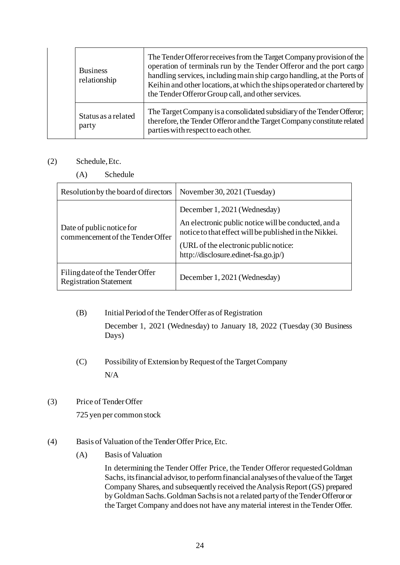| <b>Business</b><br>relationship |                              | The Tender Offeror receives from the Target Company provision of the<br>operation of terminals run by the Tender Offeror and the port cargo<br>handling services, including main ship cargo handling, at the Ports of<br>Keihin and other locations, at which the ships operated or chartered by<br>the Tender Offeror Group call, and other services. |  |  |  |
|---------------------------------|------------------------------|--------------------------------------------------------------------------------------------------------------------------------------------------------------------------------------------------------------------------------------------------------------------------------------------------------------------------------------------------------|--|--|--|
|                                 | Status as a related<br>party | The Target Company is a consolidated subsidiary of the Tender Offeror;<br>therefore, the Tender Offeror and the Target Company constitute related<br>parties with respect to each other.                                                                                                                                                               |  |  |  |

# (2) Schedule, Etc.

(A) Schedule

| Resolution by the board of directors                             | November 30, 2021 (Tuesday)                                                                                                                    |  |  |
|------------------------------------------------------------------|------------------------------------------------------------------------------------------------------------------------------------------------|--|--|
| Date of public notice for                                        | December 1, 2021 (Wednesday)<br>An electronic public notice will be conducted, and a<br>notice to that effect will be published in the Nikkei. |  |  |
| commencement of the Tender Offer                                 | (URL of the electronic public notice:<br>http://disclosure.edinet-fsa.go.jp/)                                                                  |  |  |
| Filing date of the Tender Offer<br><b>Registration Statement</b> | December 1, 2021 (Wednesday)                                                                                                                   |  |  |

(B) Initial Period of the Tender Offer as of Registration

December 1, 2021 (Wednesday) to January 18, 2022 (Tuesday (30 Business Days)

- (C) Possibility of Extension by Request of the Target Company N/A
- (3) Price of Tender Offer

725 yen per common stock

- (4) Basis of Valuation of the Tender Offer Price, Etc.
	- (A) Basis of Valuation

In determining the Tender Offer Price, the Tender Offeror requested Goldman Sachs, its financial advisor, to perform financial analyses of the value of the Target Company Shares, and subsequently received the Analysis Report (GS) prepared by Goldman Sachs. Goldman Sachs is not a related party of the Tender Offeror or the Target Company and does not have any material interest in the Tender Offer.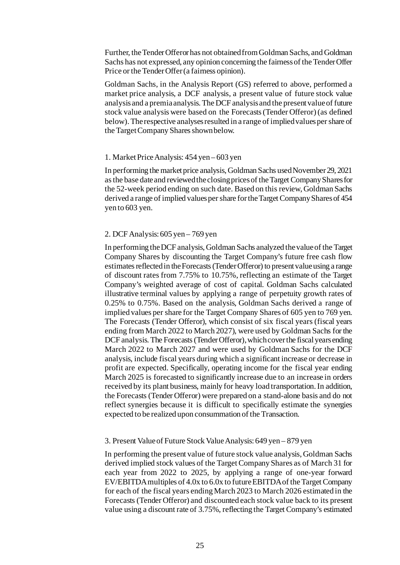Further, the Tender Offeror has not obtained from Goldman Sachs, and Goldman Sachs has not expressed, any opinion concerning the fairness of the Tender Offer Price or the Tender Offer (a fairness opinion).

Goldman Sachs, in the Analysis Report (GS) referred to above, performed a market price analysis, a DCF analysis, a present value of future stock value analysis and a premia analysis. The DCF analysis and the present value of future stock value analysis were based on the Forecasts (Tender Offeror) (as defined below). The respective analyses resulted in a range of implied values per share of the Target Company Shares shown below.

#### 1. Market Price Analysis: 454 yen – 603 yen

In performing the market price analysis, Goldman Sachs used November 29, 2021 as the base date and reviewed the closing prices of the Target Company Shares for the 52-week period ending on such date. Based on this review, Goldman Sachs derived a range of implied values per share for the Target Company Shares of 454 yen to 603 yen.

#### 2. DCF Analysis: 605 yen – 769 yen

In performing the DCF analysis, Goldman Sachs analyzed the value of the Target Company Shares by discounting the Target Company's future free cash flow estimates reflected in the Forecasts (Tender Offeror) to present value using a range of discount rates from 7.75% to 10.75%, reflecting an estimate of the Target Company's weighted average of cost of capital. Goldman Sachs calculated illustrative terminal values by applying a range of perpetuity growth rates of 0.25% to 0.75%. Based on the analysis, Goldman Sachs derived a range of implied values per share for the Target Company Shares of 605 yen to 769 yen. The Forecasts (Tender Offeror), which consist of six fiscal years (fiscal years ending from March 2022 to March 2027), were used by Goldman Sachs for the DCF analysis. The Forecasts (Tender Offeror), which cover the fiscal years ending March 2022 to March 2027 and were used by Goldman Sachs for the DCF analysis, include fiscal years during which a significant increase or decrease in profit are expected. Specifically, operating income for the fiscal year ending March 2025 is forecasted to significantly increase due to an increase in orders received by its plant business, mainly for heavy load transportation. In addition, the Forecasts (Tender Offeror) were prepared on a stand-alone basis and do not reflect synergies because it is difficult to specifically estimate the synergies expected to be realized upon consummation of the Transaction.

#### 3. Present Value of Future Stock Value Analysis: 649 yen – 879 yen

In performing the present value of future stock value analysis, Goldman Sachs derived implied stock values of the Target Company Shares as of March 31 for each year from 2022 to 2025, by applying a range of one-year forward EV/EBITDA multiples of 4.0x to 6.0x to future EBITDA of the Target Company for each of the fiscal years ending March 2023 to March 2026 estimated in the Forecasts (Tender Offeror) and discounted each stock value back to its present value using a discount rate of 3.75%, reflecting the Target Company's estimated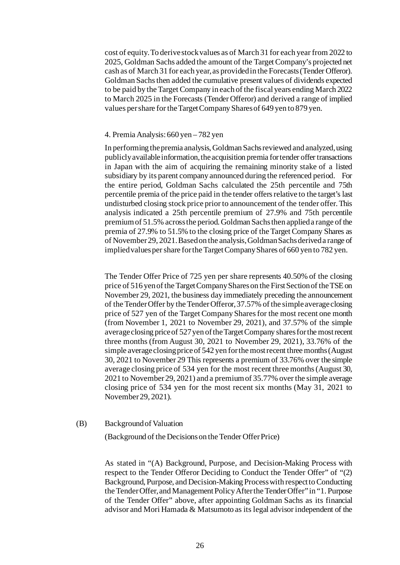cost of equity. To derive stock values as of March 31 for each year from 2022 to 2025, Goldman Sachs added the amount of the Target Company's projected net cash as of March 31 for each year, as provided in the Forecasts (Tender Offeror). Goldman Sachs then added the cumulative present values of dividends expected to be paid by the Target Company in each of the fiscal years ending March 2022 to March 2025 in the Forecasts (Tender Offeror) and derived a range of implied values per share for the Target Company Shares of 649 yen to 879 yen.

#### 4. Premia Analysis: 660 yen – 782 yen

In performing the premia analysis, Goldman Sachs reviewed and analyzed, using publicly available information, the acquisition premia for tender offer transactions in Japan with the aim of acquiring the remaining minority stake of a listed subsidiary by its parent company announced during the referenced period. For the entire period, Goldman Sachs calculated the 25th percentile and 75th percentile premia of the price paid in the tender offers relative to the target's last undisturbed closing stock price prior to announcement of the tender offer. This analysis indicated a 25th percentile premium of 27.9% and 75th percentile premium of 51.5% across the period. Goldman Sachs then applied a range of the premia of 27.9% to 51.5% to the closing price of the Target Company Shares as of November 29, 2021. Based on the analysis, Goldman Sachs derived a range of implied values per share for the Target Company Shares of 660 yen to 782 yen.

The Tender Offer Price of 725 yen per share represents 40.50% of the closing price of 516 yen of the Target Company Shares on the First Section of the TSE on November 29, 2021, the business day immediately preceding the announcement of the Tender Offer by the Tender Offeror, 37.57% of the simple average closing price of 527 yen of the Target Company Shares for the most recent one month (from November 1, 2021 to November 29, 2021), and 37.57% of the simple average closing price of 527 yen of the Target Company shares for the most recent three months (from August 30, 2021 to November 29, 2021), 33.76% of the simple average closing price of 542 yen for the most recent three months (August 30, 2021 to November 29 This represents a premium of 33.76% over the simple average closing price of 534 yen for the most recent three months (August 30, 2021 to November 29, 2021) and a premium of 35.77% over the simple average closing price of 534 yen for the most recent six months (May 31, 2021 to November 29, 2021).

(B) Background of Valuation

(Background of the Decisions on the Tender Offer Price)

As stated in "(A) Background, Purpose, and Decision-Making Process with respect to the Tender Offeror Deciding to Conduct the Tender Offer" of "(2) Background, Purpose, and Decision-Making Process with respect to Conducting the Tender Offer, and Management Policy After the Tender Offer"in "1. Purpose of the Tender Offer" above, after appointing Goldman Sachs as its financial advisor and Mori Hamada & Matsumoto as its legal advisor independent of the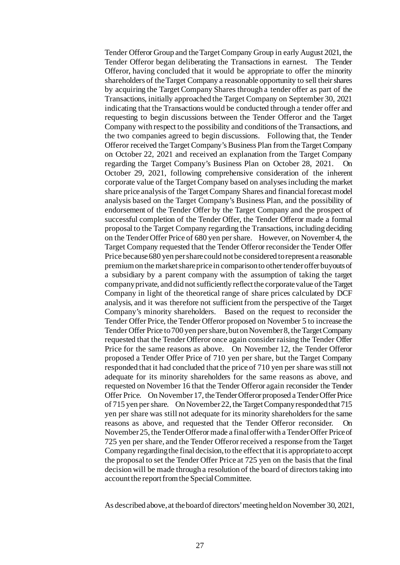Tender Offeror Group and the Target Company Group in early August 2021, the Tender Offeror began deliberating the Transactions in earnest. The Tender Offeror, having concluded that it would be appropriate to offer the minority shareholders of the Target Company a reasonable opportunity to sell their shares by acquiring the Target Company Shares through a tender offer as part of the Transactions, initially approached the Target Company on September 30, 2021 indicating that the Transactions would be conducted through a tender offer and requesting to begin discussions between the Tender Offeror and the Target Company with respect to the possibility and conditions of the Transactions, and the two companies agreed to begin discussions. Following that, the Tender Offeror received the Target Company's Business Plan from the Target Company on October 22, 2021 and received an explanation from the Target Company regarding the Target Company's Business Plan on October 28, 2021. On October 29, 2021, following comprehensive consideration of the inherent corporate value of the Target Company based on analyses including the market share price analysis of the Target Company Shares and financial forecast model analysis based on the Target Company's Business Plan, and the possibility of endorsement of the Tender Offer by the Target Company and the prospect of successful completion of the Tender Offer, the Tender Offeror made a formal proposal to the Target Company regarding the Transactions, including deciding on the Tender Offer Price of 680 yen per share. However, on November 4, the Target Company requested that the Tender Offeror reconsider the Tender Offer Price because 680 yen per share could not be considered to represent a reasonable premium on the market share price in comparison to other tender offer buyouts of a subsidiary by a parent company with the assumption of taking the target company private, and did not sufficiently reflect the corporate value of the Target Company in light of the theoretical range of share prices calculated by DCF analysis, and it was therefore not sufficient from the perspective of the Target Company's minority shareholders. Based on the request to reconsider the Tender Offer Price, the Tender Offeror proposed on November 5 to increase the Tender Offer Price to 700 yen per share, but on November 8, the Target Company requested that the Tender Offeror once again consider raising the Tender Offer Price for the same reasons as above. On November 12, the Tender Offeror proposed a Tender Offer Price of 710 yen per share, but the Target Company responded that it had concluded that the price of 710 yen per share was still not adequate for its minority shareholders for the same reasons as above, and requested on November 16 that the Tender Offeror again reconsider the Tender Offer Price. On November 17, the Tender Offeror proposed a Tender Offer Price of 715 yen per share. On November 22, the Target Company responded that 715 yen per share was still not adequate for its minority shareholders for the same reasons as above, and requested that the Tender Offeror reconsider. On November 25, the Tender Offeror made a final offer with a Tender Offer Price of 725 yen per share, and the Tender Offeror received a response from the Target Company regarding the final decision, to the effect that it is appropriate to accept the proposal to set the Tender Offer Price at 725 yen on the basis that the final decision will be made through a resolution of the board of directors taking into account the report from the Special Committee.

As described above, at the board of directors' meeting held on November 30, 2021,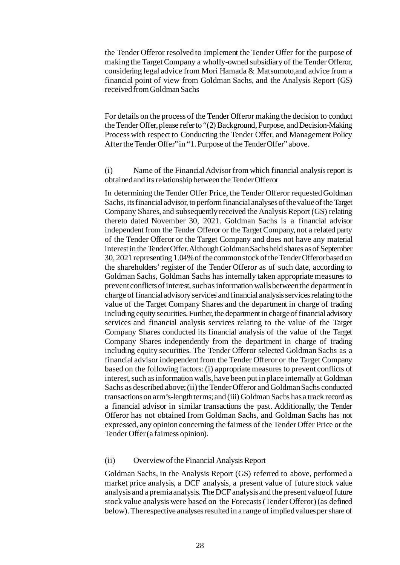the Tender Offeror resolved to implement the Tender Offer for the purpose of making the Target Company a wholly-owned subsidiary of the Tender Offeror, considering legal advice from Mori Hamada & Matsumoto,and advice from a financial point of view from Goldman Sachs, and the Analysis Report (GS) received from Goldman Sachs

For details on the process of the Tender Offeror making the decision to conduct the Tender Offer, please refer to "(2) Background, Purpose, and Decision-Making Process with respect to Conducting the Tender Offer, and Management Policy After the Tender Offer" in "1. Purpose of the Tender Offer" above.

(i) Name of the Financial Advisor from which financial analysis report is obtained and its relationship between the Tender Offeror

In determining the Tender Offer Price, the Tender Offeror requested Goldman Sachs, its financial advisor, to perform financial analyses of the value of the Target Company Shares, and subsequently received the Analysis Report (GS) relating thereto dated November 30, 2021. Goldman Sachs is a financial advisor independent from the Tender Offeror or the Target Company, not a related party of the Tender Offeror or the Target Company and does not have any material interest in the Tender Offer. Although Goldman Sachs held shares as of September 30, 2021 representing 1.04% of the common stock of the Tender Offeror based on the shareholders' register of the Tender Offeror as of such date, according to Goldman Sachs, Goldman Sachs has internally taken appropriate measures to prevent conflicts of interest, such as information walls between the department in charge of financial advisory services and financial analysis services relating to the value of the Target Company Shares and the department in charge of trading including equity securities. Further, the department in charge of financial advisory services and financial analysis services relating to the value of the Target Company Shares conducted its financial analysis of the value of the Target Company Shares independently from the department in charge of trading including equity securities. The Tender Offeror selected Goldman Sachs as a financial advisor independent from the Tender Offeror or the Target Company based on the following factors: (i) appropriate measures to prevent conflicts of interest, such as information walls, have been put in place internally at Goldman Sachs as described above; (ii) the Tender Offeror and Goldman Sachs conducted transactions on arm's-length terms; and (iii) Goldman Sachs has a track record as a financial advisor in similar transactions the past. Additionally, the Tender Offeror has not obtained from Goldman Sachs, and Goldman Sachs has not expressed, any opinion concerning the fairness of the Tender Offer Price or the Tender Offer (a fairness opinion).

#### (ii) Overview of the Financial Analysis Report

Goldman Sachs, in the Analysis Report (GS) referred to above, performed a market price analysis, a DCF analysis, a present value of future stock value analysis and a premia analysis. The DCF analysis and the present value of future stock value analysis were based on the Forecasts (Tender Offeror) (as defined below). The respective analyses resulted in a range of implied values per share of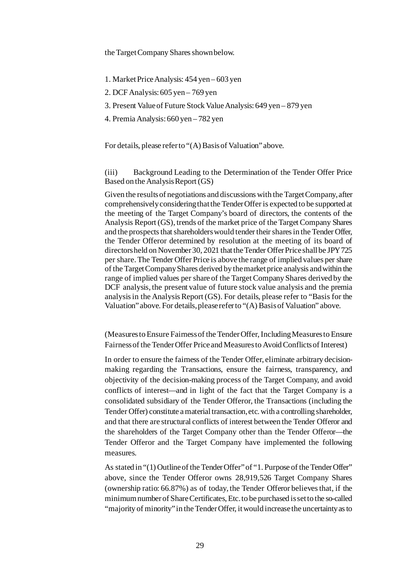the Target Company Shares shown below.

1. Market Price Analysis: 454 yen – 603 yen

2. DCF Analysis: 605 yen – 769 yen

3. Present Value of Future Stock Value Analysis: 649 yen – 879 yen

4. Premia Analysis: 660 yen – 782 yen

For details, please refer to "(A) Basis of Valuation" above.

(iii) Background Leading to the Determination of the Tender Offer Price Based on the Analysis Report (GS)

Given the results of negotiations and discussions with the Target Company, after comprehensively considering that the Tender Offer is expected to be supported at the meeting of the Target Company's board of directors, the contents of the Analysis Report (GS), trends of the market price of the Target Company Shares and the prospects that shareholders would tender their shares in the Tender Offer, the Tender Offeror determined by resolution at the meeting of its board of directors held on November 30, 2021 that the Tender Offer Price shall be JPY 725 per share. The Tender Offer Price is above the range of implied values per share of the Target Company Shares derived by the market price analysis and within the range of implied values per share of the Target Company Shares derived by the DCF analysis, the present value of future stock value analysis and the premia analysis in the Analysis Report (GS). For details, please refer to "Basis for the Valuation" above. For details, please refer to "(A) Basis of Valuation" above.

(Measures to Ensure Fairness of the Tender Offer, Including Measures to Ensure Fairnessof the Tender Offer Price and Measures to Avoid Conflicts of Interest)

In order to ensure the fairness of the Tender Offer, eliminate arbitrary decisionmaking regarding the Transactions, ensure the fairness, transparency, and objectivity of the decision-making process of the Target Company, and avoid conflicts of interest—and in light of the fact that the Target Company is a consolidated subsidiary of the Tender Offeror, the Transactions (including the Tender Offer) constitute a material transaction, etc. with a controlling shareholder, and that there are structural conflicts of interest between the Tender Offeror and the shareholders of the Target Company other than the Tender Offeror—the Tender Offeror and the Target Company have implemented the following measures.

As stated in "(1) Outline of the Tender Offer" of "1. Purpose of the Tender Offer" above, since the Tender Offeror owns 28,919,526 Target Company Shares (ownership ratio: 66.87%) as of today, the Tender Offeror believes that, if the minimum number of Share Certificates, Etc. to be purchased is set to the so-called "majority of minority" in the Tender Offer, it would increase the uncertainty as to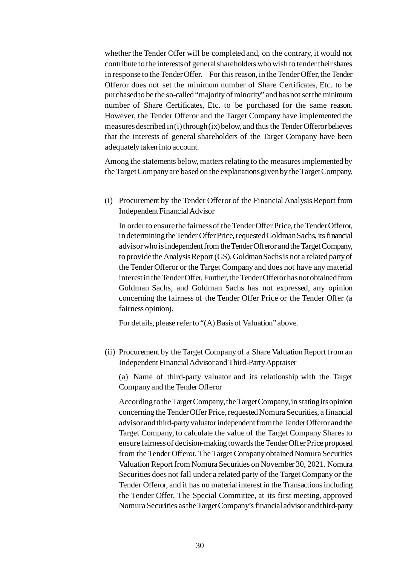whether the Tender Offer will be completed and, on the contrary, it would not contribute to the interests of general shareholders who wish to tender their shares in response to the Tender Offer. For this reason, in the Tender Offer, the Tender Offeror does not set the minimum number of Share Certificates, Etc. to be purchased to be the so-called "majority of minority" and has not set the minimum number of Share Certificates, Etc. to be purchased for the same reason. However, the Tender Offeror and the Target Company have implemented the measures described in (i) through (ix) below, and thus the Tender Offeror believes that the interests of general shareholders of the Target Company have been adequately taken into account.

Among the statements below, matters relating to the measures implemented by the Target Company are based on the explanations given by the Target Company.

(i) Procurement by the Tender Offeror of the Financial Analysis Report from Independent Financial Advisor

In order to ensure the fairness of the Tender Offer Price, the Tender Offeror, in determining the Tender Offer Price, requested Goldman Sachs, its financial advisor who is independent from the Tender Offeror and the Target Company, to provide the Analysis Report (GS). Goldman Sachs is not a related party of the Tender Offeror or the Target Company and does not have any material interest in the Tender Offer. Further, the Tender Offeror has not obtained from Goldman Sachs, and Goldman Sachs has not expressed, any opinion concerning the fairness of the Tender Offer Price or the Tender Offer (a fairness opinion).

For details, please refer to "(A) Basis of Valuation" above.

(ii) Procurement by the Target Company of a Share Valuation Report from an Independent Financial Advisor and Third-Party Appraiser

(a) Name of third-party valuator and its relationship with the Target Company and the Tender Offeror

According to the Target Company, the Target Company, in stating its opinion concerning the Tender Offer Price, requested Nomura Securities, a financial advisor and third-party valuator independent from the Tender Offeror and the Target Company, to calculate the value of the Target Company Shares to ensure fairness of decision-making towards the Tender Offer Price proposed from the Tender Offeror. The Target Company obtained Nomura Securities Valuation Report from Nomura Securities on November 30, 2021. Nomura Securities does not fall under a related party of the Target Company or the Tender Offeror, and it has no material interest in the Transactions including the Tender Offer. The Special Committee, at its first meeting, approved Nomura Securities as the Target Company's financial advisor and third-party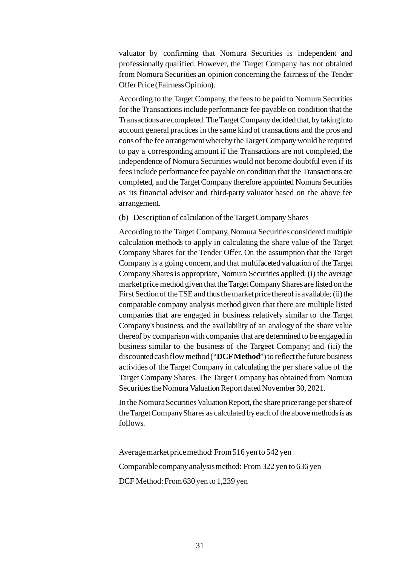valuator by confirming that Nomura Securities is independent and professionally qualified. However, the Target Company has not obtained from Nomura Securities an opinion concerning the fairness of the Tender Offer Price (Fairness Opinion).

According to the Target Company, the fees to be paid to Nomura Securities for the Transactions include performance fee payable on condition that the Transactions are completed. The Target Company decided that, by taking into account general practices in the same kind of transactions and the pros and cons of the fee arrangement whereby the Target Company would be required to pay a corresponding amount if the Transactions are not completed, the independence of Nomura Securities would not become doubtful even if its fees include performance fee payable on condition that the Transactions are completed, and the Target Company therefore appointed Nomura Securities as its financial advisor and third-party valuator based on the above fee arrangement.

(b) Description of calculation of the Target Company Shares

According to the Target Company, Nomura Securities considered multiple calculation methods to apply in calculating the share value of the Target Company Shares for the Tender Offer. On the assumption that the Target Company is a going concern, and that multifaceted valuation of the Target Company Shares is appropriate, Nomura Securities applied: (i) the average market price method given that the Target Company Shares are listed on the First Section of the TSE and thus the market price thereof is available; (ii) the comparable company analysis method given that there are multiple listed companies that are engaged in business relatively similar to the Target Company's business, and the availability of an analogy of the share value thereof by comparison with companies that are determined to be engaged in business similar to the business of the Targeet Company; and (iii) the discounted cash flow method ("**DCF Method**") to reflect the future business activities of the Target Company in calculating the per share value of the Target Company Shares. The Target Company has obtained from Nomura Securities the Nomura Valuation Report dated November 30, 2021.

In the Nomura Securities Valuation Report, the share price range per share of the Target Company Shares as calculated by each of the above methods is as follows.

Average market price method: From 516 yen to 542 yen Comparable company analysis method: From 322 yen to 636 yen DCF Method: From 630 yen to 1,239 yen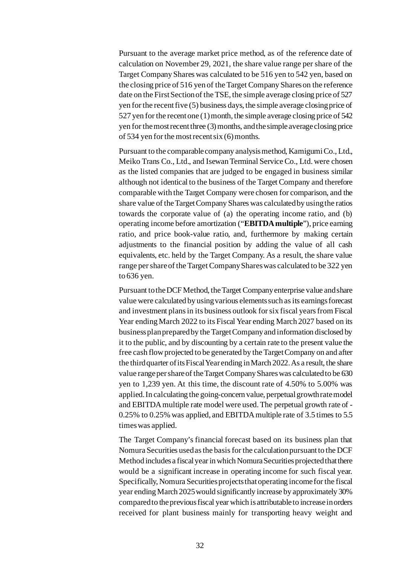Pursuant to the average market price method, as of the reference date of calculation on November 29, 2021, the share value range per share of the Target Company Shares was calculated to be 516 yen to 542 yen, based on the closing price of 516 yen of the Target Company Shares on the reference date on the First Section of the TSE, the simple average closing price of 527 yen for the recent five (5) business days, the simple average closing price of 527 yen for the recent one (1) month, the simple average closing price of 542 yen for the most recent three (3) months, and the simple average closing price of 534 yen for the most recent six (6) months.

Pursuant to the comparable company analysis method, Kamigumi Co., Ltd., Meiko Trans Co., Ltd., and Isewan Terminal Service Co., Ltd. were chosen as the listed companies that are judged to be engaged in business similar although not identical to the business of the Target Company and therefore comparable with the Target Company were chosen for comparison, and the share value of the Target Company Shares was calculated by using the ratios towards the corporate value of (a) the operating income ratio, and (b) operating income before amortization ("**EBITDA multiple**"), price earning ratio, and price book-value ratio, and, furthermore by making certain adjustments to the financial position by adding the value of all cash equivalents, etc. held by the Target Company. As a result, the share value range per share of the Target Company Shares was calculated to be 322 yen to 636 yen.

Pursuant to the DCF Method, the Target Company enterprise value and share value were calculated by using various elements such as its earnings forecast and investment plans in its business outlook for six fiscal years from Fiscal Year ending March 2022 to its Fiscal Year ending March 2027 based on its business plan prepared by the Target Company and information disclosed by it to the public, and by discounting by a certain rate to the present value the free cash flow projected to be generated by the Target Company on and after the third quarter of its Fiscal Year ending in March 2022. As a result, the share value range per share of the Target Company Shares was calculated to be 630 yen to 1,239 yen. At this time, the discount rate of 4.50% to 5.00% was applied. In calculating the going-concern value, perpetual growth rate model and EBITDA multiple rate model were used. The perpetual growth rate of - 0.25% to 0.25% was applied, and EBITDA multiple rate of 3.5 times to 5.5 times was applied.

The Target Company's financial forecast based on its business plan that Nomura Securities used as the basis for the calculation pursuant to the DCF Method includes a fiscal year in which Nomura Securities projected that there would be a significant increase in operating income for such fiscal year. Specifically, Nomura Securities projects that operating income for the fiscal year ending March 2025 would significantly increase by approximately 30% compared to the previous fiscal year which is attributable to increase in orders received for plant business mainly for transporting heavy weight and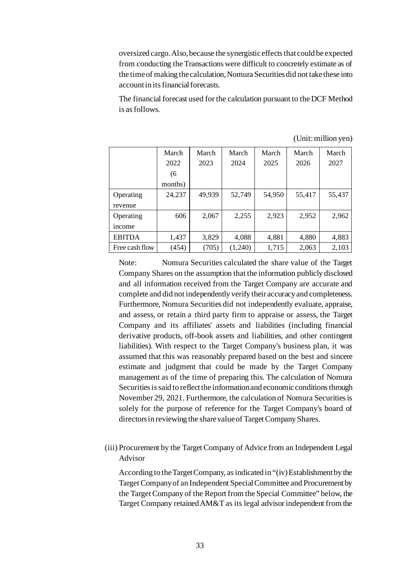oversized cargo. Also, because the synergistic effects that could be expected from conducting the Transactions were difficult to concretely estimate as of the time of making the calculation, Nomura Securities did not take these into account in its financial forecasts.

The financial forecast used for the calculation pursuant to the DCF Method is as follows.

|                | March   | March  | March   | March  | March  | March  |
|----------------|---------|--------|---------|--------|--------|--------|
|                | 2022    | 2023   | 2024    | 2025   | 2026   | 2027   |
|                | (6)     |        |         |        |        |        |
|                | months) |        |         |        |        |        |
| Operating      | 24,237  | 49,939 | 52,749  | 54,950 | 55,417 | 55,437 |
| revenue        |         |        |         |        |        |        |
| Operating      | 606     | 2,067  | 2,255   | 2,923  | 2,952  | 2,962  |
| income         |         |        |         |        |        |        |
| <b>EBITDA</b>  | 1,437   | 3,829  | 4,088   | 4,881  | 4,880  | 4,883  |
| Free cash flow | (454)   | (705)  | (1,240) | 1,715  | 2,063  | 2,103  |

(Unit: million yen)

Note: Nomura Securities calculated the share value of the Target Company Shares on the assumption that the information publicly disclosed and all information received from the Target Company are accurate and complete and did not independently verify their accuracy and completeness. Furthermore, Nomura Securities did not independently evaluate, appraise, and assess, or retain a third party firm to appraise or assess, the Target Company and its affiliates' assets and liabilities (including financial derivative products, off-book assets and liabilities, and other contingent liabilities). With respect to the Target Company's business plan, it was assumed that this was reasonably prepared based on the best and sincere estimate and judgment that could be made by the Target Company management as of the time of preparing this. The calculation of Nomura Securities is said to reflect the information and economic conditions through November 29, 2021. Furthermore, the calculation of Nomura Securities is solely for the purpose of reference for the Target Company's board of directors in reviewing the share value of Target Company Shares.

(iii) Procurement by the Target Company of Advice from an Independent Legal Advisor

According to the Target Company, as indicated in "(iv) Establishment by the Target Company of an Independent Special Committee and Procurement by the Target Company of the Report from the Special Committee" below, the Target Company retained AM&T as its legal advisor independent from the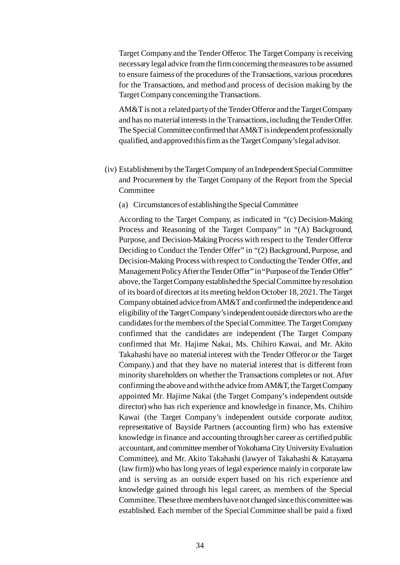Target Company and the Tender Offeror. The Target Company is receiving necessary legal advice from the firm concerning the measures to be assumed to ensure fairness of the procedures of the Transactions, various procedures for the Transactions, and method and process of decision making by the Target Company concerning the Transactions.

AM&T is not a related party of the Tender Offeror and the Target Company and has no material interests in the Transactions, including the Tender Offer. The Special Committee confirmed that AM&T is independent professionally qualified, and approved this firm as the Target Company's legal advisor.

- (iv) Establishment by the Target Company of an Independent Special Committee and Procurement by the Target Company of the Report from the Special Committee
	- (a) Circumstances of establishing the Special Committee

According to the Target Company, as indicated in "(c) Decision-Making Process and Reasoning of the Target Company" in "(A) Background, Purpose, and Decision-Making Process with respect to the Tender Offeror Deciding to Conduct the Tender Offer" in "(2) Background, Purpose, and Decision-Making Process with respect to Conducting the Tender Offer, and Management Policy After the Tender Offer" in "Purpose of the Tender Offer" above, the Target Company established the Special Committee by resolution of its board of directors at its meeting held on October 18, 2021. The Target Company obtained advice from AM&T and confirmed the independence and eligibility of the Target Company's independent outside directors who are the candidates for the members of the Special Committee. The Target Company confirmed that the candidates are independent (The Target Company confirmed that Mr. Hajime Nakai, Ms. Chihiro Kawai, and Mr. Akito Takahashi have no material interest with the Tender Offeror or the Target Company.) and that they have no material interest that is different from minority shareholders on whether the Transactions completes or not. After confirming the above and with the advice from AM&T, the Target Company appointed Mr. Hajime Nakai (the Target Company's independent outside director) who has rich experience and knowledge in finance, Ms. Chihiro Kawai (the Target Company's independent outside corporate auditor, representative of Bayside Partners (accounting firm) who has extensive knowledge in finance and accounting through her career as certified public accountant, and committee member of Yokohama City University Evaluation Committee), and Mr. Akito Takahashi (lawyer of Takahashi & Katayama (law firm)) who has long years of legal experience mainly in corporate law and is serving as an outside expert based on his rich experience and knowledge gained through his legal career, as members of the Special Committee. These three members have not changed since this committee was established. Each member of the Special Committee shall be paid a fixed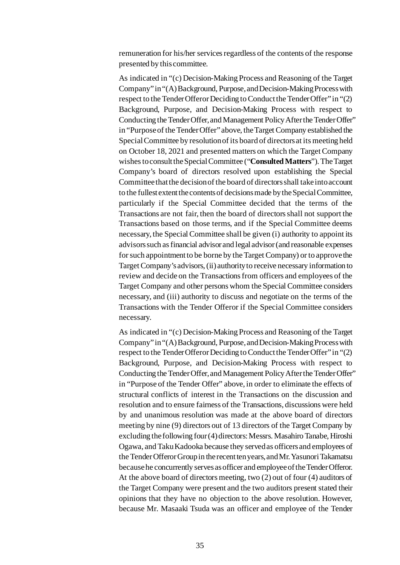remuneration for his/her services regardless of the contents of the response presented by this committee.

As indicated in "(c) Decision-Making Process and Reasoning of the Target Company" in "(A) Background, Purpose, and Decision-Making Process with respect to the Tender Offeror Deciding to Conduct the Tender Offer" in "(2) Background, Purpose, and Decision-Making Process with respect to Conducting the Tender Offer, and Management Policy After the Tender Offer" in "Purpose of the Tender Offer" above, the Target Company established the Special Committee by resolution of its board of directors at its meeting held on October 18, 2021 and presented matters on which the Target Company wishes to consult the Special Committee ("**Consulted Matters**"). The Target Company's board of directors resolved upon establishing the Special Committee that the decision of the board of directors shall take into account to the fullest extent the contents of decisions made by the Special Committee, particularly if the Special Committee decided that the terms of the Transactions are not fair, then the board of directors shall not support the Transactions based on those terms, and if the Special Committee deems necessary, the Special Committee shall be given (i) authority to appoint its advisors such as financial advisor and legal advisor (and reasonable expenses for such appointment to be borne by the Target Company) or to approve the Target Company's advisors, (ii) authority to receive necessary information to review and decide on the Transactions from officers and employees of the Target Company and other persons whom the Special Committee considers necessary, and (iii) authority to discuss and negotiate on the terms of the Transactions with the Tender Offeror if the Special Committee considers necessary.

As indicated in "(c) Decision-Making Process and Reasoning of the Target Company" in "(A) Background, Purpose, and Decision-Making Process with respect to the Tender Offeror Deciding to Conduct the Tender Offer" in "(2) Background, Purpose, and Decision-Making Process with respect to Conducting the Tender Offer, and Management Policy After the Tender Offer" in "Purpose of the Tender Offer" above, in order to eliminate the effects of structural conflicts of interest in the Transactions on the discussion and resolution and to ensure fairness of the Transactions, discussions were held by and unanimous resolution was made at the above board of directors meeting by nine (9) directors out of 13 directors of the Target Company by excluding the following four (4) directors: Messrs. Masahiro Tanabe, Hiroshi Ogawa, and Taku Kadooka because they served as officers and employees of the Tender Offeror Group in the recent ten years, and Mr. Yasunori Takamatsu because he concurrently serves as officer and employee of the Tender Offeror. At the above board of directors meeting, two (2) out of four (4) auditors of the Target Company were present and the two auditors present stated their opinions that they have no objection to the above resolution. However, because Mr. Masaaki Tsuda was an officer and employee of the Tender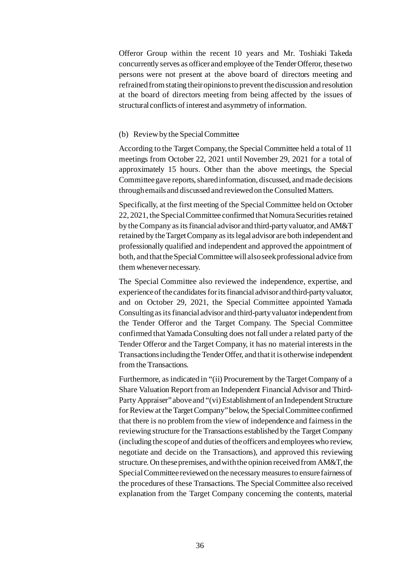Offeror Group within the recent 10 years and Mr. Toshiaki Takeda concurrently serves as officer and employee of the Tender Offeror, these two persons were not present at the above board of directors meeting and refrained from stating their opinions to prevent the discussion and resolution at the board of directors meeting from being affected by the issues of structural conflicts of interest and asymmetry of information.

#### (b) Review by the Special Committee

According to the Target Company, the Special Committee held a total of 11 meetings from October 22, 2021 until November 29, 2021 for a total of approximately 15 hours. Other than the above meetings, the Special Committee gave reports, shared information, discussed, and made decisions through emails and discussed and reviewed on the Consulted Matters.

Specifically, at the first meeting of the Special Committee held on October 22, 2021, the Special Committee confirmed that Nomura Securities retained by the Company as its financial advisor and third-party valuator, and AM&T retained by the Target Company as its legal advisor are both independent and professionally qualified and independent and approved the appointment of both, and that the Special Committee will alsoseek professional advice from them whenever necessary.

The Special Committee also reviewed the independence, expertise, and experience of the candidates for its financial advisor and third-party valuator, and on October 29, 2021, the Special Committee appointed Yamada Consulting as its financial advisor and third-party valuator independent from the Tender Offeror and the Target Company. The Special Committee confirmed that Yamada Consulting does not fall under a related party of the Tender Offeror and the Target Company, it has no material interests in the Transactions including the Tender Offer, and that it is otherwise independent from the Transactions.

Furthermore, as indicated in "(ii) Procurement by the Target Company of a Share Valuation Report from an Independent Financial Advisor and Third-Party Appraiser" above and "(vi) Establishment of an Independent Structure for Review at the Target Company" below, the Special Committee confirmed that there is no problem from the view of independence and fairness in the reviewing structure for the Transactions established by the Target Company (including the scope of and duties of the officers and employees who review, negotiate and decide on the Transactions), and approved this reviewing structure. On these premises, and with the opinion received from AM&T, the Special Committee reviewed on the necessary measures to ensure fairness of the procedures of these Transactions. The Special Committee also received explanation from the Target Company concerning the contents, material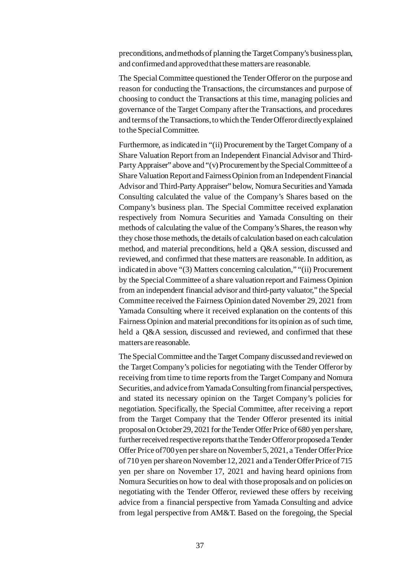preconditions, and methods of planning the Target Company's business plan, and confirmed and approved that these matters are reasonable.

The Special Committee questioned the Tender Offeror on the purpose and reason for conducting the Transactions, the circumstances and purpose of choosing to conduct the Transactions at this time, managing policies and governance of the Target Company after the Transactions, and procedures and terms of the Transactions, to which the Tender Offeror directly explained to the Special Committee.

Furthermore, as indicated in "(ii) Procurement by the Target Company of a Share Valuation Report from an Independent Financial Advisor and Third-Party Appraiser" above and "(v) Procurement by the Special Committee of a Share Valuation Report and Fairness Opinion from an Independent Financial Advisor and Third-Party Appraiser" below, Nomura Securities and Yamada Consulting calculated the value of the Company's Shares based on the Company's business plan. The Special Committee received explanation respectively from Nomura Securities and Yamada Consulting on their methods of calculating the value of the Company's Shares, the reason why they chose those methods, the details of calculation based on each calculation method, and material preconditions, held a Q&A session, discussed and reviewed, and confirmed that these matters are reasonable. In addition, as indicated in above "(3) Matters concerning calculation," "(ii) Procurement by the Special Committee of a share valuation report and Fairness Opinion from an independent financial advisor and third-party valuator," the Special Committee received the Fairness Opinion dated November 29, 2021 from Yamada Consulting where it received explanation on the contents of this Fairness Opinion and material preconditions for its opinion as of such time, held a Q&A session, discussed and reviewed, and confirmed that these matters are reasonable.

The Special Committee and the Target Company discussed and reviewed on the Target Company's policies for negotiating with the Tender Offeror by receiving from time to time reports from the Target Company and Nomura Securities, and advice from Yamada Consulting from financial perspectives, and stated its necessary opinion on the Target Company's policies for negotiation. Specifically, the Special Committee, after receiving a report from the Target Company that the Tender Offeror presented its initial proposal on October 29, 2021 for the Tender Offer Price of 680 yen per share, further received respective reports that the Tender Offeror proposed a Tender Offer Price of700 yen per share on November 5, 2021, a Tender Offer Price of 710 yen per share on November 12, 2021 and a Tender Offer Price of 715 yen per share on November 17, 2021 and having heard opinions from Nomura Securities on how to deal with those proposals and on policies on negotiating with the Tender Offeror, reviewed these offers by receiving advice from a financial perspective from Yamada Consulting and advice from legal perspective from AM&T. Based on the foregoing, the Special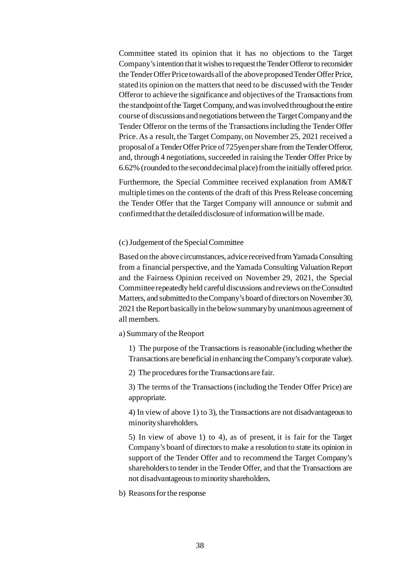Committee stated its opinion that it has no objections to the Target Company's intention that it wishes to request the Tender Offeror to reconsider the Tender Offer Price towards all of the above proposed Tender Offer Price, stated its opinion on the matters that need to be discussed with the Tender Offeror to achieve the significance and objectives of the Transactions from the standpoint of the Target Company, and was involved throughout the entire course of discussions and negotiations between the Target Company and the Tender Offeror on the terms of the Transactions including the Tender Offer Price. As a result, the Target Company, on November 25, 2021 received a proposal of a Tender Offer Price of 725yen per share from the Tender Offeror, and, through 4 negotiations, succeeded in raising the Tender Offer Price by 6.62% (rounded to the second decimal place) from the initially offered price.

Furthermore, the Special Committee received explanation from AM&T multiple times on the contents of the draft of this Press Release concerning the Tender Offer that the Target Company will announce or submit and confirmed that the detailed disclosure of information will be made.

#### (c)Judgement of the Special Committee

Based on the above circumstances, advice received from Yamada Consulting from a financial perspective, and the Yamada Consulting Valuation Report and the Fairness Opinion received on November 29, 2021, the Special Committee repeatedly held careful discussions and reviews on the Consulted Matters, and submitted to the Company's board of directors on November 30, 2021 the Report basically in the below summary by unanimous agreement of all members.

a) Summary of the Reoport

1) The purpose of the Transactions is reasonable (including whether the Transactions are beneficial in enhancing the Company's corporate value).

2) The procedures for the Transactions are fair.

3) The terms of the Transactions (including the Tender Offer Price) are appropriate.

4) In view of above 1) to 3), the Transactions are not disadvantageous to minority shareholders.

5) In view of above 1) to 4), as of present, it is fair for the Target Company's board of directors to make a resolution to state its opinion in support of the Tender Offer and to recommend the Target Company's shareholders to tender in the Tender Offer, and that the Transactions are not disadvantageous to minority shareholders.

b) Reasons for the response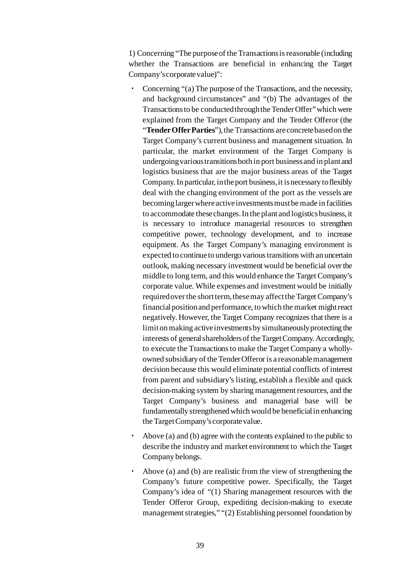1) Concerning "The purpose of the Transactions is reasonable (including whether the Transactions are beneficial in enhancing the Target Company's corporate value)":

- Concerning "(a) The purpose of the Transactions, and the necessity, and background circumstances" and "(b) The advantages of the Transactions to be conducted through the Tender Offer" which were explained from the Target Company and the Tender Offeror (the "**Tender Offer Parties**"), the Transactions are concrete based on the Target Company's current business and management situation. In particular, the market environment of the Target Company is undergoing various transitions both in port business and in plant and logistics business that are the major business areas of the Target Company. In particular, in the port business, it is necessary to flexibly deal with the changing environment of the port as the vessels are becoming larger where active investments must be made in facilities to accommodate these changes. In the plant and logistics business, it is necessary to introduce managerial resources to strengthen competitive power, technology development, and to increase equipment. As the Target Company's managing environment is expected to continue to undergo various transitions with an uncertain outlook, making necessary investment would be beneficial over the middle to long term, and this would enhance the Target Company's corporate value. While expenses and investment would be initially required over the short term, these may affect the Target Company's financial position and performance, to which the market might react negatively. However, the Target Company recognizes that there is a limit on making active investments by simultaneously protecting the interests of general shareholders of the Target Company. Accordingly, to execute the Transactions to make the Target Company a whollyowned subsidiary of the Tender Offeror is a reasonable management decision because this would eliminate potential conflicts of interest from parent and subsidiary's listing, establish a flexible and quick decision-making system by sharing management resources, and the Target Company's business and managerial base will be fundamentally strengthened which would be beneficial in enhancing the Target Company's corporate value.
- Above (a) and (b) agree with the contents explained to the public to describe the industry and market environment to which the Target Company belongs.
- Above (a) and (b) are realistic from the view of strengthening the Company's future competitive power. Specifically, the Target Company's idea of "(1) Sharing management resources with the Tender Offeror Group, expediting decision-making to execute management strategies," "(2) Establishing personnel foundation by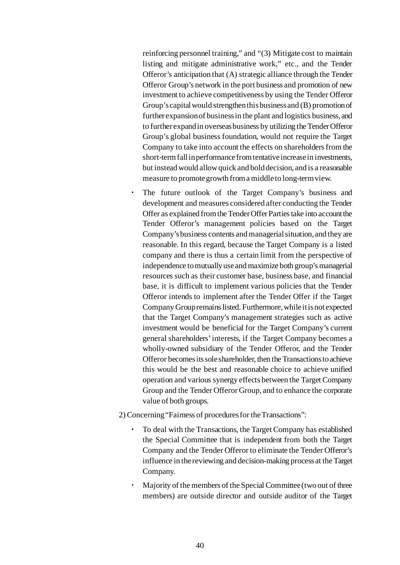reinforcing personnel training," and "(3) Mitigate cost to maintain listing and mitigate administrative work," etc., and the Tender Offeror's anticipation that (A) strategic alliance through the Tender Offeror Group's network in the port business and promotion of new investment to achieve competitiveness by using the Tender Offeror Group's capital would strengthen this business and (B) promotion of further expansion of business in the plant and logistics business, and to further expand in overseas business by utilizing the Tender Offeror Group's global business foundation, would not require the Target Company to take into account the effects on shareholders from the short-term fall in performance from tentative increase in investments, but instead would allow quick and bold decision, and is a reasonable measure to promote growth from a middle to long-term view.

- The future outlook of the Target Company's business and development and measures considered after conducting the Tender Offer as explained from the Tender Offer Parties take into account the Tender Offeror's management policies based on the Target Company's business contents and managerial situation, and they are reasonable. In this regard, because the Target Company is a listed company and there is thus a certain limit from the perspective of independence to mutually use and maximize both group's managerial resources such as their customer base, business base, and financial base, it is difficult to implement various policies that the Tender Offeror intends to implement after the Tender Offer if the Target Company Group remains listed. Furthermore, while it is not expected that the Target Company's management strategies such as active investment would be beneficial for the Target Company's current general shareholders' interests, if the Target Company becomes a wholly-owned subsidiary of the Tender Offeror, and the Tender Offeror becomes its sole shareholder, then the Transactions to achieve this would be the best and reasonable choice to achieve unified operation and various synergy effects between the Target Company Group and the Tender Offeror Group, and to enhance the corporate value of both groups.
- 2) Concerning "Fairness of procedures for the Transactions":
	- To deal with the Transactions, the Target Company has established the Special Committee that is independent from both the Target Company and the Tender Offeror to eliminate the Tender Offeror's influence in the reviewing and decision-making process at the Target Company.
	- Majority of the members of the Special Committee (two out of three members) are outside director and outside auditor of the Target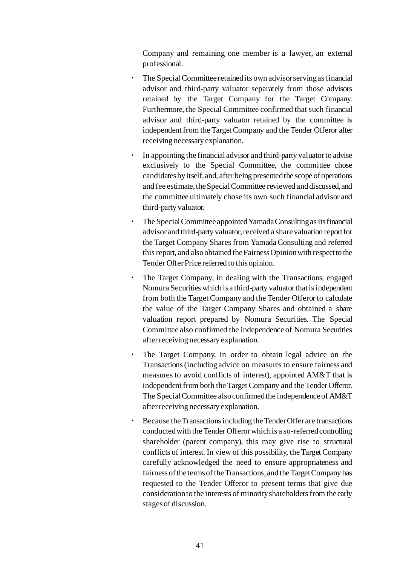Company and remaining one member is a lawyer, an external professional.

- The Special Committee retained its own advisor serving as financial advisor and third-party valuator separately from those advisors retained by the Target Company for the Target Company. Furthermore, the Special Committee confirmed that such financial advisor and third-party valuator retained by the committee is independent from the Target Company and the Tender Offeror after receiving necessary explanation.
- In appointing the financial advisor and third-party valuator to advise exclusively to the Special Committee, the committee chose candidates by itself, and, after being presented the scope of operations and fee estimate, the Special Committee reviewed and discussed, and the committee ultimately chose its own such financial advisor and third-party valuator.
- The Special Committee appointed Yamada Consulting as its financial advisor and third-party valuator, received a share valuation report for the Target Company Shares from Yamada Consulting and referred this report, and also obtained the Fairness Opinion with respect to the Tender Offer Price referred to this opinion.
- The Target Company, in dealing with the Transactions, engaged Nomura Securities which is a third-party valuator that is independent from both the Target Company and the Tender Offeror to calculate the value of the Target Company Shares and obtained a share valuation report prepared by Nomura Securities. The Special Committee also confirmed the independence of Nomura Securities after receiving necessary explanation.
- The Target Company, in order to obtain legal advice on the Transactions (including advice on measures to ensure fairness and measures to avoid conflicts of interest), appointed AM&T that is independent from both the Target Company and the Tender Offeror. The Special Committee also confirmed the independence of AM&T after receiving necessary explanation.
- Because the Transactions including the Tender Offer are transactions conducted with the Tender Offeror which is a so-referredcontrolling shareholder (parent company), this may give rise to structural conflicts of interest. In view of this possibility, the Target Company carefully acknowledged the need to ensure appropriateness and fairness of the terms of the Transactions, and the Target Company has requested to the Tender Offeror to present terms that give due consideration to the interests of minority shareholders from the early stages of discussion.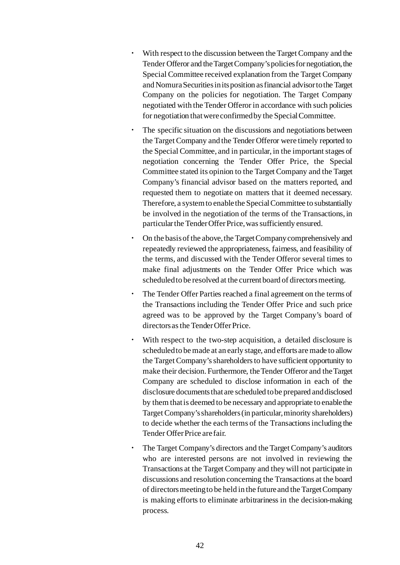- With respect to the discussion between the Target Company and the Tender Offeror and the Target Company's policies for negotiation, the Special Committee received explanation from the Target Company and Nomura Securities in its position as financial advisor to the Target Company on the policies for negotiation. The Target Company negotiated with the Tender Offeror in accordance with such policies for negotiation that were confirmed by the Special Committee.
- The specific situation on the discussions and negotiations between the Target Company and the Tender Offeror were timely reported to the Special Committee, and in particular, in the important stages of negotiation concerning the Tender Offer Price, the Special Committee stated its opinion to the Target Company and the Target Company's financial advisor based on the matters reported, and requested them to negotiate on matters that it deemed necessary. Therefore, a system to enable the Special Committee to substantially be involved in the negotiation of the terms of the Transactions, in particular the Tender Offer Price, was sufficiently ensured.
- On the basis of the above, the Target Company comprehensively and repeatedly reviewed the appropriateness, fairness, and feasibility of the terms, and discussed with the Tender Offeror several times to make final adjustments on the Tender Offer Price which was scheduled to be resolved at the current board of directors meeting.
- The Tender Offer Parties reached a final agreement on the terms of the Transactions including the Tender Offer Price and such price agreed was to be approved by the Target Company's board of directors as the Tender Offer Price.
- With respect to the two-step acquisition, a detailed disclosure is scheduled to be made at an early stage, and efforts are made to allow the Target Company's shareholders to have sufficient opportunity to make their decision. Furthermore, the Tender Offeror and the Target Company are scheduled to disclose information in each of the disclosure documents that are scheduled to be prepared and disclosed by them that is deemed to be necessary and appropriate to enable the Target Company's shareholders (in particular, minority shareholders) to decide whether the each terms of the Transactions including the Tender Offer Price are fair.
- The Target Company's directors and the Target Company's auditors who are interested persons are not involved in reviewing the Transactions at the Target Company and they will not participate in discussions and resolution concerning the Transactions at the board of directors meeting to be held in the future and the Target Company is making efforts to eliminate arbitrariness in the decision-making process.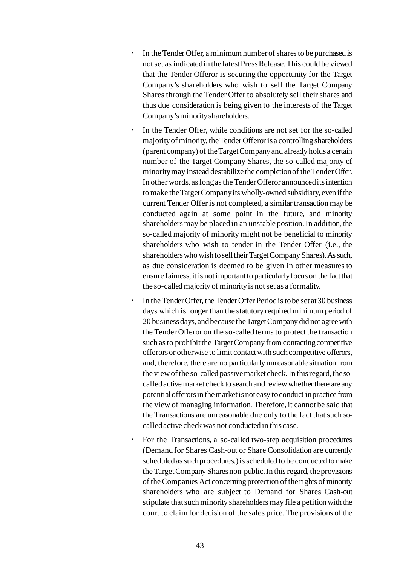- In the Tender Offer, a minimum number of shares to be purchased is not set as indicated in the latest Press Release. This could be viewed that the Tender Offeror is securing the opportunity for the Target Company's shareholders who wish to sell the Target Company Shares through the Tender Offer to absolutely sell their shares and thus due consideration is being given to the interests of the Target Company's minority shareholders.
- In the Tender Offer, while conditions are not set for the so-called majority of minority, the Tender Offeror is a controlling shareholders (parent company) of the Target Company and already holds a certain number of the Target Company Shares, the so-called majority of minority may instead destabilize the completion of the Tender Offer. In other words, as long as the Tender Offeror announced its intention to make the Target Company its wholly-owned subsidiary, even if the current Tender Offer is not completed, a similar transaction may be conducted again at some point in the future, and minority shareholders may be placed in an unstable position. In addition, the so-called majority of minority might not be beneficial to minority shareholders who wish to tender in the Tender Offer (i.e., the shareholders who wish to sell theirTarget Company Shares). As such, as due consideration is deemed to be given in other measures to ensure fairness, it is not important to particularly focus on the fact that the so-called majority of minority is not set as a formality.
- In the Tender Offer, the Tender Offer Period is to be set at 30 business days which is longer than the statutory required minimum period of 20 business days, and because the Target Company did not agree with the Tender Offeror on the so-called terms to protect the transaction such as to prohibit the Target Company from contacting competitive offerors or otherwise to limit contact with such competitive offerors, and, therefore, there are no particularly unreasonable situation from the view of the so-called passive market check. In this regard, the socalled active market check to search and review whether there are any potential offerors in the market is not easy to conduct in practice from the view of managing information. Therefore, it cannot be said that the Transactions are unreasonable due only to the fact that such socalled active check was not conducted in this case.
- For the Transactions, a so-called two-step acquisition procedures (Demand for Shares Cash-out or Share Consolidation are currently scheduled as such procedures.) is scheduled to be conducted to make the Target Company Shares non-public. In this regard, the provisions of the Companies Act concerning protection of the rights of minority shareholders who are subject to Demand for Shares Cash-out stipulate that such minority shareholders may file a petition with the court to claim for decision of the sales price. The provisions of the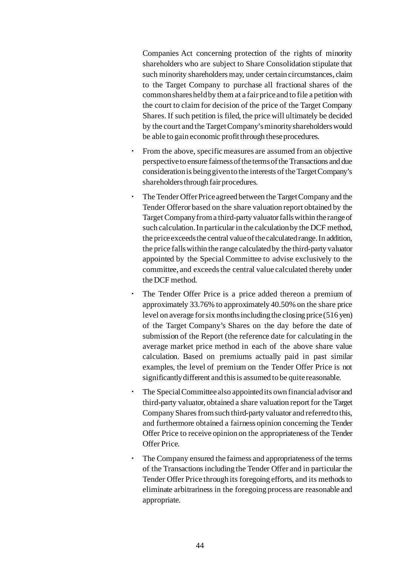Companies Act concerning protection of the rights of minority shareholders who are subject to Share Consolidation stipulate that such minority shareholders may, under certain circumstances, claim to the Target Company to purchase all fractional shares of the common shares held by them at a fair price and to file a petition with the court to claim for decision of the price of the Target Company Shares. If such petition is filed, the price will ultimately be decided by the court and the Target Company's minority shareholders would be able to gain economic profit through these procedures.

- From the above, specific measures are assumed from an objective perspective to ensure fairness of the terms of the Transactions and due consideration is being given to the interests of the TargetCompany's shareholders through fair procedures.
- The Tender Offer Price agreed between the Target Company and the Tender Offeror based on the share valuation report obtained by the Target Company from a third-party valuator falls within the range of such calculation. In particular in the calculation by the DCF method, the price exceeds the central value of the calculated range. In addition, the price falls within the range calculated by the third-party valuator appointed by the Special Committee to advise exclusively to the committee, and exceeds the central value calculated thereby under the DCF method.
- The Tender Offer Price is a price added thereon a premium of approximately 33.76% to approximately 40.50% on the share price level on average for six months including the closing price (516 yen) of the Target Company's Shares on the day before the date of submission of the Report (the reference date for calculating in the average market price method in each of the above share value calculation. Based on premiums actually paid in past similar examples, the level of premium on the Tender Offer Price is not significantly different and this is assumed to be quite reasonable.
- The Special Committee also appointed its own financial advisor and third-party valuator, obtained a share valuation report for the Target Company Shares from such third-party valuator and referred to this, and furthermore obtained a fairness opinion concerning the Tender Offer Price to receive opinion on the appropriateness of the Tender Offer Price.
- The Company ensured the fairness and appropriateness of the terms of the Transactions including the Tender Offer and in particular the Tender Offer Price through its foregoing efforts, and its methods to eliminate arbitrariness in the foregoing process are reasonable and appropriate.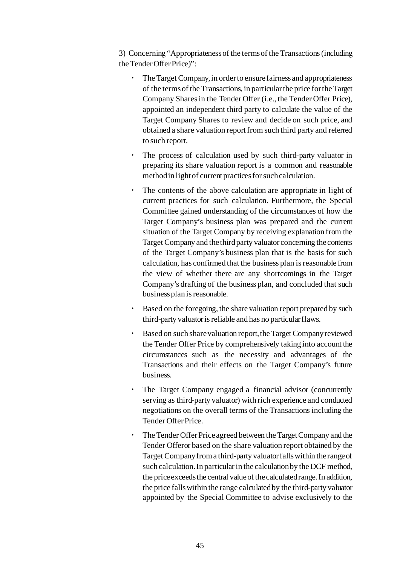3) Concerning "Appropriateness of the terms of the Transactions (including the Tender Offer Price)":

- The Target Company, in order to ensure fairness and appropriateness of the terms of the Transactions, in particular the price for the Target Company Shares in the Tender Offer (i.e., the Tender Offer Price), appointed an independent third party to calculate the value of the Target Company Shares to review and decide on such price, and obtained a share valuation report from such third party and referred to such report.
- The process of calculation used by such third-party valuator in preparing its share valuation report is a common and reasonable method in light of current practices for such calculation.
- The contents of the above calculation are appropriate in light of current practices for such calculation. Furthermore, the Special Committee gained understanding of the circumstances of how the Target Company's business plan was prepared and the current situation of the Target Company by receiving explanation from the Target Company and the third party valuator concerning the contents of the Target Company's business plan that is the basis for such calculation, has confirmed that the business plan is reasonable from the view of whether there are any shortcomings in the Target Company's drafting of the business plan, and concluded that such business plan is reasonable.
- Based on the foregoing, the share valuation report prepared by such third-party valuator is reliable and has no particular flaws.
- Based on such share valuation report, the Target Company reviewed the Tender Offer Price by comprehensively taking into account the circumstances such as the necessity and advantages of the Transactions and their effects on the Target Company's future business.
- The Target Company engaged a financial advisor (concurrently serving as third-party valuator) with rich experience and conducted negotiations on the overall terms of the Transactions including the Tender Offer Price.
- The Tender Offer Price agreed between the Target Company and the Tender Offeror based on the share valuation report obtained by the Target Company from a third-party valuator falls within the range of such calculation. In particular in the calculation by the DCF method, the price exceeds the central value of the calculated range. In addition, the price falls within the range calculated by the third-party valuator appointed by the Special Committee to advise exclusively to the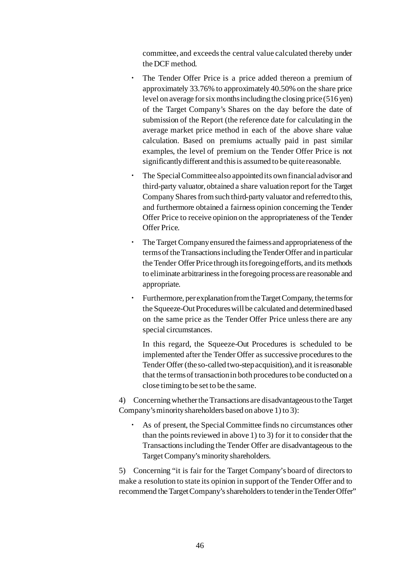committee, and exceeds the central value calculated thereby under the DCF method.

- The Tender Offer Price is a price added thereon a premium of approximately 33.76% to approximately 40.50% on the share price level on average for six months including the closing price (516 yen) of the Target Company's Shares on the day before the date of submission of the Report (the reference date for calculating in the average market price method in each of the above share value calculation. Based on premiums actually paid in past similar examples, the level of premium on the Tender Offer Price is not significantly different and this is assumed to be quite reasonable.
- The Special Committee also appointed its own financial advisor and third-party valuator, obtained a share valuation report for the Target Company Shares from such third-party valuator and referred to this, and furthermore obtained a fairness opinion concerning the Tender Offer Price to receive opinion on the appropriateness of the Tender Offer Price.
- The Target Company ensured the fairness and appropriateness of the terms of the Transactions including the Tender Offer and in particular the Tender Offer Price through its foregoing efforts, and its methods to eliminate arbitrariness in the foregoing process are reasonable and appropriate.
- Furthermore, per explanation from the Target Company, the terms for the Squeeze-Out Procedures will be calculated and determined based on the same price as the Tender Offer Price unless there are any special circumstances.

In this regard, the Squeeze-Out Procedures is scheduled to be implemented after the Tender Offer as successive procedures to the Tender Offer (the so-called two-step acquisition), and it is reasonable that the terms of transaction in both procedures to be conducted on a close timing to be set to be the same.

4) Concerning whether the Transactions are disadvantageous to the Target Company's minority shareholders based on above 1) to 3):

As of present, the Special Committee finds no circumstances other than the points reviewed in above 1) to 3) for it to consider that the Transactions including the Tender Offer are disadvantageous to the Target Company's minority shareholders.

5) Concerning "it is fair for the Target Company's board of directors to make a resolution to state its opinion in support of the Tender Offer and to recommend the Target Company's shareholders to tender in the Tender Offer"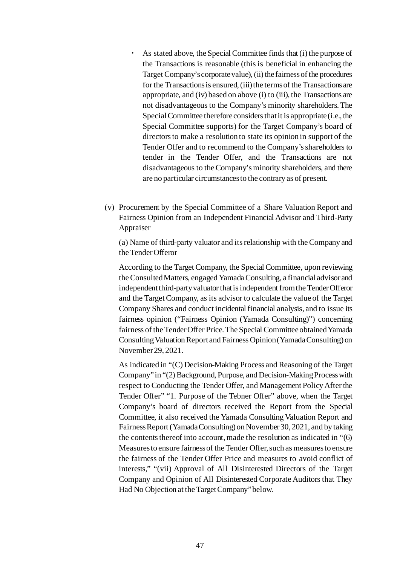- As stated above, the Special Committee finds that (i) the purpose of the Transactions is reasonable (this is beneficial in enhancing the Target Company's corporate value), (ii) the fairness of the procedures for the Transactions is ensured, (iii) the terms of the Transactions are appropriate, and (iv) based on above (i) to (iii), the Transactions are not disadvantageous to the Company's minority shareholders. The Special Committee therefore considers that it is appropriate (i.e., the Special Committee supports) for the Target Company's board of directors to make a resolution to state its opinion in support of the Tender Offer and to recommend to the Company's shareholders to tender in the Tender Offer, and the Transactions are not disadvantageous to the Company's minority shareholders, and there are no particular circumstances to the contrary as of present.
- (v) Procurement by the Special Committee of a Share Valuation Report and Fairness Opinion from an Independent Financial Advisor and Third-Party Appraiser

(a) Name of third-party valuator and its relationship with the Company and the Tender Offeror

According to the Target Company, the Special Committee, upon reviewing the Consulted Matters, engaged Yamada Consulting, a financial advisor and independent third-party valuator that is independent from the Tender Offeror and the Target Company, as its advisor to calculate the value of the Target Company Shares and conduct incidental financial analysis, and to issue its fairness opinion ("Fairness Opinion (Yamada Consulting)") concerning fairness of the Tender Offer Price. The Special Committee obtained Yamada Consulting Valuation Report and Fairness Opinion (YamadaConsulting) on November 29, 2021.

As indicated in "(C) Decision-Making Process and Reasoning of the Target Company" in "(2) Background, Purpose, and Decision-Making Process with respect to Conducting the Tender Offer, and Management Policy After the Tender Offer" "1. Purpose of the Tebner Offer" above, when the Target Company's board of directors received the Report from the Special Committee, it also received the Yamada Consulting Valuation Report and Fairness Report (Yamada Consulting) on November 30, 2021, and by taking the contents thereof into account, made the resolution as indicated in "(6) Measures to ensure fairness of the Tender Offer, such as measures to ensure the fairness of the Tender Offer Price and measures to avoid conflict of interests," "(vii) Approval of All Disinterested Directors of the Target Company and Opinion of All Disinterested Corporate Auditors that They Had No Objection at the Target Company"below.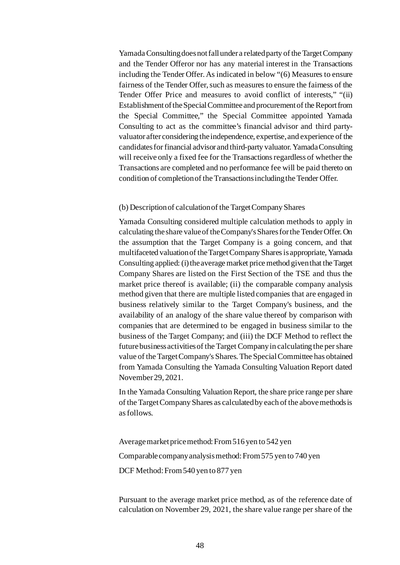Yamada Consulting does not fall under a related party of the Target Company and the Tender Offeror nor has any material interest in the Transactions including the Tender Offer. As indicated in below "(6) Measures to ensure fairness of the Tender Offer, such as measures to ensure the fairness of the Tender Offer Price and measures to avoid conflict of interests," "(ii) Establishment of the Special Committee and procurement of the Report from the Special Committee," the Special Committee appointed Yamada Consulting to act as the committee's financial advisor and third partyvaluator after considering the independence, expertise, and experience of the candidates for financial advisor and third-party valuator. Yamada Consulting will receive only a fixed fee for the Transactions regardless of whether the Transactions are completed and no performance fee will be paid thereto on condition of completion of the Transactions including the Tender Offer.

#### (b) Description of calculation of the Target Company Shares

Yamada Consulting considered multiple calculation methods to apply in calculating the share value of the Company's Shares for the Tender Offer. On the assumption that the Target Company is a going concern, and that multifaceted valuation of the Target Company Shares is appropriate, Yamada Consulting applied: (i) the average market price method given that the Target Company Shares are listed on the First Section of the TSE and thus the market price thereof is available; (ii) the comparable company analysis method given that there are multiple listed companies that are engaged in business relatively similar to the Target Company's business, and the availability of an analogy of the share value thereof by comparison with companies that are determined to be engaged in business similar to the business of the Target Company; and (iii) the DCF Method to reflect the future business activities of the Target Company in calculating the per share value of the Target Company's Shares. The Special Committee has obtained from Yamada Consulting the Yamada Consulting Valuation Report dated November 29, 2021.

In the Yamada Consulting Valuation Report, the share price range per share of the Target Company Shares as calculated by each of the above methods is as follows.

Average market price method: From 516 yen to 542 yen Comparable company analysis method: From 575 yen to 740 yen DCF Method: From 540 yen to 877 yen

Pursuant to the average market price method, as of the reference date of calculation on November 29, 2021, the share value range per share of the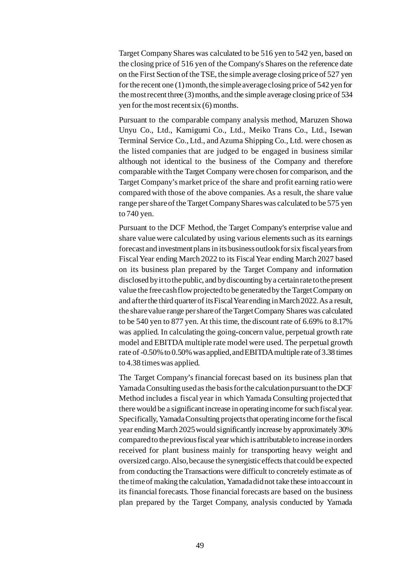Target Company Shares was calculated to be 516 yen to 542 yen, based on the closing price of 516 yen of the Company's Shares on the reference date on the First Section of the TSE, the simple average closing price of 527 yen for the recent one (1) month, the simple average closing price of 542 yen for the most recent three (3) months, and the simple average closing price of 534 yen for the most recent six (6) months.

Pursuant to the comparable company analysis method, Maruzen Showa Unyu Co., Ltd., Kamigumi Co., Ltd., Meiko Trans Co., Ltd., Isewan Terminal Service Co., Ltd., and Azuma Shipping Co., Ltd. were chosen as the listed companies that are judged to be engaged in business similar although not identical to the business of the Company and therefore comparable with the Target Company were chosen for comparison, and the Target Company's market price of the share and profit earning ratio were compared with those of the above companies. As a result, the share value range per share of the Target Company Shares was calculated to be 575 yen to 740 yen.

Pursuant to the DCF Method, the Target Company's enterprise value and share value were calculated by using various elements such as its earnings forecast and investment plans in its business outlook for six fiscal years from Fiscal Year ending March 2022 to its Fiscal Year ending March 2027 based on its business plan prepared by the Target Company and information disclosed by it to the public, and by discounting by a certain rate to the present value the free cash flow projected to be generated by the Target Company on and after the third quarter of its Fiscal Year ending in March 2022. As a result, the share value range per share of the Target Company Shares was calculated to be 540 yen to 877 yen. At this time, the discount rate of 6.69% to 8.17% was applied. In calculating the going-concern value, perpetual growth rate model and EBITDA multiple rate model were used. The perpetual growth rate of -0.50% to 0.50% was applied, and EBITDA multiple rate of 3.38 times to 4.38 times was applied.

The Target Company's financial forecast based on its business plan that Yamada Consulting used as the basis for the calculation pursuant to the DCF Method includes a fiscal year in which Yamada Consulting projected that there would be a significant increase in operating income for such fiscal year. Specifically, Yamada Consulting projects that operating income for the fiscal year ending March 2025 would significantly increase by approximately 30% compared to the previous fiscal year which is attributable to increase in orders received for plant business mainly for transporting heavy weight and oversized cargo. Also, because the synergistic effects that could be expected from conducting the Transactions were difficult to concretely estimate as of the time of making the calculation, Yamada did not take these into account in its financial forecasts. Those financial forecasts are based on the business plan prepared by the Target Company, analysis conducted by Yamada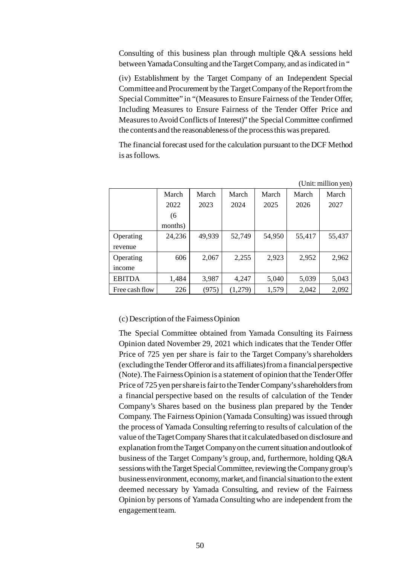Consulting of this business plan through multiple Q&A sessions held between Yamada Consulting and the Target Company, and as indicated in "

(iv) Establishment by the Target Company of an Independent Special Committee and Procurement by the Target Company of the Report from the Special Committee" in "(Measures to Ensure Fairness of the Tender Offer, Including Measures to Ensure Fairness of the Tender Offer Price and Measures to Avoid Conflicts of Interest)" the Special Committee confirmed the contents and the reasonableness of the process this was prepared.

The financial forecast used for the calculation pursuant to the DCF Method is as follows.

|                |         |        |         |        |        | (Unit: million yen) |
|----------------|---------|--------|---------|--------|--------|---------------------|
|                | March   | March  | March   | March  | March  | March               |
|                | 2022    | 2023   | 2024    | 2025   | 2026   | 2027                |
|                | (6)     |        |         |        |        |                     |
|                | months) |        |         |        |        |                     |
| Operating      | 24,236  | 49,939 | 52,749  | 54,950 | 55,417 | 55,437              |
| revenue        |         |        |         |        |        |                     |
| Operating      | 606     | 2,067  | 2,255   | 2,923  | 2,952  | 2,962               |
| income         |         |        |         |        |        |                     |
| <b>EBITDA</b>  | 1,484   | 3,987  | 4,247   | 5,040  | 5,039  | 5,043               |
| Free cash flow | 226     | (975)  | (1,279) | 1,579  | 2,042  | 2,092               |

(c) Description of the Fairness Opinion

The Special Committee obtained from Yamada Consulting its Fairness Opinion dated November 29, 2021 which indicates that the Tender Offer Price of 725 yen per share is fair to the Target Company's shareholders (excluding the Tender Offeror and its affiliates) from a financial perspective (Note). The Fairness Opinion is a statement of opinion that the Tender Offer Price of 725 yen per share is fair to the Tender Company's shareholders from a financial perspective based on the results of calculation of the Tender Company's Shares based on the business plan prepared by the Tender Company. The Fairness Opinion (Yamada Consulting) was issued through the process of Yamada Consulting referring to results of calculation of the value of the Taget Company Shares that it calculated based on disclosure and explanation from the Target Company on the current situation and outlook of business of the Target Company's group, and, furthermore, holding Q&A sessions with the Target Special Committee, reviewing the Company group's business environment, economy, market, and financial situation to the extent deemed necessary by Yamada Consulting, and review of the Fairness Opinion by persons of Yamada Consulting who are independent from the engagement team.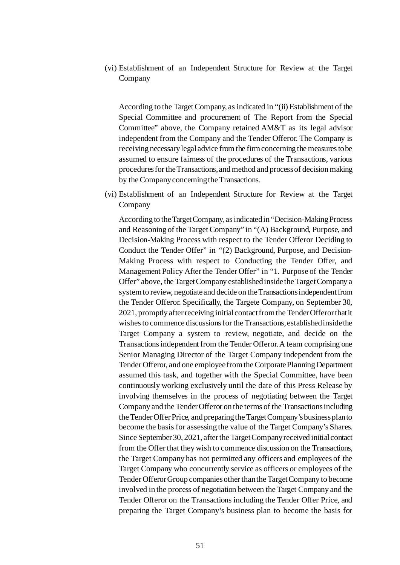(vi) Establishment of an Independent Structure for Review at the Target Company

According to the Target Company, as indicated in "(ii) Establishment of the Special Committee and procurement of The Report from the Special Committee" above, the Company retained AM&T as its legal advisor independent from the Company and the Tender Offeror. The Company is receiving necessary legal advice from the firm concerning the measures to be assumed to ensure fairness of the procedures of the Transactions, various procedures for the Transactions, and method and process of decision making by the Company concerning the Transactions.

(vi) Establishment of an Independent Structure for Review at the Target Company

According to the Target Company, as indicated in "Decision-Making Process and Reasoning of the Target Company" in "(A) Background, Purpose, and Decision-Making Process with respect to the Tender Offeror Deciding to Conduct the Tender Offer" in "(2) Background, Purpose, and Decision-Making Process with respect to Conducting the Tender Offer, and Management Policy After the Tender Offer" in "1. Purpose of the Tender Offer" above, the Target Company established inside the Target Company a system to review, negotiate and decide on the Transactions independent from the Tender Offeror. Specifically, the Targete Company, on September 30, 2021, promptly after receiving initial contact from the Tender Offeror that it wishes to commence discussions for the Transactions, established inside the Target Company a system to review, negotiate, and decide on the Transactions independent from the Tender Offeror. A team comprising one Senior Managing Director of the Target Company independent from the Tender Offeror, and one employee from the Corporate Planning Department assumed this task, and together with the Special Committee, have been continuously working exclusively until the date of this Press Release by involving themselves in the process of negotiating between the Target Company and the Tender Offeror on the terms of the Transactions including the Tender Offer Price, and preparing the Target Company's business plan to become the basis for assessing the value of the Target Company's Shares. Since September 30, 2021, after the Target Company received initial contact from the Offer that they wish to commence discussion on the Transactions, the Target Company has not permitted any officers and employees of the Target Company who concurrently service as officers or employees of the Tender Offeror Group companies other than the Target Company to become involved in the process of negotiation between the Target Company and the Tender Offeror on the Transactions including the Tender Offer Price, and preparing the Target Company's business plan to become the basis for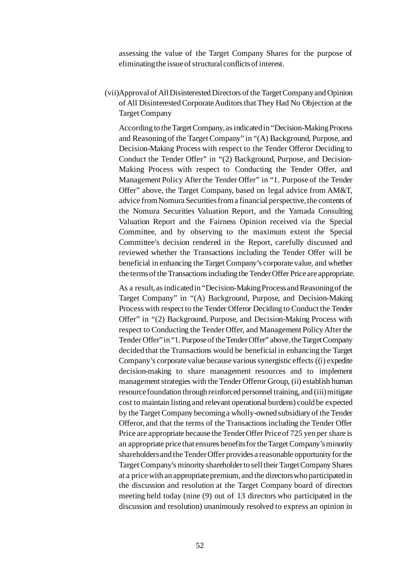assessing the value of the Target Company Shares for the purpose of eliminating the issue of structural conflicts of interest.

(vii)Approval of All Disinterested Directors of the Target Company and Opinion of All Disinterested Corporate Auditors that They Had No Objection at the Target Company

According to the Target Company, as indicated in "Decision-Making Process and Reasoning of the Target Company" in "(A) Background, Purpose, and Decision-Making Process with respect to the Tender Offeror Deciding to Conduct the Tender Offer" in "(2) Background, Purpose, and Decision-Making Process with respect to Conducting the Tender Offer, and Management Policy After the Tender Offer" in "1. Purpose of the Tender Offer" above, the Target Company, based on legal advice from AM&T, advice from Nomura Securities from a financial perspective, the contents of the Nomura Securities Valuation Report, and the Yamada Consulting Valuation Report and the Fairness Opinion received via the Special Committee, and by observing to the maximum extent the Special Committee's decision rendered in the Report, carefully discussed and reviewed whether the Transactions including the Tender Offer will be beneficial in enhancing the Target Company's corporate value, and whether the terms of the Transactions including the Tender Offer Price are appropriate.

As a result, as indicated in "Decision-Making Process and Reasoning of the Target Company" in "(A) Background, Purpose, and Decision-Making Process with respect to the Tender Offeror Deciding to Conduct the Tender Offer" in "(2) Background, Purpose, and Decision-Making Process with respect to Conducting the Tender Offer, and Management Policy After the Tender Offer" in "1. Purpose of the Tender Offer" above, the Target Company decided that the Transactions would be beneficial in enhancing the Target Company's corporate value because various synergistic effects ((i) expedite decision-making to share management resources and to implement management strategies with the Tender Offeror Group, (ii) establish human resource foundation through reinforced personnel training, and (iii) mitigate cost to maintain listing and relevant operational burdens) could be expected by the Target Company becoming a wholly-owned subsidiary of the Tender Offeror, and that the terms of the Transactions including the Tender Offer Price are appropriate because the Tender Offer Price of 725 yen per share is an appropriate price that ensures benefits for the Target Company's minority shareholders and the Tender Offer provides a reasonable opportunity for the Target Company's minority shareholder to sell their Target Company Shares at a price with an appropriate premium, and the directors who participated in the discussion and resolution at the Target Company board of directors meeting held today (nine (9) out of 13 directors who participated in the discussion and resolution) unanimously resolved to express an opinion in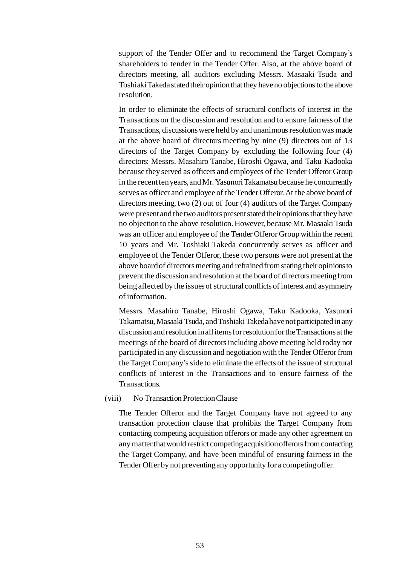support of the Tender Offer and to recommend the Target Company's shareholders to tender in the Tender Offer. Also, at the above board of directors meeting, all auditors excluding Messrs. Masaaki Tsuda and Toshiaki Takeda stated their opinion that they have no objections to the above resolution.

In order to eliminate the effects of structural conflicts of interest in the Transactions on the discussion and resolution and to ensure fairness of the Transactions, discussions were held by and unanimous resolution was made at the above board of directors meeting by nine (9) directors out of 13 directors of the Target Company by excluding the following four (4) directors: Messrs. Masahiro Tanabe, Hiroshi Ogawa, and Taku Kadooka because they served as officers and employees of the Tender Offeror Group in the recent ten years, and Mr. Yasunori Takamatsu because he concurrently serves as officer and employee of the Tender Offeror. At the above board of directors meeting, two (2) out of four (4) auditors of the Target Company were present and the two auditors present stated their opinions that they have no objection to the above resolution. However, because Mr. Masaaki Tsuda was an officer and employee of the Tender Offeror Group within the recent 10 years and Mr. Toshiaki Takeda concurrently serves as officer and employee of the Tender Offeror, these two persons were not present at the above board of directors meeting and refrained from stating their opinions to prevent the discussion and resolution at the board of directors meeting from being affected by the issues of structural conflicts of interest and asymmetry of information.

Messrs. Masahiro Tanabe, Hiroshi Ogawa, Taku Kadooka, Yasunori Takamatsu, Masaaki Tsuda, and Toshiaki Takeda have not participatedin any discussion and resolution in all items for resolution for the Transactions at the meetings of the board of directors including above meeting held today nor participated in any discussion and negotiation with the Tender Offeror from the Target Company's side to eliminate the effects of the issue of structural conflicts of interest in the Transactions and to ensure fairness of the Transactions.

#### (viii) No Transaction Protection Clause

The Tender Offeror and the Target Company have not agreed to any transaction protection clause that prohibits the Target Company from contacting competing acquisition offerors or made any other agreement on any matter that would restrict competing acquisition offerors from contacting the Target Company, and have been mindful of ensuring fairness in the Tender Offer by not preventing any opportunity for a competing offer.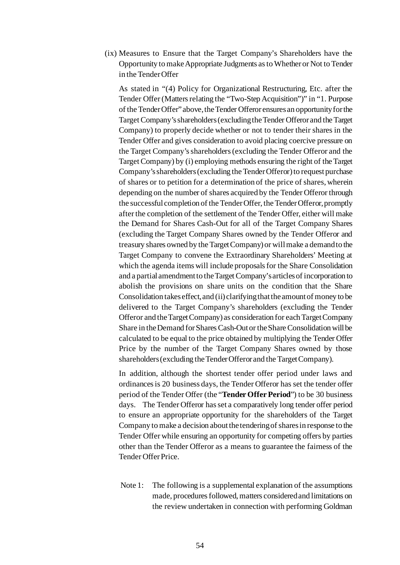(ix) Measures to Ensure that the Target Company's Shareholders have the Opportunity tomake Appropriate Judgments as to Whether or Not to Tender in the Tender Offer

As stated in "(4) Policy for Organizational Restructuring, Etc. after the Tender Offer (Matters relating the "Two-Step Acquisition")" in "1. Purpose of the Tender Offer" above, the Tender Offeror ensures an opportunity for the Target Company's shareholders(excluding the Tender Offeror and the Target Company) to properly decide whether or not to tender their shares in the Tender Offer and gives consideration to avoid placing coercive pressure on the Target Company's shareholders (excluding the Tender Offeror and the Target Company) by (i) employing methods ensuring the right of the Target Company's shareholders (excluding the Tender Offeror) to request purchase of shares or to petition for a determination of the price of shares, wherein depending on the number of shares acquired by the Tender Offeror through the successful completion of the Tender Offer, the Tender Offeror, promptly after the completion of the settlement of the Tender Offer, either will make the Demand for Shares Cash-Out for all of the Target Company Shares (excluding the Target Company Shares owned by the Tender Offeror and treasury shares owned by the Target Company) or will make a demand to the Target Company to convene the Extraordinary Shareholders' Meeting at which the agenda items will include proposals for the Share Consolidation and a partial amendment to the Target Company's articles of incorporation to abolish the provisions on share units on the condition that the Share Consolidation takes effect, and (ii) clarifying that the amount of money to be delivered to the Target Company's shareholders (excluding the Tender Offeror and the Target Company) as consideration for each Target Company Share in the Demand for Shares Cash-Out or the Share Consolidation will be calculated to be equal to the price obtained by multiplying the Tender Offer Price by the number of the Target Company Shares owned by those shareholders (excluding the Tender Offeror and the Target Company).

In addition, although the shortest tender offer period under laws and ordinances is 20 business days, the Tender Offeror has set the tender offer period of the Tender Offer (the "**Tender Offer Period**") to be 30 business days. The Tender Offeror has set a comparatively long tender offer period to ensure an appropriate opportunity for the shareholders of the Target Company to make a decision about the tendering of shares in response to the Tender Offer while ensuring an opportunity for competing offers by parties other than the Tender Offeror as a means to guarantee the fairness of the Tender Offer Price.

Note 1: The following is a supplemental explanation of the assumptions made, procedures followed, matters considered and limitations on the review undertaken in connection with performing Goldman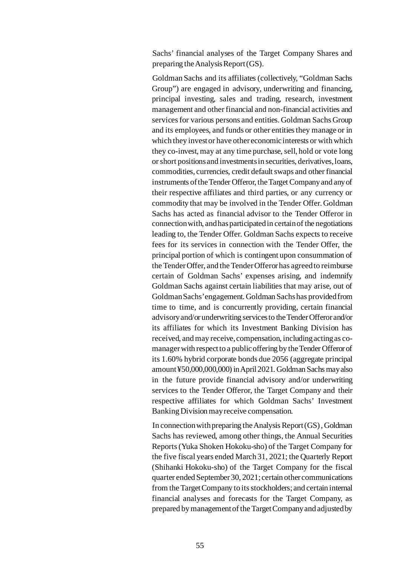Sachs' financial analyses of the Target Company Shares and preparing the Analysis Report (GS).

Goldman Sachs and its affiliates (collectively, "Goldman Sachs Group") are engaged in advisory, underwriting and financing, principal investing, sales and trading, research, investment management and other financial and non-financial activities and services for various persons and entities. Goldman Sachs Group and its employees, and funds or other entities they manage or in which they invest or have other economic interests or with which they co-invest, may at any time purchase, sell, hold or vote long or short positions and investments in securities, derivatives, loans, commodities, currencies, credit default swaps and other financial instruments of the Tender Offeror, the Target Company and any of their respective affiliates and third parties, or any currency or commodity that may be involved in the Tender Offer. Goldman Sachs has acted as financial advisor to the Tender Offeror in connection with, and has participated in certain of the negotiations leading to, the Tender Offer. Goldman Sachs expects to receive fees for its services in connection with the Tender Offer, the principal portion of which is contingent upon consummation of the Tender Offer, and the Tender Offeror has agreed to reimburse certain of Goldman Sachs' expenses arising, and indemnify Goldman Sachs against certain liabilities that may arise, out of Goldman Sachs' engagement. Goldman Sachs has provided from time to time, and is concurrently providing, certain financial advisory and/or underwriting services to the Tender Offeror and/or its affiliates for which its Investment Banking Division has received, and may receive, compensation, including acting as comanager with respect to a public offering by the Tender Offeror of its 1.60% hybrid corporate bonds due 2056 (aggregate principal amount ¥50,000,000,000) in April 2021. Goldman Sachs may also in the future provide financial advisory and/or underwriting services to the Tender Offeror, the Target Company and their respective affiliates for which Goldman Sachs' Investment Banking Division may receive compensation.

In connection with preparing the Analysis Report (GS) , Goldman Sachs has reviewed, among other things, the Annual Securities Reports (Yuka Shoken Hokoku-sho) of the Target Company for the five fiscal years ended March 31, 2021; the Quarterly Report (Shihanki Hokoku-sho) of the Target Company for the fiscal quarter ended September 30, 2021; certain other communications from the Target Company to its stockholders; and certain internal financial analyses and forecasts for the Target Company, as prepared by management of the Target Company and adjusted by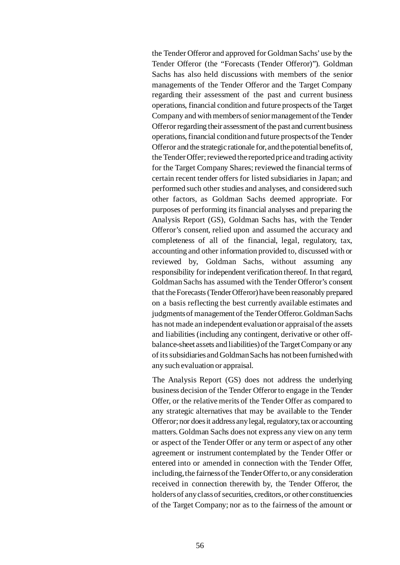the Tender Offeror and approved for Goldman Sachs' use by the Tender Offeror (the "Forecasts (Tender Offeror)"). Goldman Sachs has also held discussions with members of the senior managements of the Tender Offeror and the Target Company regarding their assessment of the past and current business operations, financial condition and future prospects of the Target Company and with members of senior management of the Tender Offeror regarding their assessment of the past and current business operations, financial condition and future prospects of the Tender Offeror and the strategic rationale for, and the potential benefits of, the Tender Offer; reviewed the reported price and trading activity for the Target Company Shares; reviewed the financial terms of certain recent tender offers for listed subsidiaries in Japan; and performed such other studies and analyses, and considered such other factors, as Goldman Sachs deemed appropriate. For purposes of performing its financial analyses and preparing the Analysis Report (GS), Goldman Sachs has, with the Tender Offeror's consent, relied upon and assumed the accuracy and completeness of all of the financial, legal, regulatory, tax, accounting and other information provided to, discussed with or reviewed by, Goldman Sachs, without assuming any responsibility for independent verification thereof. In that regard, Goldman Sachs has assumed with the Tender Offeror's consent that the Forecasts (Tender Offeror) have been reasonably prepared on a basis reflecting the best currently available estimates and judgments of management of the Tender Offeror. Goldman Sachs has not made an independent evaluation or appraisal of the assets and liabilities (including any contingent, derivative or other offbalance-sheet assets and liabilities) of the Target Company or any of its subsidiaries and Goldman Sachs has not been furnished with any such evaluation or appraisal.

The Analysis Report (GS) does not address the underlying business decision of the Tender Offeror to engage in the Tender Offer, or the relative merits of the Tender Offer as compared to any strategic alternatives that may be available to the Tender Offeror; nor does it address any legal, regulatory, tax or accounting matters. Goldman Sachs does not express any view on any term or aspect of the Tender Offer or any term or aspect of any other agreement or instrument contemplated by the Tender Offer or entered into or amended in connection with the Tender Offer, including, the fairness of the Tender Offer to, or any consideration received in connection therewith by, the Tender Offeror, the holders of any class of securities, creditors, or other constituencies of the Target Company; nor as to the fairness of the amount or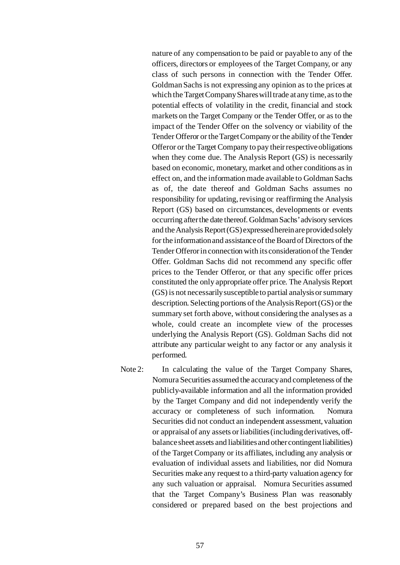nature of any compensation to be paid or payable to any of the officers, directors or employees of the Target Company, or any class of such persons in connection with the Tender Offer. Goldman Sachs is not expressing any opinion as to the prices at which the Target Company Shares will trade at any time, as to the potential effects of volatility in the credit, financial and stock markets on the Target Company or the Tender Offer, or as to the impact of the Tender Offer on the solvency or viability of the Tender Offeror or the Target Company or the ability of the Tender Offeror or the Target Company to pay their respective obligations when they come due. The Analysis Report (GS) is necessarily based on economic, monetary, market and other conditions as in effect on, and the information made available to Goldman Sachs as of, the date thereof and Goldman Sachs assumes no responsibility for updating, revising or reaffirming the Analysis Report (GS) based on circumstances, developments or events occurring after the date thereof. Goldman Sachs' advisory services and the Analysis Report (GS) expressed herein are provided solely for the information and assistance of the Board of Directors of the Tender Offeror in connection with its consideration of the Tender Offer. Goldman Sachs did not recommend any specific offer prices to the Tender Offeror, or that any specific offer prices constituted the only appropriate offer price. The Analysis Report (GS) is not necessarily susceptible to partial analysis or summary description. Selecting portions of the Analysis Report (GS) or the summary set forth above, without considering the analyses as a whole, could create an incomplete view of the processes underlying the Analysis Report (GS). Goldman Sachs did not attribute any particular weight to any factor or any analysis it performed.

Note 2: In calculating the value of the Target Company Shares, Nomura Securities assumed the accuracy and completeness of the publicly-available information and all the information provided by the Target Company and did not independently verify the accuracy or completeness of such information. Nomura Securities did not conduct an independent assessment, valuation or appraisal of any assets or liabilities (including derivatives, offbalance sheet assets and liabilities and other contingent liabilities) of the Target Company or its affiliates, including any analysis or evaluation of individual assets and liabilities, nor did Nomura Securities make any request to a third-party valuation agency for any such valuation or appraisal. Nomura Securities assumed that the Target Company's Business Plan was reasonably considered or prepared based on the best projections and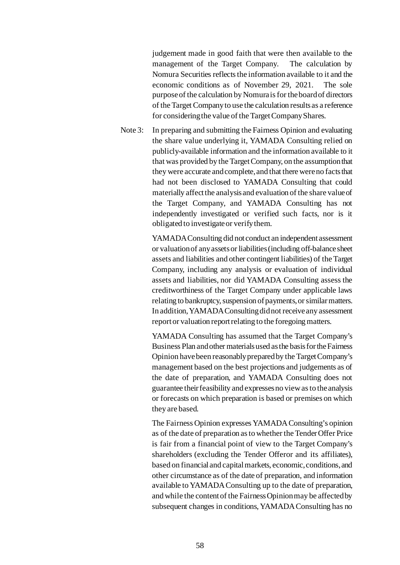judgement made in good faith that were then available to the management of the Target Company. The calculation by Nomura Securities reflects the information available to it and the economic conditions as of November 29, 2021. The sole purpose of the calculation by Nomura is for the board of directors of the Target Company to use the calculation results as a reference for considering the value of the Target Company Shares.

Note 3: In preparing and submitting the Fairness Opinion and evaluating the share value underlying it, YAMADA Consulting relied on publicly-available information and the information available to it that was provided by the Target Company, on the assumption that they were accurate and complete, and that there were no facts that had not been disclosed to YAMADA Consulting that could materially affect the analysis and evaluation of the share value of the Target Company, and YAMADA Consulting has not independently investigated or verified such facts, nor is it obligated to investigate or verify them.

> YAMADA Consulting did not conduct an independent assessment or valuation of any assets or liabilities (including off-balance sheet assets and liabilities and other contingent liabilities) of the Target Company, including any analysis or evaluation of individual assets and liabilities, nor did YAMADA Consulting assess the creditworthiness of the Target Company under applicable laws relating to bankruptcy, suspension of payments, or similar matters. In addition, YAMADA Consulting did not receive any assessment report or valuation report relating to the foregoing matters.

> YAMADA Consulting has assumed that the Target Company's Business Plan and other materials used as the basis for the Fairness Opinion have been reasonably prepared by the Target Company's management based on the best projections and judgements as of the date of preparation, and YAMADA Consulting does not guarantee their feasibility and expresses no view as to the analysis or forecasts on which preparation is based or premises on which they are based.

> The Fairness Opinion expresses YAMADA Consulting's opinion as of the date of preparation as to whether the Tender Offer Price is fair from a financial point of view to the Target Company's shareholders (excluding the Tender Offeror and its affiliates), based on financial and capital markets, economic, conditions, and other circumstance as of the date of preparation, and information available to YAMADA Consulting up to the date of preparation, and while the content of the Fairness Opinion may be affected by subsequent changes in conditions, YAMADA Consulting has no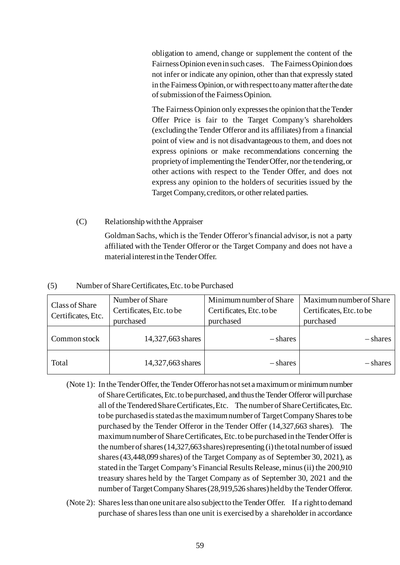obligation to amend, change or supplement the content of the Fairness Opinion even in such cases. The Fairness Opinion does not infer or indicate any opinion, other than that expressly stated in the Fairness Opinion, or with respect to any matter after the date of submission of the Fairness Opinion.

The Fairness Opinion only expresses the opinion that the Tender Offer Price is fair to the Target Company's shareholders (excluding the Tender Offeror and its affiliates) from a financial point of view and is not disadvantageous to them, and does not express opinions or make recommendations concerning the propriety of implementing the Tender Offer, nor the tendering, or other actions with respect to the Tender Offer, and does not express any opinion to the holders of securities issued by the Target Company, creditors, or other related parties.

# (C) Relationship with the Appraiser

Goldman Sachs, which is the Tender Offeror's financial advisor, is not a party affiliated with the Tender Offeror or the Target Company and does not have a material interest in the Tender Offer.

## (5) Number of Share Certificates, Etc. to be Purchased

| Class of Share<br>Certificates, Etc. | Number of Share<br>Certificates, Etc. to be<br>purchased | Minimum number of Share<br>Certificates, Etc. to be<br>purchased | Maximum number of Share<br>Certificates, Etc. to be<br>purchased |  |
|--------------------------------------|----------------------------------------------------------|------------------------------------------------------------------|------------------------------------------------------------------|--|
| Common stock                         | 14,327,663 shares                                        | - shares                                                         | – shares                                                         |  |
| Total                                | 14,327,663 shares                                        | - shares                                                         | - shares                                                         |  |

(Note 1): In the Tender Offer, the Tender Offeror has not set a maximum or minimum number of Share Certificates, Etc. to be purchased, and thus the Tender Offeror will purchase all of the Tendered Share Certificates, Etc. The number of Share Certificates, Etc. to be purchased is stated as the maximum number of Target Company Shares to be purchased by the Tender Offeror in the Tender Offer (14,327,663 shares). The maximum number of Share Certificates, Etc.to be purchased in the Tender Offer is the number of shares (14,327,663 shares) representing (i) the total number of issued shares (43,448,099 shares) of the Target Company as of September 30, 2021), as stated in the Target Company's Financial Results Release, minus (ii) the 200,910 treasury shares held by the Target Company as of September 30, 2021 and the number of Target Company Shares (28,919,526 shares) held by the Tender Offeror.

(Note 2): Shares less than one unit are also subject to the Tender Offer. If a right to demand purchase of shares less than one unit is exercised by a shareholder in accordance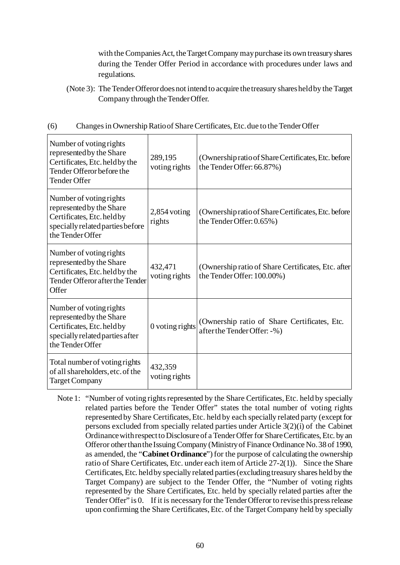with the Companies Act, the Target Company may purchase its own treasury shares during the Tender Offer Period in accordance with procedures under laws and regulations.

(Note 3): The Tender Offeror does not intend to acquire the treasury shares held by the Target Company through the Tender Offer.

| (6) | Changes in Ownership Ratio of Share Certificates, Etc. due to the Tender Offer |  |  |
|-----|--------------------------------------------------------------------------------|--|--|
|     |                                                                                |  |  |
|     |                                                                                |  |  |

| Number of voting rights<br>represented by the Share<br>Certificates, Etc. held by the<br>Tender Offeror before the<br><b>Tender Offer</b> | 289,195<br>voting rights | (Ownership ratio of Share Certificates, Etc. before<br>the Tender Offer: 66.87%)  |
|-------------------------------------------------------------------------------------------------------------------------------------------|--------------------------|-----------------------------------------------------------------------------------|
| Number of voting rights<br>represented by the Share<br>Certificates, Etc. held by<br>specially related parties before<br>the Tender Offer | $2,854$ voting<br>rights | (Ownership ratio of Share Certificates, Etc. before)<br>the Tender Offer: 0.65%)  |
| Number of voting rights<br>represented by the Share<br>Certificates, Etc. held by the<br>Tender Offeror after the Tender<br>Offer         | 432,471<br>voting rights | (Ownership ratio of Share Certificates, Etc. after)<br>the Tender Offer: 100.00%) |
| Number of voting rights<br>represented by the Share<br>Certificates, Etc. held by<br>specially related parties after<br>the Tender Offer  | 0 voting rights          | (Ownership ratio of Share Certificates, Etc.<br>after the Tender Offer: -%)       |
| Total number of voting rights<br>of all shareholders, etc. of the<br><b>Target Company</b>                                                | 432,359<br>voting rights |                                                                                   |

Note 1: "Number of voting rights represented by the Share Certificates, Etc. held by specially related parties before the Tender Offer" states the total number of voting rights represented by Share Certificates, Etc. held by each specially related party (except for persons excluded from specially related parties under Article 3(2)(i) of the Cabinet Ordinance with respect to Disclosure of a Tender Offer for Share Certificates, Etc. by an Offeror other than the Issuing Company (Ministry of Finance Ordinance No. 38 of 1990, as amended, the "**Cabinet Ordinance**") for the purpose of calculating the ownership ratio of Share Certificates, Etc. under each item of Article 27-2(1)). Since the Share Certificates, Etc. held by specially related parties (excluding treasury shares held by the Target Company) are subject to the Tender Offer, the "Number of voting rights represented by the Share Certificates, Etc. held by specially related parties after the Tender Offer" is 0. If it is necessary for the Tender Offeror to revise thispress release upon confirming the Share Certificates, Etc. of the Target Company held by specially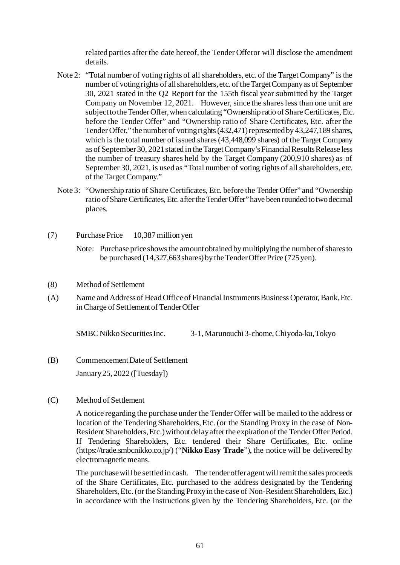related parties after the date hereof, the Tender Offeror will disclose the amendment details.

- Note 2: "Total number of voting rights of all shareholders, etc. of the Target Company" is the number of voting rights of all shareholders, etc. of the Target Company as of September 30, 2021 stated in the Q2 Report for the 155th fiscal year submitted by the Target Company on November 12, 2021. However, since the shares less than one unit are subject to the Tender Offer, when calculating "Ownership ratio of Share Certificates, Etc. before the Tender Offer" and "Ownership ratio of Share Certificates, Etc. after the Tender Offer," the number of voting rights (432,471) represented by 43,247,189 shares, which is the total number of issued shares (43,448,099 shares) of the Target Company as of September 30, 2021 stated in the Target Company's Financial Results Release less the number of treasury shares held by the Target Company (200,910 shares) as of September 30, 2021, is used as "Total number of voting rights of all shareholders, etc. of the Target Company."
- Note 3: "Ownership ratio of Share Certificates, Etc. before the Tender Offer" and "Ownership ratio of Share Certificates, Etc. after the Tender Offer" have been rounded to two decimal places.
- (7) Purchase Price 10,387 million yen
	- Note: Purchase price shows the amount obtained by multiplying the number of shares to be purchased (14,327,663shares) by the Tender Offer Price (725 yen).
- (8) Method of Settlement
- (A) Name and Address of Head Office of Financial Instruments Business Operator, Bank, Etc. in Charge of Settlement of Tender Offer

SMBC Nikko Securities Inc. 3-1, Marunouchi 3-chome, Chiyoda-ku, Tokyo

(B) Commencement Date of Settlement

January 25, 2022 ([Tuesday])

(C) Method of Settlement

A notice regarding the purchase under the Tender Offer will be mailed to the address or location of the Tendering Shareholders, Etc. (or the Standing Proxy in the case of Non-Resident Shareholders, Etc.) without delay after the expiration of the Tender Offer Period. If Tendering Shareholders, Etc. tendered their Share Certificates, Etc. online (https://trade.smbcnikko.co.jp/) ("**Nikko Easy Trade**"), the notice will be delivered by electromagnetic means.

The purchase will be settled in cash. The tender offer agent will remit the sales proceeds of the Share Certificates, Etc. purchased to the address designated by the Tendering Shareholders, Etc. (or the Standing Proxy in the case of Non-Resident Shareholders, Etc.) in accordance with the instructions given by the Tendering Shareholders, Etc. (or the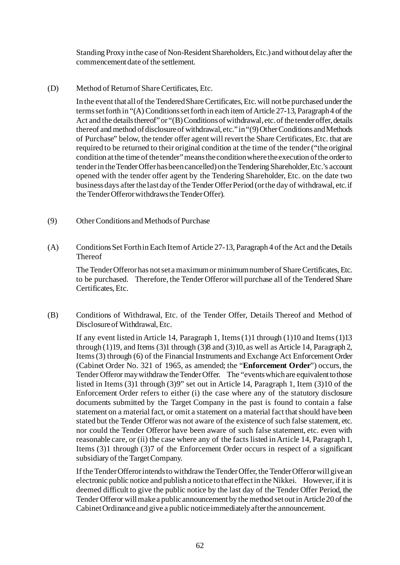Standing Proxy in the case of Non-Resident Shareholders, Etc.) and without delay after the commencement date of the settlement.

(D) Method of Return of Share Certificates, Etc.

In the event that all of the Tendered Share Certificates, Etc. will not be purchased under the terms set forth in "(A) Conditions set forth in each item of Article 27-13, Paragraph 4 of the Act and the details thereof" or "(B) Conditions of withdrawal, etc. of the tender offer, details thereof and method of disclosure of withdrawal, etc." in "(9) Other Conditions and Methods of Purchase" below, the tender offer agent will revert the Share Certificates, Etc. that are required to be returned to their original condition at the time of the tender ("the original condition at the time of the tender" means the condition where the execution of the order to tender in the Tender Offer has been cancelled) on the Tendering Shareholder, Etc.'s account opened with the tender offer agent by the Tendering Shareholder, Etc. on the date two business days after the last day of the Tender Offer Period (or the day of withdrawal, etc. if the Tender Offeror withdraws the Tender Offer).

- (9) Other Conditions and Methods of Purchase
- (A) Conditions Set Forth in Each Item of Article 27-13, Paragraph 4 of the Act and the Details Thereof

The Tender Offeror has not set a maximum or minimum number of Share Certificates, Etc. to be purchased. Therefore, the Tender Offeror will purchase all of the Tendered Share Certificates, Etc.

(B) Conditions of Withdrawal, Etc. of the Tender Offer, Details Thereof and Method of Disclosure of Withdrawal, Etc.

If any event listed in Article 14, Paragraph 1, Items (1)1 through (1)10 and Items (1)13 through (1)19, and Items (3)1 through (3)8 and (3)10, as well as Article 14, Paragraph 2, Items (3) through (6) of the Financial Instruments and Exchange Act Enforcement Order (Cabinet Order No. 321 of 1965, as amended; the "**Enforcement Order**") occurs, the Tender Offeror may withdraw the Tender Offer. The "events which are equivalent to those listed in Items (3)1 through (3)9" set out in Article 14, Paragraph 1, Item (3)10 of the Enforcement Order refers to either (i) the case where any of the statutory disclosure documents submitted by the Target Company in the past is found to contain a false statement on a material fact, or omit a statement on a material fact that should have been stated but the Tender Offeror was not aware of the existence of such false statement, etc. nor could the Tender Offeror have been aware of such false statement, etc. even with reasonable care, or (ii) the case where any of the facts listed in Article 14, Paragraph 1, Items (3)1 through (3)7 of the Enforcement Order occurs in respect of a significant subsidiary of the Target Company.

If the Tender Offeror intends to withdraw the Tender Offer, the Tender Offeror will give an electronic public notice and publish a notice to that effect in the Nikkei. However, if it is deemed difficult to give the public notice by the last day of the Tender Offer Period, the Tender Offeror will make a public announcement by the method set out in Article 20 of the Cabinet Ordinance and give a public notice immediately after the announcement.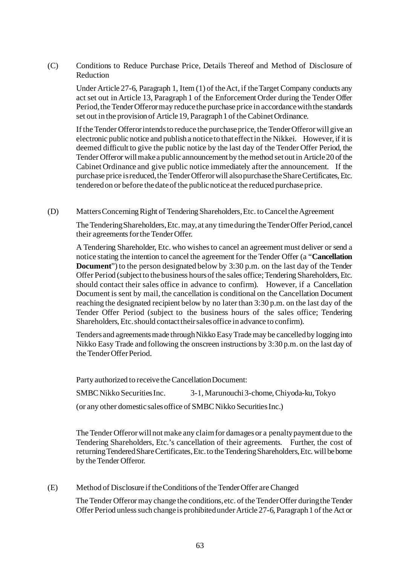# (C) Conditions to Reduce Purchase Price, Details Thereof and Method of Disclosure of Reduction

Under Article 27-6, Paragraph 1, Item (1) of the Act, if the Target Company conducts any act set out in Article 13, Paragraph 1 of the Enforcement Order during the Tender Offer Period, the Tender Offeror may reduce the purchase price in accordance with the standards set out in the provision of Article 19, Paragraph 1 of the Cabinet Ordinance.

If the Tender Offeror intends to reduce the purchase price, the TenderOfferor will give an electronic public notice and publish a notice to that effect in the Nikkei. However, if it is deemed difficult to give the public notice by the last day of the Tender Offer Period, the Tender Offeror will make a public announcement by the method set out in Article 20 of the Cabinet Ordinance and give public notice immediately after the announcement. If the purchase price is reduced, the Tender Offeror will also purchase the Share Certificates, Etc. tendered on or before the date of the public notice at the reduced purchase price.

(D) Matters Concerning Right of Tendering Shareholders, Etc. to Cancel the Agreement

The Tendering Shareholders, Etc. may, at any time during the Tender Offer Period, cancel their agreements for the Tender Offer.

A Tendering Shareholder, Etc. who wishes to cancel an agreement must deliver or send a notice stating the intention to cancel the agreement for the Tender Offer (a "**Cancellation Document**") to the person designated below by 3:30 p.m. on the last day of the Tender Offer Period (subject to the business hours of the sales office; Tendering Shareholders, Etc. should contact their sales office in advance to confirm). However, if a Cancellation Document is sent by mail, the cancellation is conditional on the Cancellation Document reaching the designated recipient below by no later than 3:30 p.m. on the last day of the Tender Offer Period (subject to the business hours of the sales office; Tendering Shareholders, Etc. should contact their sales office in advance to confirm).

Tenders and agreements made through Nikko Easy Trade may be cancelled by logging into Nikko Easy Trade and following the onscreen instructions by 3:30 p.m. on the last day of the Tender Offer Period.

Party authorized to receive the Cancellation Document:

SMBC Nikko Securities Inc. 3-1, Marunouchi 3-chome, Chiyoda-ku, Tokyo

(or any other domestic sales office of SMBC Nikko Securities Inc.)

The Tender Offeror will not make any claim for damages or a penalty payment due to the Tendering Shareholders, Etc.'s cancellation of their agreements. Further, the cost of returning Tendered Share Certificates, Etc. to the Tendering Shareholders, Etc. will be borne by the Tender Offeror.

## (E) Method of Disclosure if the Conditions of the Tender Offer are Changed

The Tender Offeror may change the conditions, etc. of the Tender Offer during the Tender Offer Period unless such change is prohibited under Article 27-6, Paragraph 1 of the Act or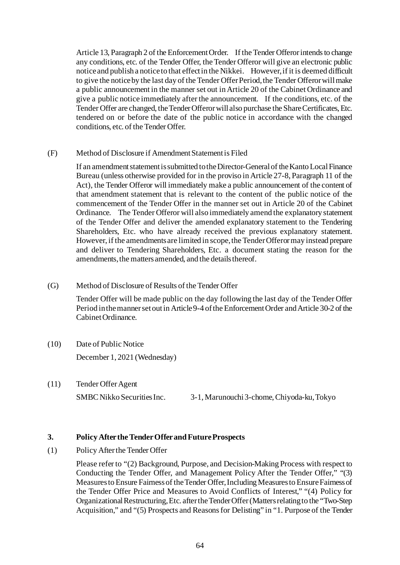Article 13, Paragraph 2 of the Enforcement Order. If the Tender Offeror intends to change any conditions, etc. of the Tender Offer, the Tender Offeror will give an electronic public notice and publish a notice to that effect in the Nikkei. However, if it is deemed difficult to give the notice by the last day of the Tender Offer Period, the Tender Offeror will make a public announcement in the manner set out in Article 20 of the Cabinet Ordinance and give a public notice immediately after the announcement. If the conditions, etc. of the Tender Offer are changed, the Tender Offeror will also purchase the Share Certificates, Etc. tendered on or before the date of the public notice in accordance with the changed conditions, etc. of the Tender Offer.

## (F) Method of Disclosure if Amendment Statement is Filed

If an amendment statement is submitted to the Director-General of the Kanto Local Finance Bureau (unless otherwise provided for in the proviso in Article 27-8, Paragraph 11 of the Act), the Tender Offeror will immediately make a public announcement of the content of that amendment statement that is relevant to the content of the public notice of the commencement of the Tender Offer in the manner set out in Article 20 of the Cabinet Ordinance. The Tender Offeror will also immediately amend the explanatory statement of the Tender Offer and deliver the amended explanatory statement to the Tendering Shareholders, Etc. who have already received the previous explanatory statement. However, if the amendments are limited in scope, the Tender Offeror may instead prepare and deliver to Tendering Shareholders, Etc. a document stating the reason for the amendments, the matters amended, and the details thereof.

## (G) Method of Disclosure of Results of the Tender Offer

Tender Offer will be made public on the day following the last day of the Tender Offer Period in the manner set out in Article 9-4 of the Enforcement Order and Article 30-2 of the Cabinet Ordinance.

- (10) Date of Public Notice December 1, 2021 (Wednesday)
- (11) Tender Offer Agent SMBC Nikko Securities Inc. 3-1, Marunouchi 3-chome, Chiyoda-ku, Tokyo

# **3. Policy After the Tender Offer and Future Prospects**

(1) Policy After the Tender Offer

Please refer to "(2) Background, Purpose, and Decision-Making Process with respect to Conducting the Tender Offer, and Management Policy After the Tender Offer," "(3) Measures to Ensure Fairness of the Tender Offer, Including Measures to Ensure Fairness of the Tender Offer Price and Measures to Avoid Conflicts of Interest," "(4) Policy for Organizational Restructuring, Etc. after the Tender Offer (Matters relating to the "Two-Step Acquisition," and "(5) Prospects and Reasons for Delisting" in "1. Purpose of the Tender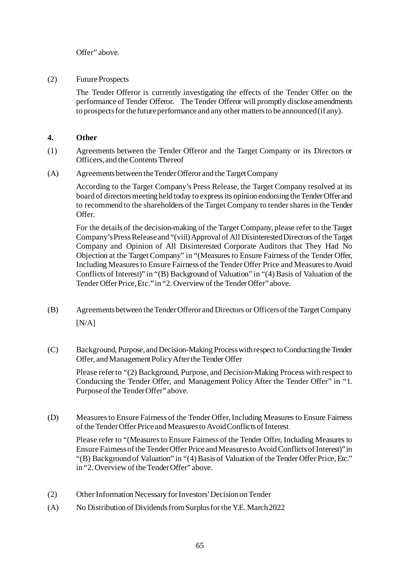Offer" above.

(2) Future Prospects

The Tender Offeror is currently investigating the effects of the Tender Offer on the performance of Tender Offeror. The Tender Offeror will promptly disclose amendments to prospects for the future performance and any other matters to be announced (if any).

# **4. Other**

- (1) Agreements between the Tender Offeror and the Target Company or its Directors or Officers, and the Contents Thereof
- (A) Agreements between the Tender Offeror and the Target Company

According to the Target Company's Press Release, the Target Company resolved at its board of directors meeting held today to express its opinion endorsing the Tender Offer and to recommend to the shareholders of the Target Company to tender shares in the Tender Offer.

For the details of the decision-making of the Target Company, please refer to the Target Company's Press Release and "(viii) Approval of All Disinterested Directors of the Target Company and Opinion of All Disinterested Corporate Auditors that They Had No Objection at the Target Company" in "(Measures to Ensure Fairness of the Tender Offer, Including Measures to Ensure Fairness of the Tender Offer Price and Measures to Avoid Conflicts of Interest)" in "(B) Background of Valuation" in "(4) Basis of Valuation of the Tender Offer Price, Etc." in "2. Overview of the Tender Offer" above.

- (B) Agreements between the Tender Offeror and Directors or Officers of the Target Company  $[N/A]$
- (C) Background, Purpose, and Decision-Making Process with respect to Conducting the Tender Offer, and Management Policy After the Tender Offer

Please refer to "(2) Background, Purpose, and Decision-Making Process with respect to Conducting the Tender Offer, and Management Policy After the Tender Offer" in "1. Purpose of the Tender Offer" above.

(D) Measures to Ensure Fairness of the Tender Offer, Including Measures to Ensure Fairness of the Tender Offer Price and Measures to Avoid Conflicts of Interest

Please refer to "(Measures to Ensure Fairness of the Tender Offer, Including Measures to Ensure Fairness of the Tender Offer Price and Measures to Avoid Conflicts of Interest)" in "(B) Background of Valuation" in "(4) Basis of Valuation of the Tender Offer Price, Etc." in "2. Overview of the Tender Offer" above.

- (2) Other Information Necessary for Investors' Decision on Tender
- (A) No Distribution of Dividends from Surplus for the Y.E. March 2022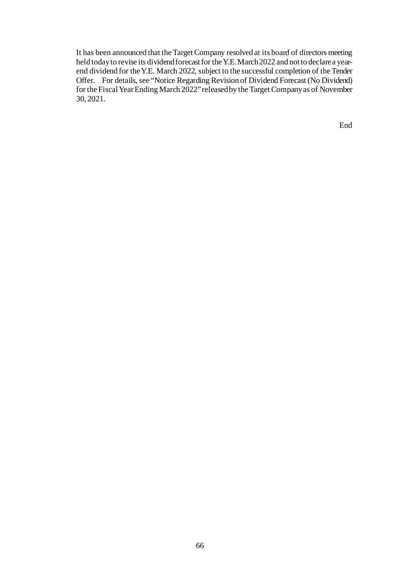It has been announced that the Target Company resolved at its board of directors meeting held today to revise its dividend forecast for the Y.E. March 2022 and not to declare a yearend dividend for the Y.E. March 2022, subject to the successful completion of the Tender Offer. For details, see "Notice Regarding Revision of Dividend Forecast (No Dividend) for the Fiscal Year Ending March 2022" released by the Target Company as of November 30, 2021.

End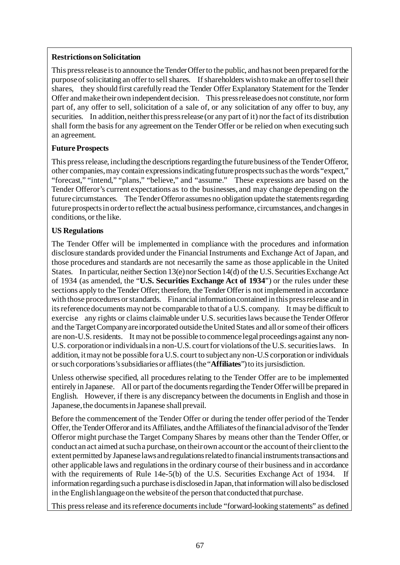# **Restrictions on Solicitation**

This press release is to announce the Tender Offer to the public, and has not been prepared for the purpose of solicitating an offer to sell shares. If shareholders wish to make an offer to sell their shares, they should first carefully read the Tender Offer Explanatory Statement for the Tender Offer and make their own independent decision. This press release does not constitute, nor form part of, any offer to sell, solicitation of a sale of, or any solicitation of any offer to buy, any securities. In addition, neither this press release (or any part of it) nor the fact of its distribution shall form the basis for any agreement on the Tender Offer or be relied on when executing such an agreement.

# **Future Prospects**

This press release, including the descriptions regarding the future business of the Tender Offeror, other companies, may contain expressions indicating future prospects such as the words "expect," "forecast," "intend," "plans," "believe," and "assume." These expressions are based on the Tender Offeror's current expectations as to the businesses, and may change depending on the future circumstances. The Tender Offeror assumes no obligation update the statements regarding future prospects in order to reflect the actual business performance, circumstances, and changes in conditions, or the like.

# **US Regulations**

The Tender Offer will be implemented in compliance with the procedures and information disclosure standards provided under the Financial Instruments and Exchange Act of Japan, and those procedures and standards are not necesarrily the same as those applicable in the United States. In particular, neither Section 13(e) nor Section 14(d) of the U.S. Securities Exchange Act of 1934 (as amended, the "**U.S. Securities Exchange Act of 1934**") or the rules under these sections apply to the Tender Offer; therefore, the Tender Offer is not implemented in accordance with those procedures or standards. Financial information contained in this press release and in its reference documents may not be comparable to that of a U.S. company. It may be difficult to exercise any rights or claims claimable under U.S. securities laws because the Tender Offeror and the Target Company are incorporated outside the United States and all or some of their officers are non-U.S. residents. It may not be possible to commence legal proceedings against any non-U.S. corporation or individuals in a non-U.S. court for violations of the U.S. securities laws. In addition, it may not be possible for a U.S. court to subject any non-U.S corporation or individuals or such corporations's subsidiaries or affliates (the "**Affiliates**") to its jursisdiction.

Unless otherwise specified, all procedures relating to the Tender Offer are to be implemented entirely in Japanese. All or part of the documents regarding the Tender Offer will be prepared in English. However, if there is any discrepancy between the documents in English and those in Japanese, the documents in Japanese shall prevail.

Before the commencement of the Tender Offer or during the tender offer period of the Tender Offer, the Tender Offeror and its Affiliates, and the Affiliates of the financial advisor of the Tender Offeror might purchase the Target Company Shares by means other than the Tender Offer, or conduct an act aimed at such a purchase, on their own account or the account of their client to the extent permitted by Japanese laws and regulations related to financial instruments transactions and other applicable laws and regulations in the ordinary course of their business and in accordance with the requirements of Rule 14e-5(b) of the U.S. Securities Exchange Act of 1934. If information regarding such a purchase is disclosed in Japan, that information will also be disclosed in the English language on the website of the person that conducted that purchase.

This press release and its reference documents include "forward-looking statements" as defined